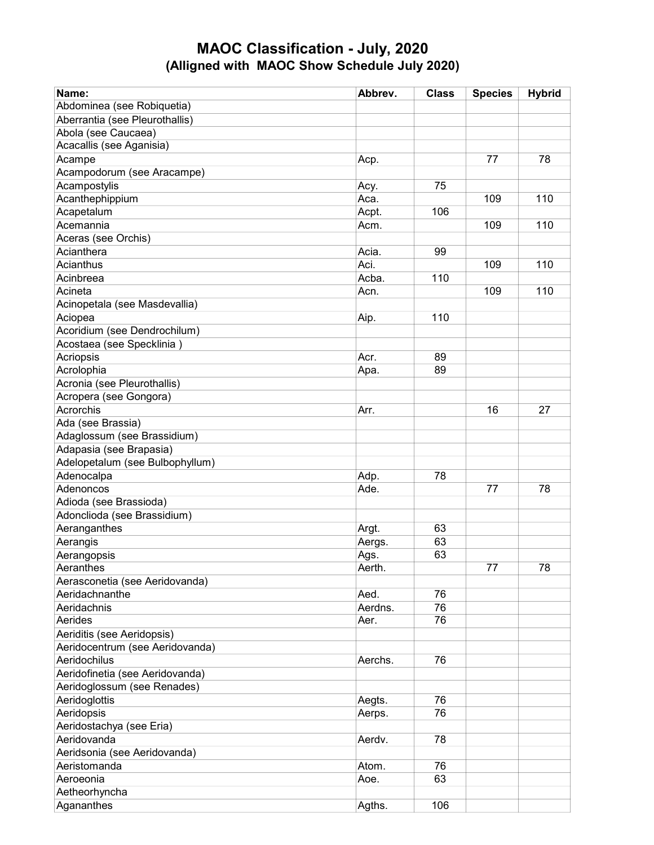## MAOC Classification - July, 2020 (Alligned with MAOC Show Schedule July 2020)

| Name:                           | Abbrev.         | <b>Class</b> | <b>Species</b> | <b>Hybrid</b> |
|---------------------------------|-----------------|--------------|----------------|---------------|
| Abdominea (see Robiquetia)      |                 |              |                |               |
| Aberrantia (see Pleurothallis)  |                 |              |                |               |
| Abola (see Caucaea)             |                 |              |                |               |
| Acacallis (see Aganisia)        |                 |              |                |               |
| Acampe                          | Acp.            |              | 77             | 78            |
| Acampodorum (see Aracampe)      |                 |              |                |               |
| Acampostylis                    | Acy.            | 75           |                |               |
| Acanthephippium                 | Aca.            |              | 109            | 110           |
| Acapetalum                      | Acpt.           | 106          |                |               |
| Acemannia                       | Acm.            |              | 109            | 110           |
| Aceras (see Orchis)             |                 |              |                |               |
| Acianthera                      | Acia.           | 99           |                |               |
| Acianthus                       | Aci.            |              | 109            | 110           |
| Acinbreea                       | Acba.           | 110          |                |               |
| Acineta                         | Acn.            |              | 109            | 110           |
| Acinopetala (see Masdevallia)   |                 |              |                |               |
| Aciopea                         | Aip.            | 110          |                |               |
| Acoridium (see Dendrochilum)    |                 |              |                |               |
| Acostaea (see Specklinia)       |                 |              |                |               |
| Acriopsis                       | Acr.            | 89           |                |               |
| Acrolophia                      | Apa.            | 89           |                |               |
| Acronia (see Pleurothallis)     |                 |              |                |               |
| Acropera (see Gongora)          |                 |              |                |               |
| Acrorchis                       | Arr.            |              | 16             | 27            |
| Ada (see Brassia)               |                 |              |                |               |
| Adaglossum (see Brassidium)     |                 |              |                |               |
| Adapasia (see Brapasia)         |                 |              |                |               |
| Adelopetalum (see Bulbophyllum) |                 |              |                |               |
| Adenocalpa                      | Adp.            | 78           |                |               |
| Adenoncos                       | Ade.            |              | 77             | 78            |
| Adioda (see Brassioda)          |                 |              |                |               |
| Adonclioda (see Brassidium)     |                 |              |                |               |
| Aeranganthes                    | Argt.           | 63           |                |               |
| Aerangis                        | Aergs.          | 63           |                |               |
|                                 |                 | 63           |                |               |
| Aerangopsis<br>Aeranthes        | Ags.<br>Aerth.  |              | 77             | 78            |
| Aerasconetia (see Aeridovanda)  |                 |              |                |               |
| Aeridachnanthe                  |                 | 76           |                |               |
| Aeridachnis                     | Aed.<br>Aerdns. | 76           |                |               |
| Aerides                         | Aer.            | 76           |                |               |
|                                 |                 |              |                |               |
| Aeriditis (see Aeridopsis)      |                 |              |                |               |
| Aeridocentrum (see Aeridovanda) |                 |              |                |               |
| Aeridochilus                    | Aerchs.         | 76           |                |               |
| Aeridofinetia (see Aeridovanda) |                 |              |                |               |
| Aeridoglossum (see Renades)     |                 |              |                |               |
| Aeridoglottis                   | Aegts.          | 76           |                |               |
| Aeridopsis                      | Aerps.          | 76           |                |               |
| Aeridostachya (see Eria)        |                 |              |                |               |
| Aeridovanda                     | Aerdv.          | 78           |                |               |
| Aeridsonia (see Aeridovanda)    |                 |              |                |               |
| Aeristomanda                    | Atom.           | 76           |                |               |
| Aeroeonia                       | Aoe.            | 63           |                |               |
| Aetheorhyncha                   |                 |              |                |               |
| Agananthes                      | Agths.          | 106          |                |               |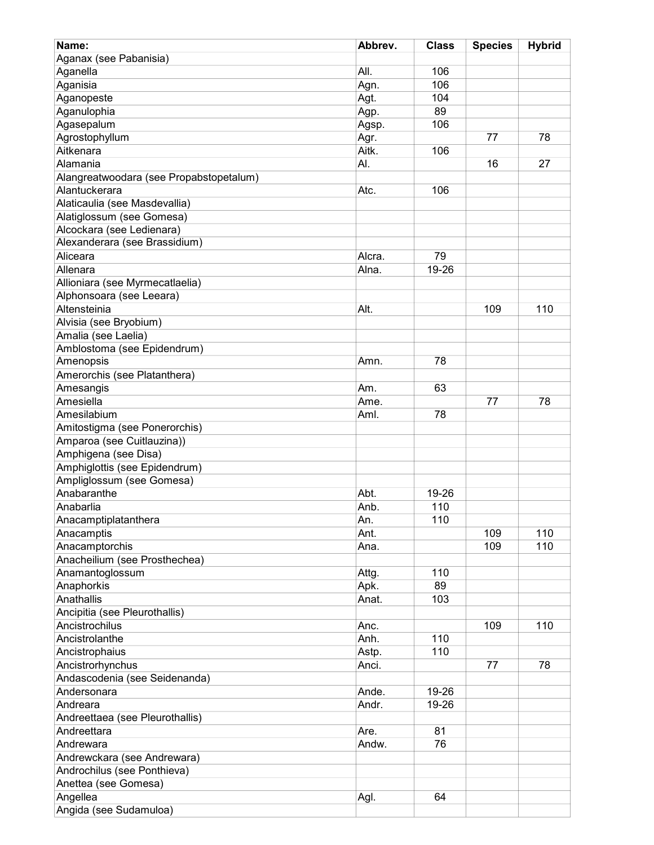| Name:                                   | Abbrev. | <b>Class</b> | <b>Species</b> | <b>Hybrid</b> |
|-----------------------------------------|---------|--------------|----------------|---------------|
| Aganax (see Pabanisia)                  |         |              |                |               |
| Aganella                                | All.    | 106          |                |               |
| Aganisia                                | Agn.    | 106          |                |               |
| Aganopeste                              | Agt.    | 104          |                |               |
| Aganulophia                             | Agp.    | 89           |                |               |
| Agasepalum                              | Agsp.   | 106          |                |               |
| Agrostophyllum                          | Agr.    |              | 77             | 78            |
| Aitkenara                               | Aitk.   | 106          |                |               |
|                                         |         |              |                |               |
| Alamania                                | AI.     |              | 16             | 27            |
| Alangreatwoodara (see Propabstopetalum) |         |              |                |               |
| Alantuckerara                           | Atc.    | 106          |                |               |
| Alaticaulia (see Masdevallia)           |         |              |                |               |
| Alatiglossum (see Gomesa)               |         |              |                |               |
| Alcockara (see Ledienara)               |         |              |                |               |
| Alexanderara (see Brassidium)           |         |              |                |               |
| Aliceara                                | Alcra.  | 79           |                |               |
| Allenara                                | Alna.   | 19-26        |                |               |
| Allioniara (see Myrmecatlaelia)         |         |              |                |               |
| Alphonsoara (see Leeara)                |         |              |                |               |
| Altensteinia                            | Alt.    |              | 109            | 110           |
| Alvisia (see Bryobium)                  |         |              |                |               |
| Amalia (see Laelia)                     |         |              |                |               |
| Amblostoma (see Epidendrum)             |         |              |                |               |
| Amenopsis                               | Amn.    | 78           |                |               |
| Amerorchis (see Platanthera)            |         |              |                |               |
| Amesangis                               | Am.     | 63           |                |               |
| Amesiella                               | Ame.    |              | 77             | 78            |
| Amesilabium                             | Aml.    | 78           |                |               |
| Amitostigma (see Ponerorchis)           |         |              |                |               |
| Amparoa (see Cuitlauzina))              |         |              |                |               |
| Amphigena (see Disa)                    |         |              |                |               |
| Amphiglottis (see Epidendrum)           |         |              |                |               |
| Ampliglossum (see Gomesa)               |         |              |                |               |
| Anabaranthe                             | Abt.    | 19-26        |                |               |
| Anabarlia                               | Anb.    | 110          |                |               |
| Anacamptiplatanthera                    | An.     | 110          |                |               |
| Anacamptis                              | Ant.    |              | 109            | 110           |
| Anacamptorchis                          | Ana.    |              | 109            | 110           |
| Anacheilium (see Prosthechea)           |         |              |                |               |
|                                         |         | 110          |                |               |
| Anamantoglossum                         | Attg.   | 89           |                |               |
| Anaphorkis                              | Apk.    |              |                |               |
| Anathallis                              | Anat.   | 103          |                |               |
| Ancipitia (see Pleurothallis)           |         |              |                |               |
| Ancistrochilus                          | Anc.    |              | 109            | 110           |
| Ancistrolanthe                          | Anh.    | 110          |                |               |
| Ancistrophaius                          | Astp.   | 110          |                |               |
| Ancistrorhynchus                        | Anci.   |              | 77             | 78            |
| Andascodenia (see Seidenanda)           |         |              |                |               |
| Andersonara                             | Ande.   | 19-26        |                |               |
| Andreara                                | Andr.   | 19-26        |                |               |
| Andreettaea (see Pleurothallis)         |         |              |                |               |
| Andreettara                             | Are.    | 81           |                |               |
| Andrewara                               | Andw.   | 76           |                |               |
| Andrewckara (see Andrewara)             |         |              |                |               |
| Androchilus (see Ponthieva)             |         |              |                |               |
| Anettea (see Gomesa)                    |         |              |                |               |
| Angellea                                | Agl.    | 64           |                |               |
| Angida (see Sudamuloa)                  |         |              |                |               |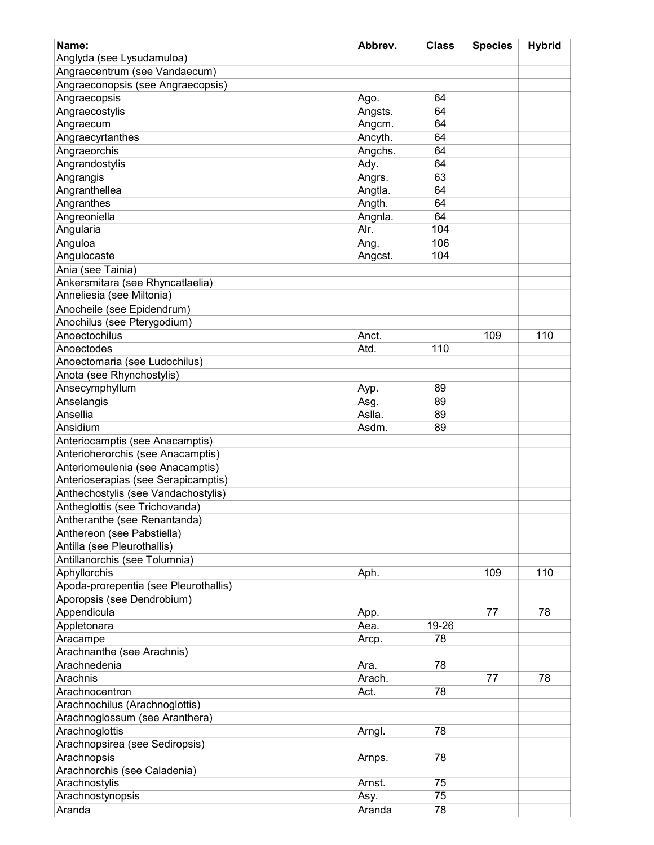| Name:                                 | Abbrev. | <b>Class</b> | <b>Species</b> | <b>Hybrid</b> |
|---------------------------------------|---------|--------------|----------------|---------------|
| Anglyda (see Lysudamuloa)             |         |              |                |               |
| Angraecentrum (see Vandaecum)         |         |              |                |               |
| Angraeconopsis (see Angraecopsis)     |         |              |                |               |
| Angraecopsis                          | Ago.    | 64           |                |               |
| Angraecostylis                        | Angsts. | 64           |                |               |
| Angraecum                             | Angcm.  | 64           |                |               |
|                                       |         |              |                |               |
| Angraecyrtanthes                      | Ancyth. | 64           |                |               |
| Angraeorchis                          | Angchs. | 64           |                |               |
| Angrandostylis                        | Ady.    | 64           |                |               |
| Angrangis                             | Angrs.  | 63           |                |               |
| Angranthellea                         | Angtla. | 64           |                |               |
| Angranthes                            | Angth.  | 64           |                |               |
| Angreoniella                          | Angnla. | 64           |                |               |
| Angularia                             | Alr.    | 104          |                |               |
| Anguloa                               | Ang.    | 106          |                |               |
| Angulocaste                           | Angcst. | 104          |                |               |
| Ania (see Tainia)                     |         |              |                |               |
| Ankersmitara (see Rhyncatlaelia)      |         |              |                |               |
| Anneliesia (see Miltonia)             |         |              |                |               |
| Anocheile (see Epidendrum)            |         |              |                |               |
| Anochilus (see Pterygodium)           |         |              |                |               |
| Anoectochilus                         | Anct.   |              | 109            | 110           |
| Anoectodes                            | Atd.    | 110          |                |               |
| Anoectomaria (see Ludochilus)         |         |              |                |               |
|                                       |         |              |                |               |
| Anota (see Rhynchostylis)             |         |              |                |               |
| Ansecymphyllum                        | Ayp.    | 89           |                |               |
| Anselangis                            | Asg.    | 89           |                |               |
| Ansellia                              | Aslla.  | 89           |                |               |
| Ansidium                              | Asdm.   | 89           |                |               |
| Anteriocamptis (see Anacamptis)       |         |              |                |               |
| Anterioherorchis (see Anacamptis)     |         |              |                |               |
| Anteriomeulenia (see Anacamptis)      |         |              |                |               |
| Anterioserapias (see Serapicamptis)   |         |              |                |               |
| Anthechostylis (see Vandachostylis)   |         |              |                |               |
| Antheglottis (see Trichovanda)        |         |              |                |               |
| Antheranthe (see Renantanda)          |         |              |                |               |
| Anthereon (see Pabstiella)            |         |              |                |               |
| Antilla (see Pleurothallis)           |         |              |                |               |
| Antillanorchis (see Tolumnia)         |         |              |                |               |
| Aphyllorchis                          | Aph.    |              | 109            | 110           |
| Apoda-prorepentia (see Pleurothallis) |         |              |                |               |
| Aporopsis (see Dendrobium)            |         |              |                |               |
| Appendicula                           | App.    |              | 77             | 78            |
| Appletonara                           | Aea.    | 19-26        |                |               |
| Aracampe                              |         | 78           |                |               |
| Arachnanthe (see Arachnis)            | Arcp.   |              |                |               |
| Arachnedenia                          |         |              |                |               |
|                                       | Ara.    | 78           |                |               |
| Arachnis                              | Arach.  |              | 77             | 78            |
| Arachnocentron                        | Act.    | 78           |                |               |
| Arachnochilus (Arachnoglottis)        |         |              |                |               |
| Arachnoglossum (see Aranthera)        |         |              |                |               |
| Arachnoglottis                        | Arngl.  | 78           |                |               |
| Arachnopsirea (see Sediropsis)        |         |              |                |               |
| Arachnopsis                           | Arnps.  | 78           |                |               |
| Arachnorchis (see Caladenia)          |         |              |                |               |
| Arachnostylis                         | Arnst.  | 75           |                |               |
| Arachnostynopsis                      | Asy.    | 75           |                |               |
| Aranda                                | Aranda  | 78           |                |               |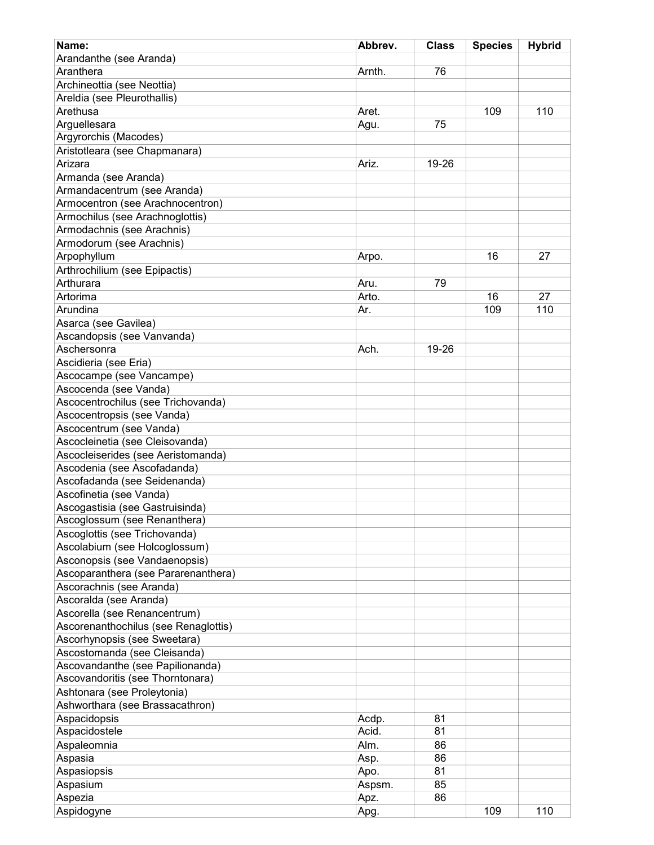| Name:                                | Abbrev. | <b>Class</b> | <b>Species</b> | <b>Hybrid</b> |
|--------------------------------------|---------|--------------|----------------|---------------|
| Arandanthe (see Aranda)              |         |              |                |               |
| Aranthera                            | Arnth.  | 76           |                |               |
| Archineottia (see Neottia)           |         |              |                |               |
| Areldia (see Pleurothallis)          |         |              |                |               |
|                                      |         |              |                |               |
| Arethusa                             | Aret.   |              | 109            | 110           |
| Arguellesara                         | Agu.    | 75           |                |               |
| Argyrorchis (Macodes)                |         |              |                |               |
| Aristotleara (see Chapmanara)        |         |              |                |               |
| Arizara                              | Ariz.   | 19-26        |                |               |
| Armanda (see Aranda)                 |         |              |                |               |
| Armandacentrum (see Aranda)          |         |              |                |               |
| Armocentron (see Arachnocentron)     |         |              |                |               |
| Armochilus (see Arachnoglottis)      |         |              |                |               |
| Armodachnis (see Arachnis)           |         |              |                |               |
| Armodorum (see Arachnis)             |         |              |                |               |
| Arpophyllum                          | Arpo.   |              | 16             | 27            |
| Arthrochilium (see Epipactis)        |         |              |                |               |
| Arthurara                            | Aru.    | 79           |                |               |
| Artorima                             | Arto.   |              | 16             | 27            |
| Arundina                             | Ar.     |              | 109            | 110           |
| Asarca (see Gavilea)                 |         |              |                |               |
| Ascandopsis (see Vanvanda)           |         |              |                |               |
| Aschersonra                          |         |              |                |               |
|                                      | Ach.    | 19-26        |                |               |
| Ascidieria (see Eria)                |         |              |                |               |
| Ascocampe (see Vancampe)             |         |              |                |               |
| Ascocenda (see Vanda)                |         |              |                |               |
| Ascocentrochilus (see Trichovanda)   |         |              |                |               |
| Ascocentropsis (see Vanda)           |         |              |                |               |
| Ascocentrum (see Vanda)              |         |              |                |               |
| Ascocleinetia (see Cleisovanda)      |         |              |                |               |
| Ascocleiserides (see Aeristomanda)   |         |              |                |               |
| Ascodenia (see Ascofadanda)          |         |              |                |               |
| Ascofadanda (see Seidenanda)         |         |              |                |               |
| Ascofinetia (see Vanda)              |         |              |                |               |
| Ascogastisia (see Gastruisinda)      |         |              |                |               |
| Ascoglossum (see Renanthera)         |         |              |                |               |
| Ascoglottis (see Trichovanda)        |         |              |                |               |
| Ascolabium (see Holcoglossum)        |         |              |                |               |
| Asconopsis (see Vandaenopsis)        |         |              |                |               |
| Ascoparanthera (see Pararenanthera)  |         |              |                |               |
| Ascorachnis (see Aranda)             |         |              |                |               |
| Ascoralda (see Aranda)               |         |              |                |               |
| Ascorella (see Renancentrum)         |         |              |                |               |
| Ascorenanthochilus (see Renaglottis) |         |              |                |               |
|                                      |         |              |                |               |
| Ascorhynopsis (see Sweetara)         |         |              |                |               |
| Ascostomanda (see Cleisanda)         |         |              |                |               |
| Ascovandanthe (see Papilionanda)     |         |              |                |               |
| Ascovandoritis (see Thorntonara)     |         |              |                |               |
| Ashtonara (see Proleytonia)          |         |              |                |               |
| Ashworthara (see Brassacathron)      |         |              |                |               |
| Aspacidopsis                         | Acdp.   | 81           |                |               |
| Aspacidostele                        | Acid.   | 81           |                |               |
| Aspaleomnia                          | Alm.    | 86           |                |               |
| Aspasia                              | Asp.    | 86           |                |               |
| Aspasiopsis                          | Apo.    | 81           |                |               |
| Aspasium                             | Aspsm.  | 85           |                |               |
| Aspezia                              | Apz.    | 86           |                |               |
| Aspidogyne                           | Apg.    |              | 109            | 110           |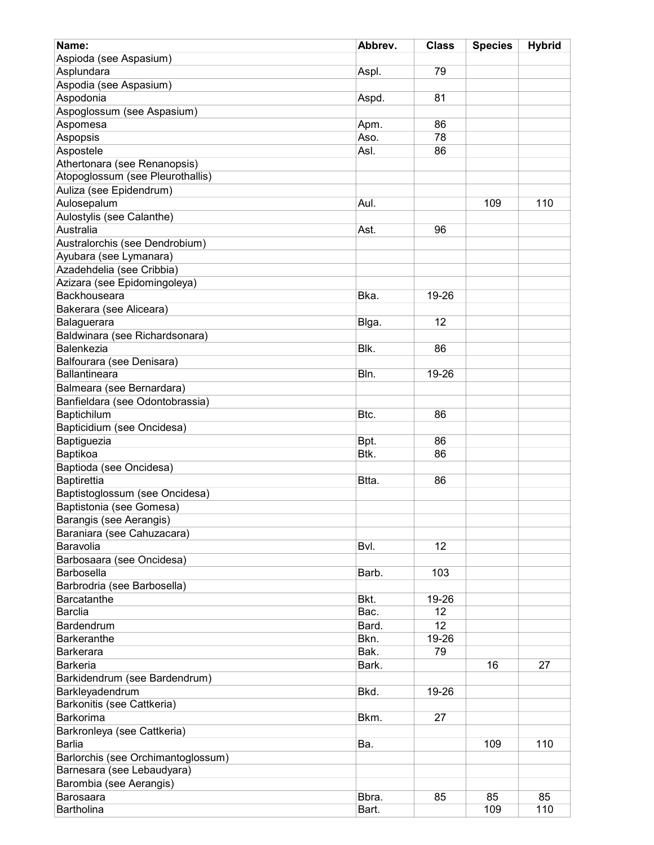| Name:                              | Abbrev. | <b>Class</b> | <b>Species</b> | <b>Hybrid</b> |
|------------------------------------|---------|--------------|----------------|---------------|
| Aspioda (see Aspasium)             |         |              |                |               |
| Asplundara                         | Aspl.   | 79           |                |               |
| Aspodia (see Aspasium)             |         |              |                |               |
| Aspodonia                          | Aspd.   | 81           |                |               |
| Aspoglossum (see Aspasium)         |         |              |                |               |
| Aspomesa                           | Apm.    | 86           |                |               |
| Aspopsis                           | Aso.    | 78           |                |               |
| Aspostele                          | Asl.    | 86           |                |               |
| Athertonara (see Renanopsis)       |         |              |                |               |
| Atopoglossum (see Pleurothallis)   |         |              |                |               |
| Auliza (see Epidendrum)            |         |              |                |               |
| Aulosepalum                        | Aul.    |              | 109            | 110           |
| Aulostylis (see Calanthe)          |         |              |                |               |
| Australia                          |         |              |                |               |
|                                    | Ast.    | 96           |                |               |
| Australorchis (see Dendrobium)     |         |              |                |               |
| Ayubara (see Lymanara)             |         |              |                |               |
| Azadehdelia (see Cribbia)          |         |              |                |               |
| Azizara (see Epidomingoleya)       |         |              |                |               |
| Backhouseara                       | Bka.    | 19-26        |                |               |
| Bakerara (see Aliceara)            |         |              |                |               |
| Balaguerara                        | Blga.   | 12           |                |               |
| Baldwinara (see Richardsonara)     |         |              |                |               |
| Balenkezia                         | Blk.    | 86           |                |               |
| Balfourara (see Denisara)          |         |              |                |               |
| <b>Ballantineara</b>               | Bln.    | 19-26        |                |               |
| Balmeara (see Bernardara)          |         |              |                |               |
| Banfieldara (see Odontobrassia)    |         |              |                |               |
| Baptichilum                        | Btc.    | 86           |                |               |
| Bapticidium (see Oncidesa)         |         |              |                |               |
| Baptiguezia                        | Bpt.    | 86           |                |               |
| Baptikoa                           | Btk.    | 86           |                |               |
| Baptioda (see Oncidesa)            |         |              |                |               |
| Baptirettia                        | Btta.   | 86           |                |               |
| Baptistoglossum (see Oncidesa)     |         |              |                |               |
| Baptistonia (see Gomesa)           |         |              |                |               |
| Barangis (see Aerangis)            |         |              |                |               |
| Baraniara (see Cahuzacara)         |         |              |                |               |
| Baravolia                          | Bvl.    | 12           |                |               |
| Barbosaara (see Oncidesa)          |         |              |                |               |
| <b>Barbosella</b>                  | Barb.   | 103          |                |               |
| Barbrodria (see Barbosella)        |         |              |                |               |
| <b>Barcatanthe</b>                 | Bkt.    | 19-26        |                |               |
| <b>Barclia</b>                     | Bac.    | 12           |                |               |
| Bardendrum                         | Bard.   | 12           |                |               |
| <b>Barkeranthe</b>                 | Bkn.    | 19-26        |                |               |
| <b>Barkerara</b>                   | Bak.    | 79           |                |               |
| <b>Barkeria</b>                    | Bark.   |              | 16             | 27            |
| Barkidendrum (see Bardendrum)      |         |              |                |               |
| Barkleyadendrum                    | Bkd.    | 19-26        |                |               |
| Barkonitis (see Cattkeria)         |         |              |                |               |
| Barkorima                          | Bkm.    | 27           |                |               |
| Barkronleya (see Cattkeria)        |         |              |                |               |
| <b>Barlia</b>                      | Ba.     |              | 109            | 110           |
| Barlorchis (see Orchimantoglossum) |         |              |                |               |
| Barnesara (see Lebaudyara)         |         |              |                |               |
| Barombia (see Aerangis)            |         |              |                |               |
| Barosaara                          | Bbra.   | 85           | 85             | 85            |
| Bartholina                         | Bart.   |              | 109            | 110           |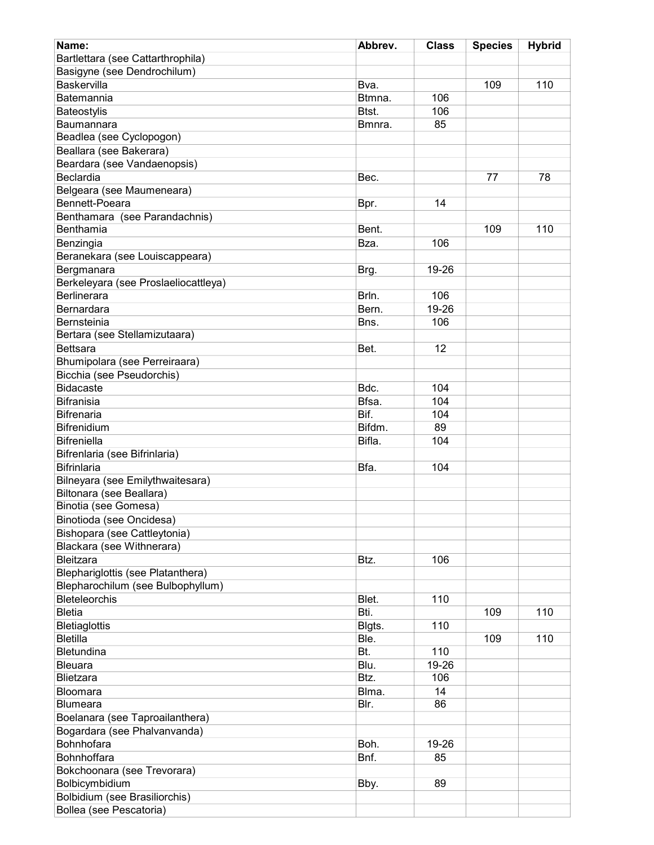| Name:                                | Abbrev. | <b>Class</b> | <b>Species</b> | <b>Hybrid</b> |
|--------------------------------------|---------|--------------|----------------|---------------|
| Bartlettara (see Cattarthrophila)    |         |              |                |               |
| Basigyne (see Dendrochilum)          |         |              |                |               |
| Baskervilla                          | Bva.    |              | 109            | 110           |
| Batemannia                           | Btmna.  | 106          |                |               |
|                                      |         | 106          |                |               |
| Bateostylis                          | Btst.   |              |                |               |
| Baumannara                           | Bmnra.  | 85           |                |               |
| Beadlea (see Cyclopogon)             |         |              |                |               |
| Beallara (see Bakerara)              |         |              |                |               |
| Beardara (see Vandaenopsis)          |         |              |                |               |
| Beclardia                            | Bec.    |              | 77             | 78            |
| Belgeara (see Maumeneara)            |         |              |                |               |
| Bennett-Poeara                       | Bpr.    | 14           |                |               |
| Benthamara (see Parandachnis)        |         |              |                |               |
| Benthamia                            | Bent.   |              | 109            | 110           |
| Benzingia                            | Bza.    | 106          |                |               |
| Beranekara (see Louiscappeara)       |         |              |                |               |
| Bergmanara                           | Brg.    | 19-26        |                |               |
| Berkeleyara (see Proslaeliocattleya) |         |              |                |               |
| Berlinerara                          | Brln.   | 106          |                |               |
| Bernardara                           | Bern.   | 19-26        |                |               |
| Bernsteinia                          | Bns.    | 106          |                |               |
| Bertara (see Stellamizutaara)        |         |              |                |               |
| <b>Bettsara</b>                      | Bet.    | 12           |                |               |
|                                      |         |              |                |               |
| Bhumipolara (see Perreiraara)        |         |              |                |               |
| Bicchia (see Pseudorchis)            |         |              |                |               |
| <b>Bidacaste</b>                     | Bdc.    | 104          |                |               |
| <b>Bifranisia</b>                    | Bfsa.   | 104          |                |               |
| <b>Bifrenaria</b>                    | Bif.    | 104          |                |               |
| <b>Bifrenidium</b>                   | Bifdm.  | 89           |                |               |
| <b>Bifreniella</b>                   | Bifla.  | 104          |                |               |
| Bifrenlaria (see Bifrinlaria)        |         |              |                |               |
| <b>Bifrinlaria</b>                   | Bfa.    | 104          |                |               |
| Bilneyara (see Emilythwaitesara)     |         |              |                |               |
| Biltonara (see Beallara)             |         |              |                |               |
| Binotia (see Gomesa)                 |         |              |                |               |
| Binotioda (see Oncidesa)             |         |              |                |               |
| Bishopara (see Cattleytonia)         |         |              |                |               |
| Blackara (see Withnerara)            |         |              |                |               |
| Bleitzara                            | Btz.    | 106          |                |               |
| Blephariglottis (see Platanthera)    |         |              |                |               |
| Blepharochilum (see Bulbophyllum)    |         |              |                |               |
| Bleteleorchis                        | Blet.   | 110          |                |               |
| <b>Bletia</b>                        | Bti.    |              | 109            | 110           |
| <b>Bletiaglottis</b>                 | Blgts.  | 110          |                |               |
| <b>Bletilla</b>                      | Ble.    |              | 109            | 110           |
| Bletundina                           | Bt.     | 110          |                |               |
| <b>Bleuara</b>                       | Blu.    | 19-26        |                |               |
| Blietzara                            | Btz.    | 106          |                |               |
|                                      |         |              |                |               |
| Bloomara                             | Blma.   | 14           |                |               |
| <b>Blumeara</b>                      | Blr.    | 86           |                |               |
| Boelanara (see Taproailanthera)      |         |              |                |               |
| Bogardara (see Phalvanvanda)         |         |              |                |               |
| Bohnhofara                           | Boh.    | 19-26        |                |               |
| Bohnhoffara                          | Bnf.    | 85           |                |               |
| Bokchoonara (see Trevorara)          |         |              |                |               |
| Bolbicymbidium                       | Bby.    | 89           |                |               |
| Bolbidium (see Brasiliorchis)        |         |              |                |               |
| Bollea (see Pescatoria)              |         |              |                |               |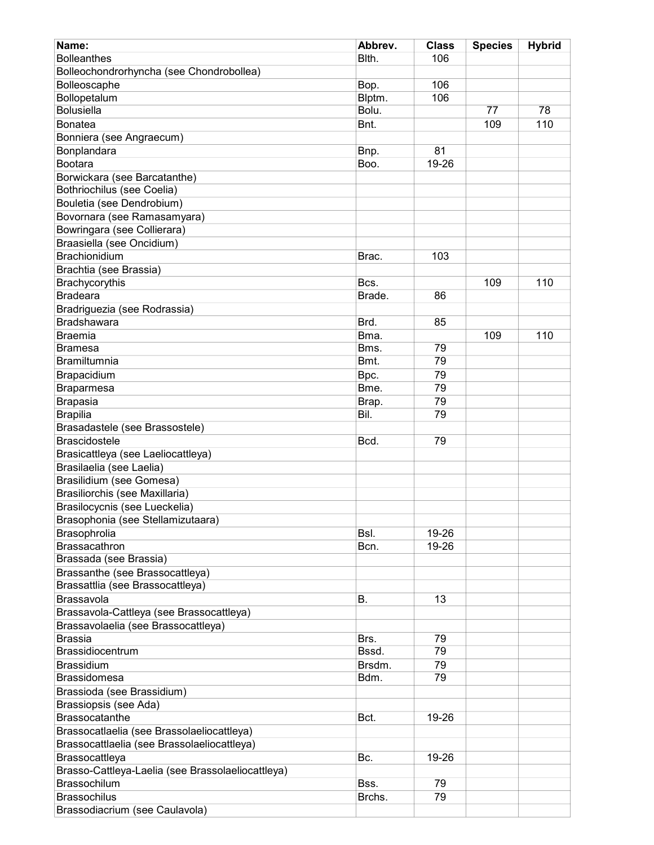| Name:                                             | Abbrev.         | <b>Class</b> | <b>Species</b> | <b>Hybrid</b> |
|---------------------------------------------------|-----------------|--------------|----------------|---------------|
| <b>Bolleanthes</b>                                | Blth.           | 106          |                |               |
| Bolleochondrorhyncha (see Chondrobollea)          |                 |              |                |               |
| Bolleoscaphe                                      |                 | 106          |                |               |
|                                                   | Bop.            | 106          |                |               |
| Bollopetalum<br><b>Bolusiella</b>                 | Blptm.<br>Bolu. |              | 77             | 78            |
|                                                   |                 |              |                |               |
| <b>Bonatea</b>                                    | Bnt.            |              | 109            | 110           |
| Bonniera (see Angraecum)                          |                 |              |                |               |
| Bonplandara                                       | Bnp.            | 81           |                |               |
| Bootara                                           | Boo.            | 19-26        |                |               |
| Borwickara (see Barcatanthe)                      |                 |              |                |               |
| Bothriochilus (see Coelia)                        |                 |              |                |               |
| Bouletia (see Dendrobium)                         |                 |              |                |               |
| Bovornara (see Ramasamyara)                       |                 |              |                |               |
| Bowringara (see Collierara)                       |                 |              |                |               |
| Braasiella (see Oncidium)                         |                 |              |                |               |
| <b>Brachionidium</b>                              | Brac.           | 103          |                |               |
| Brachtia (see Brassia)                            |                 |              |                |               |
| Brachycorythis                                    | Bcs.            |              | 109            | 110           |
|                                                   |                 |              |                |               |
| <b>Bradeara</b>                                   | Brade.          | 86           |                |               |
| Bradriguezia (see Rodrassia)                      |                 |              |                |               |
| Bradshawara                                       | Brd.            | 85           |                |               |
| <b>Braemia</b>                                    | Bma.            |              | 109            | 110           |
| <b>Bramesa</b>                                    | Bms.            | 79           |                |               |
| Bramiltumnia                                      | Bmt.            | 79           |                |               |
| Brapacidium                                       | Bpc.            | 79           |                |               |
| Braparmesa                                        | Bme.            | 79           |                |               |
| <b>Brapasia</b>                                   | Brap.           | 79           |                |               |
| <b>Brapilia</b>                                   | Bil.            | 79           |                |               |
| Brasadastele (see Brassostele)                    |                 |              |                |               |
| <b>Brascidostele</b>                              | Bcd.            | 79           |                |               |
| Brasicattleya (see Laeliocattleya)                |                 |              |                |               |
|                                                   |                 |              |                |               |
| Brasilaelia (see Laelia)                          |                 |              |                |               |
| Brasilidium (see Gomesa)                          |                 |              |                |               |
| Brasiliorchis (see Maxillaria)                    |                 |              |                |               |
| Brasilocycnis (see Lueckelia)                     |                 |              |                |               |
| Brasophonia (see Stellamizutaara)                 |                 |              |                |               |
| Brasophrolia                                      | Bsl.            | 19-26        |                |               |
| Brassacathron                                     | Bcn.            | 19-26        |                |               |
| Brassada (see Brassia)                            |                 |              |                |               |
| Brassanthe (see Brassocattleya)                   |                 |              |                |               |
| Brassattlia (see Brassocattleya)                  |                 |              |                |               |
| Brassavola                                        | В.              | 13           |                |               |
| Brassavola-Cattleya (see Brassocattleya)          |                 |              |                |               |
|                                                   |                 |              |                |               |
| Brassavolaelia (see Brassocattleya)               |                 |              |                |               |
| <b>Brassia</b>                                    | Brs.            | 79           |                |               |
| <b>Brassidiocentrum</b>                           | Bssd.           | 79           |                |               |
| <b>Brassidium</b>                                 | Brsdm.          | 79           |                |               |
| <b>Brassidomesa</b>                               | Bdm.            | 79           |                |               |
| Brassioda (see Brassidium)                        |                 |              |                |               |
| Brassiopsis (see Ada)                             |                 |              |                |               |
| <b>Brassocatanthe</b>                             | Bct.            | 19-26        |                |               |
| Brassocatlaelia (see Brassolaeliocattleya)        |                 |              |                |               |
| Brassocattlaelia (see Brassolaeliocattleya)       |                 |              |                |               |
| Brassocattleya                                    | Bc.             | 19-26        |                |               |
| Brasso-Cattleya-Laelia (see Brassolaeliocattleya) |                 |              |                |               |
| <b>Brassochilum</b>                               | Bss.            | 79           |                |               |
| <b>Brassochilus</b>                               | Brchs.          | 79           |                |               |
|                                                   |                 |              |                |               |
| Brassodiacrium (see Caulavola)                    |                 |              |                |               |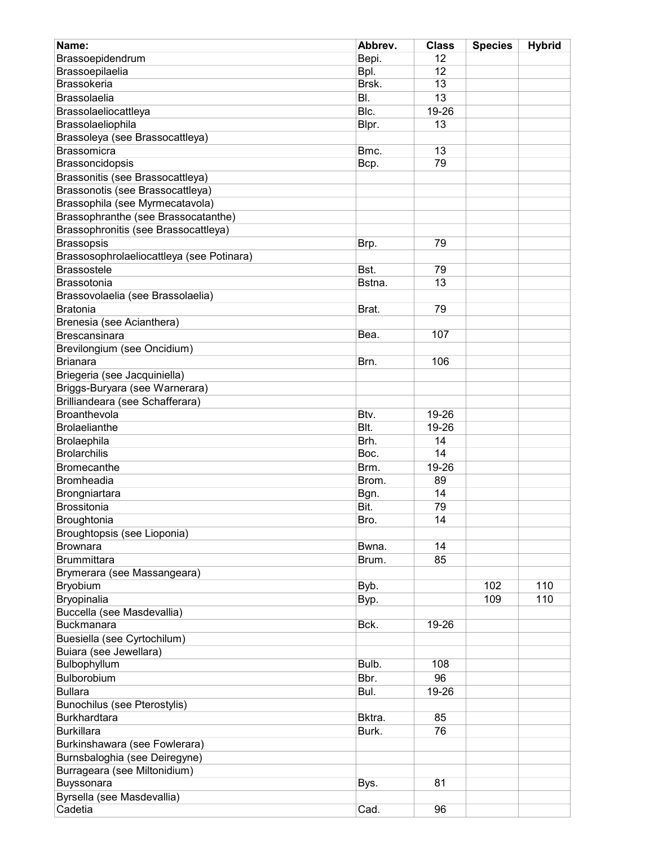| Name:                                     | Abbrev. | <b>Class</b> | <b>Species</b> | <b>Hybrid</b> |
|-------------------------------------------|---------|--------------|----------------|---------------|
| Brassoepidendrum                          | Bepi.   | 12           |                |               |
| Brassoepilaelia                           | Bpl.    | 12           |                |               |
| <b>Brassokeria</b>                        | Brsk.   | 13           |                |               |
| <b>Brassolaelia</b>                       | BI.     | 13           |                |               |
| Brassolaeliocattleya                      | Blc.    | 19-26        |                |               |
| Brassolaeliophila                         | Blpr.   | 13           |                |               |
| Brassoleya (see Brassocattleya)           |         |              |                |               |
| <b>Brassomicra</b>                        | Bmc.    | 13           |                |               |
| Brassoncidopsis                           | Bcp.    | 79           |                |               |
| Brassonitis (see Brassocattleya)          |         |              |                |               |
| Brassonotis (see Brassocattleya)          |         |              |                |               |
| Brassophila (see Myrmecatavola)           |         |              |                |               |
| Brassophranthe (see Brassocatanthe)       |         |              |                |               |
| Brassophronitis (see Brassocattleya)      |         |              |                |               |
| <b>Brassopsis</b>                         | Brp.    | 79           |                |               |
| Brassosophrolaeliocattleya (see Potinara) |         |              |                |               |
| <b>Brassostele</b>                        | Bst.    | 79           |                |               |
| Brassotonia                               | Bstna.  | 13           |                |               |
| Brassovolaelia (see Brassolaelia)         |         |              |                |               |
| <b>Bratonia</b>                           | Brat.   | 79           |                |               |
| Brenesia (see Acianthera)                 |         |              |                |               |
| <b>Brescansinara</b>                      | Bea.    | 107          |                |               |
| Brevilongium (see Oncidium)               |         |              |                |               |
| <b>Brianara</b>                           | Brn.    | 106          |                |               |
| Briegeria (see Jacquiniella)              |         |              |                |               |
| Briggs-Buryara (see Warnerara)            |         |              |                |               |
| Brilliandeara (see Schafferara)           |         |              |                |               |
| Broanthevola                              | Btv.    | 19-26        |                |               |
|                                           | Blt.    |              |                |               |
| <b>Brolaelianthe</b>                      |         | 19-26        |                |               |
| Brolaephila                               | Brh.    | 14           |                |               |
| <b>Brolarchilis</b>                       | Boc.    | 14           |                |               |
| <b>Bromecanthe</b>                        | Brm.    | 19-26        |                |               |
| <b>Bromheadia</b>                         | Brom.   | 89           |                |               |
| Brongniartara                             | Bgn.    | 14           |                |               |
| Brossitonia                               | Bit.    | 79           |                |               |
| Broughtonia                               | Bro.    | 14           |                |               |
| Broughtopsis (see Lioponia)               |         |              |                |               |
| <b>Brownara</b>                           | Bwna.   | 14           |                |               |
| <b>Brummittara</b>                        | Brum.   | 85           |                |               |
| Brymerara (see Massangeara)               |         |              |                |               |
| Bryobium                                  | Byb.    |              | 102            | 110           |
| Bryopinalia                               | Byp.    |              | 109            | 110           |
| Buccella (see Masdevallia)                |         |              |                |               |
| <b>Buckmanara</b>                         | Bck.    | 19-26        |                |               |
| Buesiella (see Cyrtochilum)               |         |              |                |               |
| Buiara (see Jewellara)                    |         |              |                |               |
| Bulbophyllum                              | Bulb.   | 108          |                |               |
| Bulborobium                               | Bbr.    | 96           |                |               |
| <b>Bullara</b>                            | Bul.    | 19-26        |                |               |
| Bunochilus (see Pterostylis)              |         |              |                |               |
| Burkhardtara                              | Bktra.  | 85           |                |               |
| <b>Burkillara</b>                         | Burk.   | 76           |                |               |
| Burkinshawara (see Fowlerara)             |         |              |                |               |
| Burnsbaloghia (see Deiregyne)             |         |              |                |               |
| Burrageara (see Miltonidium)              |         |              |                |               |
| Buyssonara                                | Bys.    | 81           |                |               |
| Byrsella (see Masdevallia)                |         |              |                |               |
| Cadetia                                   | Cad.    | 96           |                |               |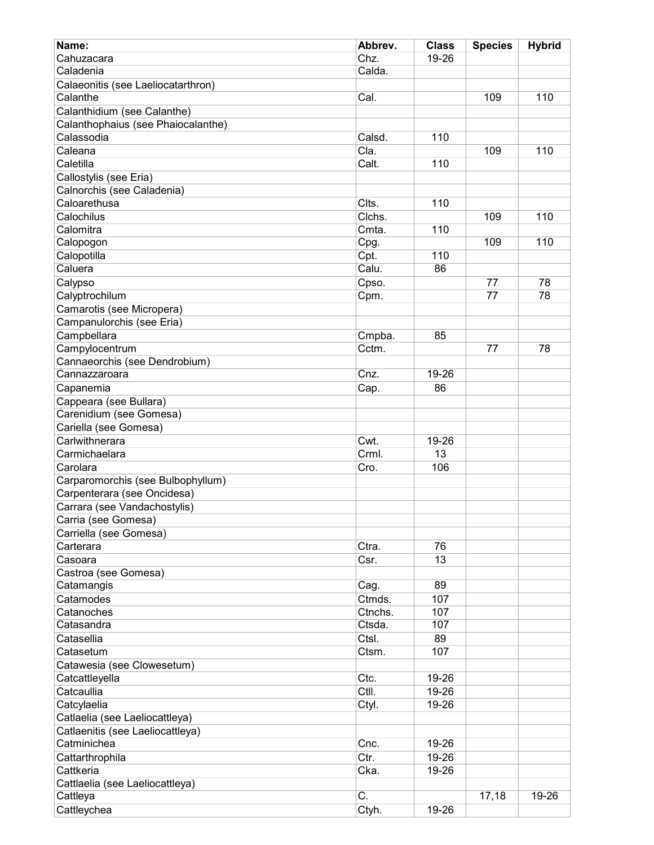| Name:                               | Abbrev.                   | <b>Class</b> | <b>Species</b> | <b>Hybrid</b> |
|-------------------------------------|---------------------------|--------------|----------------|---------------|
| Cahuzacara                          | Chz.                      | 19-26        |                |               |
| Caladenia                           | Calda.                    |              |                |               |
| Calaeonitis (see Laeliocatarthron)  |                           |              |                |               |
| Calanthe                            | Cal.                      |              | 109            | 110           |
| Calanthidium (see Calanthe)         |                           |              |                |               |
| Calanthophaius (see Phaiocalanthe)  |                           |              |                |               |
| Calassodia                          | Calsd.                    | 110          |                |               |
| Caleana                             | Cla.                      |              | 109            | 110           |
| Caletilla                           | Calt.                     | 110          |                |               |
| Callostylis (see Eria)              |                           |              |                |               |
| Calnorchis (see Caladenia)          |                           |              |                |               |
| Caloarethusa                        | Clts.                     | 110          |                |               |
| Calochilus                          | Clchs.                    |              | 109            | 110           |
| Calomitra                           | Cmta.                     | 110          |                |               |
| Calopogon                           | Cpg.                      |              | 109            | 110           |
| Calopotilla                         | Cpt.                      | 110          |                |               |
| Caluera                             | Calu.                     | 86           |                |               |
| Calypso                             | Cpso.                     |              | 77             | 78            |
| Calyptrochilum                      | Cpm.                      |              | 77             | 78            |
| Camarotis (see Micropera)           |                           |              |                |               |
| Campanulorchis (see Eria)           |                           |              |                |               |
| Campbellara                         | Cmpba.                    | 85           |                |               |
| Campylocentrum                      | Cctm.                     |              | 77             | 78            |
| Cannaeorchis (see Dendrobium)       |                           |              |                |               |
| Cannazzaroara                       | Cnz.                      | 19-26        |                |               |
| Capanemia                           | Cap.                      | 86           |                |               |
| Cappeara (see Bullara)              |                           |              |                |               |
| Carenidium (see Gomesa)             |                           |              |                |               |
| Cariella (see Gomesa)               |                           |              |                |               |
| Carlwithnerara                      | Cwt.                      | 19-26        |                |               |
| Carmichaelara                       | Crml.                     | 13           |                |               |
| Carolara                            | Cro.                      | 106          |                |               |
| Carparomorchis (see Bulbophyllum)   |                           |              |                |               |
| Carpenterara (see Oncidesa)         |                           |              |                |               |
| Carrara (see Vandachostylis)        |                           |              |                |               |
|                                     |                           |              |                |               |
| Carria (see Gomesa)                 |                           |              |                |               |
| Carriella (see Gomesa)<br>Carterara | Ctra.                     | 76           |                |               |
| Casoara                             | Csr.                      | 13           |                |               |
| Castroa (see Gomesa)                |                           |              |                |               |
| Catamangis                          |                           | 89           |                |               |
| Catamodes                           | Cag.<br>Ctmds.            | 107          |                |               |
|                                     |                           |              |                |               |
| Catanoches<br>Catasandra            | Ctnchs.<br>Ctsda.         | 107<br>107   |                |               |
|                                     |                           |              |                |               |
| Catasellia                          | Ctsl.                     | 89           |                |               |
| Catasetum                           | Ctsm.                     | 107          |                |               |
| Catawesia (see Clowesetum)          |                           |              |                |               |
| Catcattleyella                      | Ctc.                      | 19-26        |                |               |
| Catcaullia                          | Ctll.                     | 19-26        |                |               |
| Catcylaelia                         | Ctyl.                     | 19-26        |                |               |
| Catlaelia (see Laeliocattleya)      |                           |              |                |               |
| Catlaenitis (see Laeliocattleya)    |                           |              |                |               |
| Catminichea                         | Cnc.                      | 19-26        |                |               |
| Cattarthrophila                     | Ctr.                      | 19-26        |                |               |
| Cattkeria                           | Cka.                      | 19-26        |                |               |
| Cattlaelia (see Laeliocattleya)     |                           |              |                |               |
| Cattleya                            | $\overline{\mathsf{C}}$ . |              | 17,18          | 19-26         |
| Cattleychea                         | Ctyh.                     | 19-26        |                |               |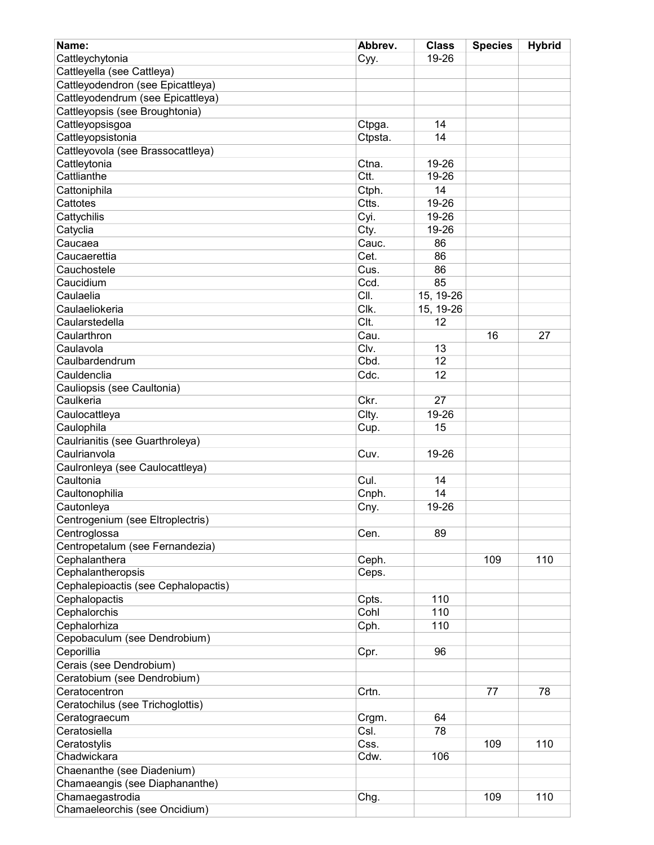| Name:                               | Abbrev. | <b>Class</b>    | <b>Species</b> | <b>Hybrid</b> |
|-------------------------------------|---------|-----------------|----------------|---------------|
| Cattleychytonia                     | Cyy.    | 19-26           |                |               |
| Cattleyella (see Cattleya)          |         |                 |                |               |
| Cattleyodendron (see Epicattleya)   |         |                 |                |               |
| Cattleyodendrum (see Epicattleya)   |         |                 |                |               |
| Cattleyopsis (see Broughtonia)      |         |                 |                |               |
| Cattleyopsisgoa                     | Ctpga.  | 14              |                |               |
| Cattleyopsistonia                   | Ctpsta. | 14              |                |               |
| Cattleyovola (see Brassocattleya)   |         |                 |                |               |
| Cattleytonia                        | Ctna.   | 19-26           |                |               |
| Cattlianthe                         | Ctt.    | 19-26           |                |               |
| Cattoniphila                        | Ctph.   | 14              |                |               |
| Cattotes                            | Ctts.   | 19-26           |                |               |
| Cattychilis                         | Cyi.    | 19-26           |                |               |
| Catyclia                            | Cty.    | 19-26           |                |               |
| Caucaea                             | Cauc.   | 86              |                |               |
| Caucaerettia                        | Cet.    | 86              |                |               |
| Cauchostele                         | Cus.    | 86              |                |               |
| Caucidium                           | Ccd.    | 85              |                |               |
|                                     | CII.    |                 |                |               |
| Caulaelia                           |         | 15, 19-26       |                |               |
| Caulaeliokeria                      | Clk.    | 15, 19-26       |                |               |
| Caularstedella                      | Clt.    | 12              |                |               |
| Caularthron                         | Cau.    |                 | 16             | 27            |
| Caulavola                           | Clv.    | 13              |                |               |
| Caulbardendrum                      | Cbd.    | 12              |                |               |
| Cauldenclia                         | Cdc.    | 12              |                |               |
| Cauliopsis (see Caultonia)          |         |                 |                |               |
| Caulkeria                           | Ckr.    | $\overline{27}$ |                |               |
| Caulocattleya                       | Clty.   | 19-26           |                |               |
| Caulophila                          | Cup.    | 15              |                |               |
| Caulrianitis (see Guarthroleya)     |         |                 |                |               |
| Caulrianvola                        | Cuv.    | 19-26           |                |               |
| Caulronleya (see Caulocattleya)     |         |                 |                |               |
| Caultonia                           | Cul.    | 14              |                |               |
| Caultonophilia                      | Cnph.   | 14              |                |               |
| Cautonleya                          | Cny.    | 19-26           |                |               |
| Centrogenium (see Eltroplectris)    |         |                 |                |               |
| Centroglossa                        | Cen.    | 89              |                |               |
| Centropetalum (see Fernandezia)     |         |                 |                |               |
| Cephalanthera                       | Ceph.   |                 | 109            | 110           |
| Cephalantheropsis                   | Ceps.   |                 |                |               |
| Cephalepioactis (see Cephalopactis) |         |                 |                |               |
| Cephalopactis                       | Cpts.   | 110             |                |               |
| Cephalorchis                        | Cohl    | 110             |                |               |
| Cephalorhiza                        | Cph.    | 110             |                |               |
| Cepobaculum (see Dendrobium)        |         |                 |                |               |
| Ceporillia                          | Cpr.    | 96              |                |               |
| Cerais (see Dendrobium)             |         |                 |                |               |
| Ceratobium (see Dendrobium)         |         |                 |                |               |
| Ceratocentron                       | Crtn.   |                 | 77             | 78            |
| Ceratochilus (see Trichoglottis)    |         |                 |                |               |
| Ceratograecum                       | Crgm.   | 64              |                |               |
| Ceratosiella                        | Csl.    | 78              |                |               |
| Ceratostylis                        | Css.    |                 | 109            | 110           |
| Chadwickara                         | Cdw.    | 106             |                |               |
| Chaenanthe (see Diadenium)          |         |                 |                |               |
| Chamaeangis (see Diaphananthe)      |         |                 |                |               |
| Chamaegastrodia                     | Chg.    |                 | 109            | 110           |
| Chamaeleorchis (see Oncidium)       |         |                 |                |               |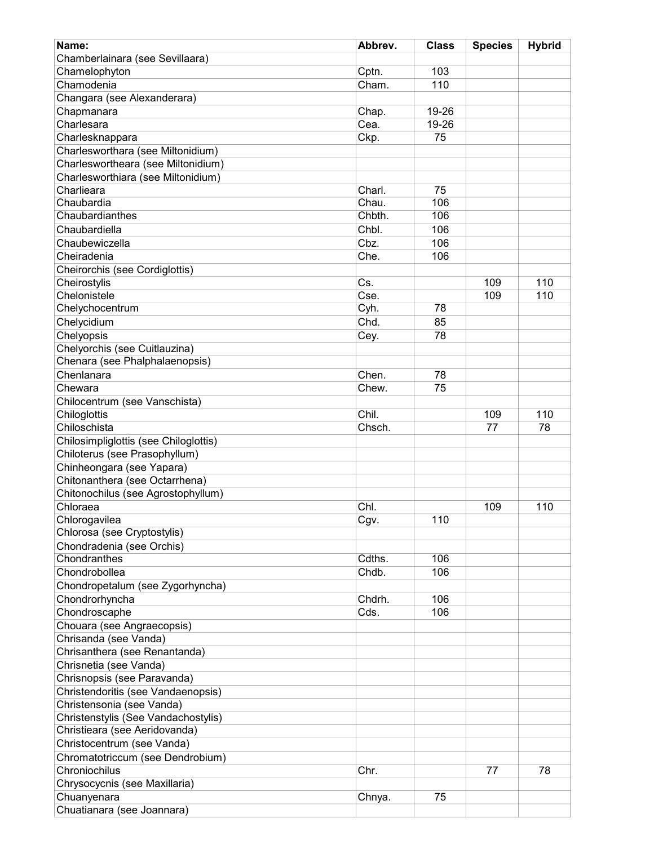| Name:                                 | Abbrev. | <b>Class</b> | <b>Species</b> | <b>Hybrid</b> |
|---------------------------------------|---------|--------------|----------------|---------------|
| Chamberlainara (see Sevillaara)       |         |              |                |               |
| Chamelophyton                         | Cptn.   | 103          |                |               |
| Chamodenia                            | Cham.   | 110          |                |               |
| Changara (see Alexanderara)           |         |              |                |               |
| Chapmanara                            | Chap.   | 19-26        |                |               |
| Charlesara                            | Cea.    | 19-26        |                |               |
| Charlesknappara                       | Ckp.    | 75           |                |               |
| Charlesworthara (see Miltonidium)     |         |              |                |               |
| Charleswortheara (see Miltonidium)    |         |              |                |               |
| Charlesworthiara (see Miltonidium)    |         |              |                |               |
| Charlieara                            | Charl.  | 75           |                |               |
| Chaubardia                            | Chau.   | 106          |                |               |
| Chaubardianthes                       | Chbth.  | 106          |                |               |
| Chaubardiella                         | Chbl.   | 106          |                |               |
| Chaubewiczella                        | Cbz.    | 106          |                |               |
|                                       |         |              |                |               |
| Cheiradenia                           | Che.    | 106          |                |               |
| Cheirorchis (see Cordiglottis)        |         |              |                |               |
| Cheirostylis                          | Cs.     |              | 109            | 110           |
| Chelonistele                          | Cse.    |              | 109            | 110           |
| Chelychocentrum                       | Cyh.    | 78           |                |               |
| Chelycidium                           | Chd.    | 85           |                |               |
| Chelyopsis                            | Cey.    | 78           |                |               |
| Chelyorchis (see Cuitlauzina)         |         |              |                |               |
| Chenara (see Phalphalaenopsis)        |         |              |                |               |
| Chenlanara                            | Chen.   | 78           |                |               |
| Chewara                               | Chew.   | 75           |                |               |
| Chilocentrum (see Vanschista)         |         |              |                |               |
| Chiloglottis                          | Chil.   |              | 109            | 110           |
| Chiloschista                          | Chsch.  |              | 77             | 78            |
| Chilosimpliglottis (see Chiloglottis) |         |              |                |               |
| Chiloterus (see Prasophyllum)         |         |              |                |               |
| Chinheongara (see Yapara)             |         |              |                |               |
| Chitonanthera (see Octarrhena)        |         |              |                |               |
| Chitonochilus (see Agrostophyllum)    |         |              |                |               |
| Chloraea                              | Chl.    |              | 109            | 110           |
| Chlorogavilea                         | Cgv.    | 110          |                |               |
| Chlorosa (see Cryptostylis)           |         |              |                |               |
| Chondradenia (see Orchis)             |         |              |                |               |
| Chondranthes                          | Cdths.  | 106          |                |               |
| Chondrobollea                         | Chdb.   | 106          |                |               |
|                                       |         |              |                |               |
| Chondropetalum (see Zygorhyncha)      |         |              |                |               |
| Chondrorhyncha                        | Chdrh.  | 106          |                |               |
| Chondroscaphe                         | Cds.    | 106          |                |               |
| Chouara (see Angraecopsis)            |         |              |                |               |
| Chrisanda (see Vanda)                 |         |              |                |               |
| Chrisanthera (see Renantanda)         |         |              |                |               |
| Chrisnetia (see Vanda)                |         |              |                |               |
| Chrisnopsis (see Paravanda)           |         |              |                |               |
| Christendoritis (see Vandaenopsis)    |         |              |                |               |
| Christensonia (see Vanda)             |         |              |                |               |
| Christenstylis (See Vandachostylis)   |         |              |                |               |
| Christieara (see Aeridovanda)         |         |              |                |               |
| Christocentrum (see Vanda)            |         |              |                |               |
| Chromatotriccum (see Dendrobium)      |         |              |                |               |
| Chroniochilus                         | Chr.    |              | 77             | 78            |
| Chrysocycnis (see Maxillaria)         |         |              |                |               |
| Chuanyenara                           | Chnya.  | 75           |                |               |
| Chuatianara (see Joannara)            |         |              |                |               |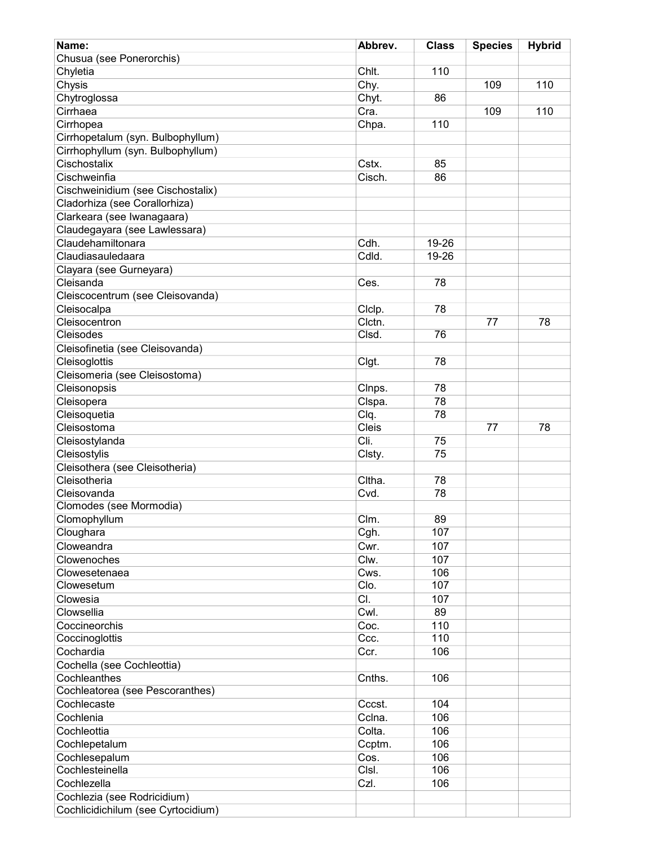| Name:                              | Abbrev. | <b>Class</b> | <b>Species</b> | <b>Hybrid</b> |
|------------------------------------|---------|--------------|----------------|---------------|
| Chusua (see Ponerorchis)           |         |              |                |               |
| Chyletia                           | Chlt.   | 110          |                |               |
| Chysis                             | Chy.    |              | 109            | 110           |
| Chytroglossa                       | Chyt.   | 86           |                |               |
| Cirrhaea                           | Cra.    |              | 109            | 110           |
| Cirrhopea                          | Chpa.   | 110          |                |               |
| Cirrhopetalum (syn. Bulbophyllum)  |         |              |                |               |
| Cirrhophyllum (syn. Bulbophyllum)  |         |              |                |               |
| Cischostalix                       | Cstx.   | 85           |                |               |
|                                    | Cisch.  |              |                |               |
| Cischweinfia                       |         | 86           |                |               |
| Cischweinidium (see Cischostalix)  |         |              |                |               |
| Cladorhiza (see Corallorhiza)      |         |              |                |               |
| Clarkeara (see Iwanagaara)         |         |              |                |               |
| Claudegayara (see Lawlessara)      |         |              |                |               |
| Claudehamiltonara                  | Cdh.    | 19-26        |                |               |
| Claudiasauledaara                  | Cdld.   | 19-26        |                |               |
| Clayara (see Gurneyara)            |         |              |                |               |
| Cleisanda                          | Ces.    | 78           |                |               |
| Cleiscocentrum (see Cleisovanda)   |         |              |                |               |
| Cleisocalpa                        | Clclp.  | 78           |                |               |
| Cleisocentron                      | Clctn.  |              | 77             | 78            |
| Cleisodes                          | Clsd.   | 76           |                |               |
| Cleisofinetia (see Cleisovanda)    |         |              |                |               |
| Cleisoglottis                      | Clgt.   | 78           |                |               |
| Cleisomeria (see Cleisostoma)      |         |              |                |               |
| Cleisonopsis                       | Clnps.  | 78           |                |               |
| Cleisopera                         | Clspa.  | 78           |                |               |
| Cleisoquetia                       | Clq.    | 78           |                |               |
| Cleisostoma                        | Cleis   |              | 77             | 78            |
| Cleisostylanda                     | Cli.    | 75           |                |               |
| Cleisostylis                       | Clsty.  | 75           |                |               |
| Cleisothera (see Cleisotheria)     |         |              |                |               |
| Cleisotheria                       | Cltha.  | 78           |                |               |
| Cleisovanda                        | Cvd.    | 78           |                |               |
| Clomodes (see Mormodia)            |         |              |                |               |
|                                    |         |              |                |               |
| Clomophyllum                       | Clm.    | 89           |                |               |
| Cloughara                          | Cgh.    | 107          |                |               |
| Cloweandra                         | Cwr.    | 107          |                |               |
| Clowenoches                        | Clw.    | 107          |                |               |
| Clowesetenaea                      | Cws.    | 106          |                |               |
| Clowesetum                         | CIO.    | 107          |                |               |
| Clowesia                           | CI.     | 107          |                |               |
| Clowsellia                         | Cwl.    | 89           |                |               |
| Coccineorchis                      | Coc.    | 110          |                |               |
| Coccinoglottis                     | Ccc.    | 110          |                |               |
| Cochardia                          | Ccr.    | 106          |                |               |
| Cochella (see Cochleottia)         |         |              |                |               |
| Cochleanthes                       | Cnths.  | 106          |                |               |
| Cochleatorea (see Pescoranthes)    |         |              |                |               |
| Cochlecaste                        | Cccst.  | 104          |                |               |
| Cochlenia                          | Cclna.  | 106          |                |               |
| Cochleottia                        | Colta.  | 106          |                |               |
| Cochlepetalum                      | Ccptm.  | 106          |                |               |
| Cochlesepalum                      | Cos.    | 106          |                |               |
| Cochlesteinella                    | CIsl.   | 106          |                |               |
| Cochlezella                        | Czl.    | 106          |                |               |
| Cochlezia (see Rodricidium)        |         |              |                |               |
|                                    |         |              |                |               |
| Cochlicidichilum (see Cyrtocidium) |         |              |                |               |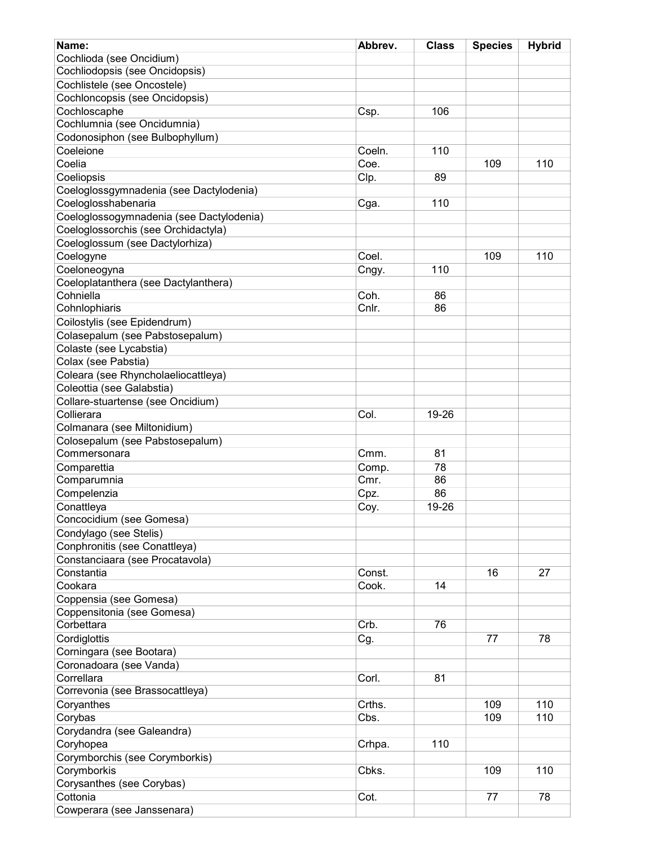| Name:                                           | Abbrev.       | <b>Class</b> | <b>Species</b> | <b>Hybrid</b> |
|-------------------------------------------------|---------------|--------------|----------------|---------------|
| Cochlioda (see Oncidium)                        |               |              |                |               |
| Cochliodopsis (see Oncidopsis)                  |               |              |                |               |
| Cochlistele (see Oncostele)                     |               |              |                |               |
| Cochloncopsis (see Oncidopsis)                  |               |              |                |               |
| Cochloscaphe                                    | Csp.          | 106          |                |               |
| Cochlumnia (see Oncidumnia)                     |               |              |                |               |
| Codonosiphon (see Bulbophyllum)                 |               |              |                |               |
| Coeleione                                       | Coeln.        | 110          |                |               |
| Coelia                                          | Coe.          |              | 109            | 110           |
| Coeliopsis                                      | Clp.          | 89           |                |               |
| Coeloglossgymnadenia (see Dactylodenia)         |               |              |                |               |
| Coeloglosshabenaria                             | Cga.          | 110          |                |               |
| Coeloglossogymnadenia (see Dactylodenia)        |               |              |                |               |
| Coeloglossorchis (see Orchidactyla)             |               |              |                |               |
| Coeloglossum (see Dactylorhiza)                 |               |              |                |               |
| Coelogyne                                       | Coel.         |              | 109            | 110           |
| Coeloneogyna                                    | Cngy.         | 110          |                |               |
| Coeloplatanthera (see Dactylanthera)            |               |              |                |               |
| Cohniella                                       | Coh.          | 86           |                |               |
| Cohnlophiaris                                   | Cnlr.         | 86           |                |               |
| Coilostylis (see Epidendrum)                    |               |              |                |               |
| Colasepalum (see Pabstosepalum)                 |               |              |                |               |
| Colaste (see Lycabstia)                         |               |              |                |               |
| Colax (see Pabstia)                             |               |              |                |               |
| Coleara (see Rhyncholaeliocattleya)             |               |              |                |               |
| Coleottia (see Galabstia)                       |               |              |                |               |
| Collare-stuartense (see Oncidium)               |               |              |                |               |
| Collierara                                      | Col.          | 19-26        |                |               |
|                                                 |               |              |                |               |
| Colmanara (see Miltonidium)                     |               |              |                |               |
| Colosepalum (see Pabstosepalum)<br>Commersonara | Cmm.          | 81           |                |               |
|                                                 |               |              |                |               |
| Comparettia                                     | Comp.<br>Cmr. | 78<br>86     |                |               |
| Comparumnia                                     |               |              |                |               |
| Compelenzia                                     | Cpz.          | 86           |                |               |
| Conattleya                                      | Coy.          | 19-26        |                |               |
| Concocidium (see Gomesa)                        |               |              |                |               |
| Condylago (see Stelis)                          |               |              |                |               |
| Conphronitis (see Conattleya)                   |               |              |                |               |
| Constanciaara (see Procatavola)                 |               |              |                |               |
| Constantia                                      | Const.        |              | 16             | 27            |
| Cookara                                         | Cook.         | 14           |                |               |
| Coppensia (see Gomesa)                          |               |              |                |               |
| Coppensitonia (see Gomesa)                      |               |              |                |               |
| Corbettara                                      | Crb.          | 76           |                |               |
| Cordiglottis                                    | Cg.           |              | 77             | 78            |
| Corningara (see Bootara)                        |               |              |                |               |
| Coronadoara (see Vanda)                         |               |              |                |               |
| Correllara                                      | Corl.         | 81           |                |               |
| Correvonia (see Brassocattleya)                 |               |              |                |               |
| Coryanthes                                      | Crths.        |              | 109            | 110           |
| Corybas                                         | Cbs.          |              | 109            | 110           |
| Corydandra (see Galeandra)                      |               |              |                |               |
| Coryhopea                                       | Crhpa.        | 110          |                |               |
| Corymborchis (see Corymborkis)                  |               |              |                |               |
| Corymborkis                                     | Cbks.         |              | 109            | 110           |
| Corysanthes (see Corybas)                       |               |              |                |               |
| Cottonia                                        | Cot.          |              | 77             | 78            |
| Cowperara (see Janssenara)                      |               |              |                |               |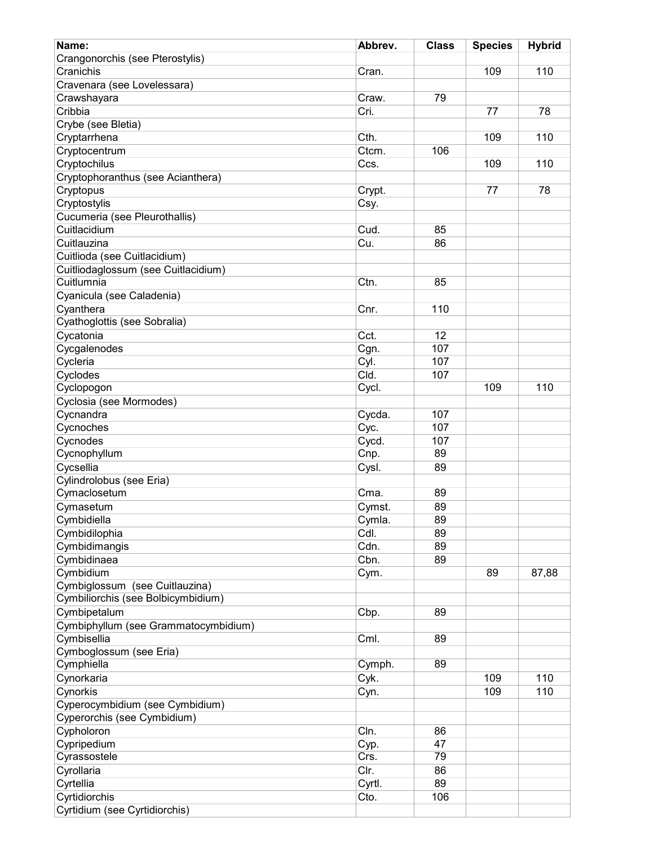| Name:                                | Abbrev. | <b>Class</b> | <b>Species</b> | <b>Hybrid</b> |
|--------------------------------------|---------|--------------|----------------|---------------|
| Crangonorchis (see Pterostylis)      |         |              |                |               |
| Cranichis                            | Cran.   |              | 109            | 110           |
| Cravenara (see Lovelessara)          |         |              |                |               |
| Crawshayara                          | Craw.   | 79           |                |               |
| Cribbia                              | Cri.    |              | 77             | 78            |
| Crybe (see Bletia)                   |         |              |                |               |
| Cryptarrhena                         | Cth.    |              | 109            | 110           |
| Cryptocentrum                        | Ctcm.   | 106          |                |               |
| Cryptochilus                         | Ccs.    |              | 109            | 110           |
| Cryptophoranthus (see Acianthera)    |         |              |                |               |
| Cryptopus                            | Crypt.  |              | 77             | 78            |
| Cryptostylis                         | Csy.    |              |                |               |
| Cucumeria (see Pleurothallis)        |         |              |                |               |
| Cuitlacidium                         | Cud.    | 85           |                |               |
| Cuitlauzina                          | Cu.     | 86           |                |               |
| Cuitlioda (see Cuitlacidium)         |         |              |                |               |
| Cuitliodaglossum (see Cuitlacidium)  |         |              |                |               |
| Cuitlumnia                           | Ctn.    | 85           |                |               |
| Cyanicula (see Caladenia)            |         |              |                |               |
| Cyanthera                            | Cnr.    | 110          |                |               |
| Cyathoglottis (see Sobralia)         |         |              |                |               |
| Cycatonia                            | Cct.    | 12           |                |               |
|                                      |         | 107          |                |               |
| Cycgalenodes                         | Cgn.    |              |                |               |
| Cycleria                             | Cyl.    | 107          |                |               |
| Cyclodes                             | Cld.    | 107          |                |               |
| Cyclopogon                           | Cycl.   |              | 109            | 110           |
| Cyclosia (see Mormodes)              |         |              |                |               |
| Cycnandra                            | Cycda.  | 107          |                |               |
| Cycnoches                            | Cyc.    | 107          |                |               |
| Cycnodes                             | Cycd.   | 107          |                |               |
| Cycnophyllum                         | Cnp.    | 89           |                |               |
| Cycsellia                            | Cysl.   | 89           |                |               |
| Cylindrolobus (see Eria)             |         |              |                |               |
| Cymaclosetum                         | Cma.    | 89           |                |               |
| Cymasetum                            | Cymst.  | 89           |                |               |
| Cymbidiella                          | Cymla.  | 89           |                |               |
| Cymbidilophia                        | Cdl.    | 89           |                |               |
| Cymbidimangis                        | Cdn.    | 89           |                |               |
| Cymbidinaea                          | Cbn.    | 89           |                |               |
| Cymbidium                            | Cym.    |              | 89             | 87,88         |
| Cymbiglossum (see Cuitlauzina)       |         |              |                |               |
| Cymbiliorchis (see Bolbicymbidium)   |         |              |                |               |
| Cymbipetalum                         | Cbp.    | 89           |                |               |
| Cymbiphyllum (see Grammatocymbidium) |         |              |                |               |
| Cymbisellia                          | Cml.    | 89           |                |               |
| Cymboglossum (see Eria)              |         |              |                |               |
| Cymphiella                           | Cymph.  | 89           |                |               |
|                                      |         |              |                |               |
| Cynorkaria                           | Cyk.    |              | 109            | 110           |
| Cynorkis                             | Cyn.    |              | 109            | 110           |
| Cyperocymbidium (see Cymbidium)      |         |              |                |               |
| Cyperorchis (see Cymbidium)          |         |              |                |               |
| Cypholoron                           | Cln.    | 86           |                |               |
| Cypripedium                          | Cyp.    | 47           |                |               |
| Cyrassostele                         | Crs.    | 79           |                |               |
| Cyrollaria                           | Clr.    | 86           |                |               |
| Cyrtellia                            | Cyrtl.  | 89           |                |               |
| Cyrtidiorchis                        | Cto.    | 106          |                |               |
| Cyrtidium (see Cyrtidiorchis)        |         |              |                |               |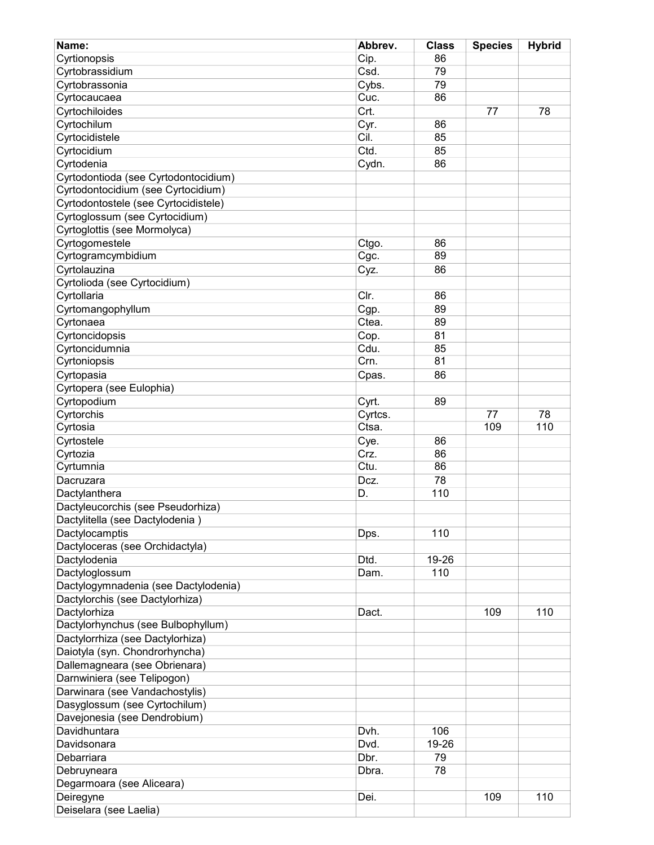| Name:                                | Abbrev. | <b>Class</b> | <b>Species</b> | <b>Hybrid</b> |
|--------------------------------------|---------|--------------|----------------|---------------|
| Cyrtionopsis                         | Cip.    | 86           |                |               |
| Cyrtobrassidium                      | Csd.    | 79           |                |               |
| Cyrtobrassonia                       | Cybs.   | 79           |                |               |
| Cyrtocaucaea                         | Cuc.    | 86           |                |               |
| Cyrtochiloides                       | Crt.    |              | 77             | 78            |
| Cyrtochilum                          | Cyr.    | 86           |                |               |
| Cyrtocidistele                       | Cil.    | 85           |                |               |
| Cyrtocidium                          | Ctd.    | 85           |                |               |
| Cyrtodenia                           | Cydn.   | 86           |                |               |
| Cyrtodontioda (see Cyrtodontocidium) |         |              |                |               |
| Cyrtodontocidium (see Cyrtocidium)   |         |              |                |               |
| Cyrtodontostele (see Cyrtocidistele) |         |              |                |               |
| Cyrtoglossum (see Cyrtocidium)       |         |              |                |               |
| Cyrtoglottis (see Mormolyca)         |         |              |                |               |
| Cyrtogomestele                       | Ctgo.   | 86           |                |               |
| Cyrtogramcymbidium                   | Cgc.    | 89           |                |               |
| Cyrtolauzina                         | Cyz.    | 86           |                |               |
| Cyrtolioda (see Cyrtocidium)         |         |              |                |               |
| Cyrtollaria                          | Clr.    | 86           |                |               |
| Cyrtomangophyllum                    | Cgp.    | 89           |                |               |
| Cyrtonaea                            | Ctea.   | 89           |                |               |
| Cyrtoncidopsis                       | Cop.    | 81           |                |               |
| Cyrtoncidumnia                       | Cdu.    | 85           |                |               |
| Cyrtoniopsis                         | Crn.    | 81           |                |               |
| Cyrtopasia                           | Cpas.   | 86           |                |               |
| Cyrtopera (see Eulophia)             |         |              |                |               |
| Cyrtopodium                          | Cyrt.   | 89           |                |               |
| Cyrtorchis                           | Cyrtcs. |              | 77             | 78            |
| Cyrtosia                             | Ctsa.   |              | 109            | 110           |
| Cyrtostele                           | Cye.    | 86           |                |               |
| Cyrtozia                             | Crz.    | 86           |                |               |
| Cyrtumnia                            | Ctu.    | 86           |                |               |
| Dacruzara                            | Dcz.    | 78           |                |               |
| Dactylanthera                        | D.      | 110          |                |               |
| Dactyleucorchis (see Pseudorhiza)    |         |              |                |               |
| Dactylitella (see Dactylodenia)      |         |              |                |               |
| Dactylocamptis                       | Dps.    | 110          |                |               |
| Dactyloceras (see Orchidactyla)      |         |              |                |               |
| Dactylodenia                         | Dtd.    | 19-26        |                |               |
| Dactyloglossum                       | Dam.    | 110          |                |               |
| Dactylogymnadenia (see Dactylodenia) |         |              |                |               |
| Dactylorchis (see Dactylorhiza)      |         |              |                |               |
| Dactylorhiza                         | Dact.   |              | 109            | 110           |
| Dactylorhynchus (see Bulbophyllum)   |         |              |                |               |
| Dactylorrhiza (see Dactylorhiza)     |         |              |                |               |
| Daiotyla (syn. Chondrorhyncha)       |         |              |                |               |
| Dallemagneara (see Obrienara)        |         |              |                |               |
| Darnwiniera (see Telipogon)          |         |              |                |               |
| Darwinara (see Vandachostylis)       |         |              |                |               |
| Dasyglossum (see Cyrtochilum)        |         |              |                |               |
| Davejonesia (see Dendrobium)         |         |              |                |               |
| Davidhuntara                         | Dvh.    | 106          |                |               |
| Davidsonara                          | Dvd.    | 19-26        |                |               |
| Debarriara                           | Dbr.    | 79           |                |               |
| Debruyneara                          | Dbra.   | 78           |                |               |
| Degarmoara (see Aliceara)            |         |              |                |               |
| Deiregyne                            | Dei.    |              | 109            | 110           |
| Deiselara (see Laelia)               |         |              |                |               |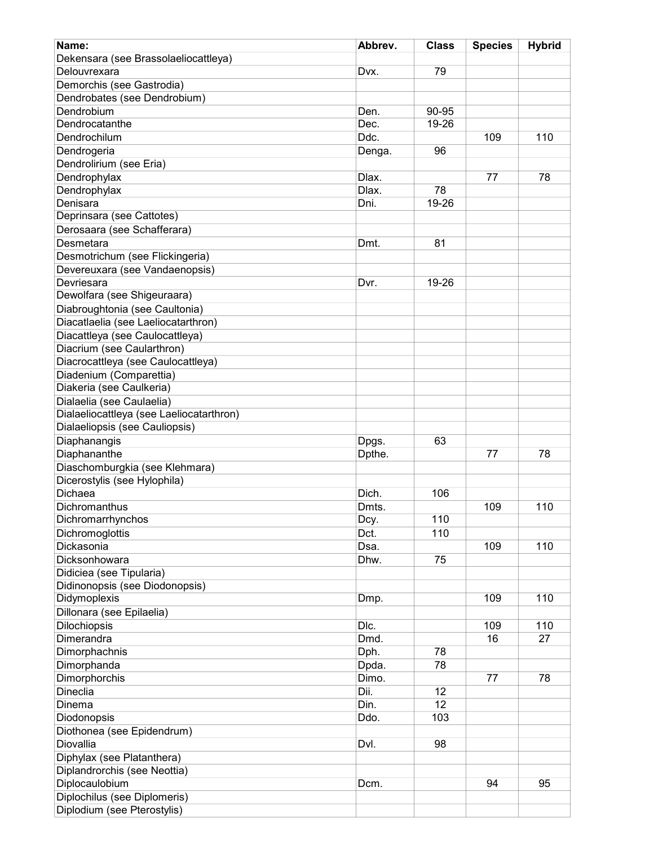| Name:                                    | Abbrev. | <b>Class</b> | <b>Species</b> | <b>Hybrid</b> |
|------------------------------------------|---------|--------------|----------------|---------------|
| Dekensara (see Brassolaeliocattleya)     |         |              |                |               |
| Delouvrexara                             | Dvx.    | 79           |                |               |
| Demorchis (see Gastrodia)                |         |              |                |               |
| Dendrobates (see Dendrobium)             |         |              |                |               |
| Dendrobium                               | Den.    | 90-95        |                |               |
| Dendrocatanthe                           | Dec.    | $19 - 26$    |                |               |
| Dendrochilum                             | Ddc.    |              | 109            | 110           |
| Dendrogeria                              | Denga.  | 96           |                |               |
| Dendrolirium (see Eria)                  |         |              |                |               |
| Dendrophylax                             | Dlax.   |              | 77             | 78            |
| Dendrophylax                             | Dlax.   | 78           |                |               |
| Denisara                                 | Dni.    | 19-26        |                |               |
| Deprinsara (see Cattotes)                |         |              |                |               |
| Derosaara (see Schafferara)              |         |              |                |               |
| Desmetara                                | Dmt.    | 81           |                |               |
| Desmotrichum (see Flickingeria)          |         |              |                |               |
| Devereuxara (see Vandaenopsis)           |         |              |                |               |
| Devriesara                               | Dvr.    | 19-26        |                |               |
| Dewolfara (see Shigeuraara)              |         |              |                |               |
| Diabroughtonia (see Caultonia)           |         |              |                |               |
| Diacatlaelia (see Laeliocatarthron)      |         |              |                |               |
| Diacattleya (see Caulocattleya)          |         |              |                |               |
| Diacrium (see Caularthron)               |         |              |                |               |
| Diacrocattleya (see Caulocattleya)       |         |              |                |               |
| Diadenium (Comparettia)                  |         |              |                |               |
| Diakeria (see Caulkeria)                 |         |              |                |               |
| Dialaelia (see Caulaelia)                |         |              |                |               |
| Dialaeliocattleya (see Laeliocatarthron) |         |              |                |               |
| Dialaeliopsis (see Cauliopsis)           |         |              |                |               |
| Diaphanangis                             | Dpgs.   | 63           |                |               |
| Diaphananthe                             | Dpthe.  |              | 77             | 78            |
| Diaschomburgkia (see Klehmara)           |         |              |                |               |
| Dicerostylis (see Hylophila)             |         |              |                |               |
| <b>Dichaea</b>                           | Dich.   | 106          |                |               |
| Dichromanthus                            | Dmts.   |              | 109            | 110           |
| Dichromarrhynchos                        | Dcy.    | 110          |                |               |
| Dichromoglottis                          | Dct.    | 110          |                |               |
| Dickasonia                               | Dsa.    |              | 109            | 110           |
| Dicksonhowara                            | Dhw.    | 75           |                |               |
| Didiciea (see Tipularia)                 |         |              |                |               |
| Didinonopsis (see Diodonopsis)           |         |              |                |               |
| Didymoplexis                             | Dmp.    |              | 109            | 110           |
| Dillonara (see Epilaelia)                |         |              |                |               |
| <b>Dilochiopsis</b>                      | Dlc.    |              | 109            | 110           |
| Dimerandra                               | Dmd.    |              | 16             | 27            |
| Dimorphachnis                            | Dph.    | 78           |                |               |
| Dimorphanda                              | Dpda.   | 78           |                |               |
| Dimorphorchis                            | Dimo.   |              | 77             | 78            |
| <b>Dineclia</b>                          | Dii.    | 12           |                |               |
| Dinema                                   | Din.    | 12           |                |               |
| Diodonopsis                              | Ddo.    | 103          |                |               |
| Diothonea (see Epidendrum)               |         |              |                |               |
| Diovallia                                | Dvl.    | 98           |                |               |
| Diphylax (see Platanthera)               |         |              |                |               |
| Diplandrorchis (see Neottia)             |         |              |                |               |
| Diplocaulobium                           | Dcm.    |              | 94             | 95            |
| Diplochilus (see Diplomeris)             |         |              |                |               |
| Diplodium (see Pterostylis)              |         |              |                |               |
|                                          |         |              |                |               |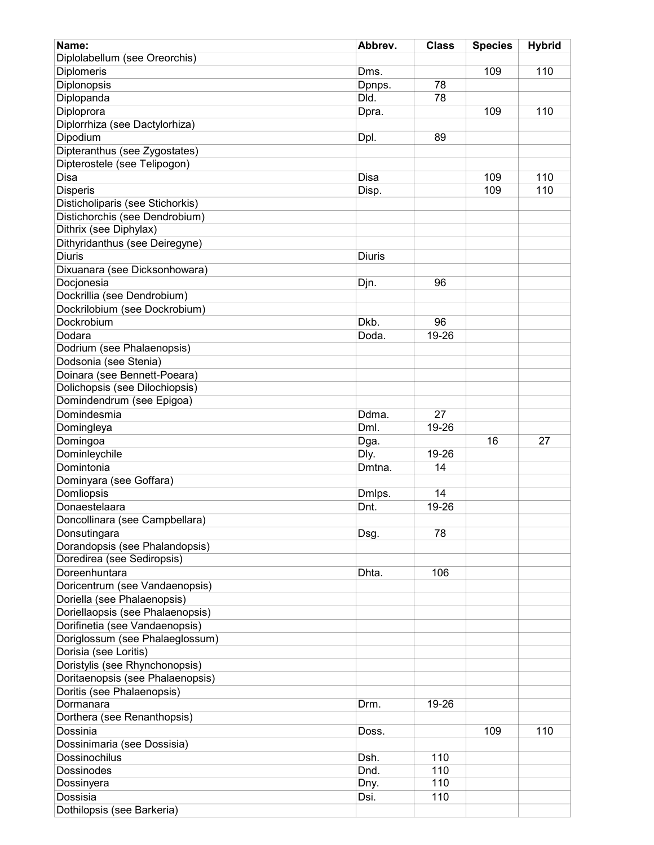| Name:                                   | Abbrev.       | <b>Class</b> | <b>Species</b> | <b>Hybrid</b> |
|-----------------------------------------|---------------|--------------|----------------|---------------|
| Diplolabellum (see Oreorchis)           |               |              |                |               |
| Diplomeris                              | Dms.          |              | 109            | 110           |
| Diplonopsis                             | Dpnps.        | 78           |                |               |
| Diplopanda                              | Dld.          | 78           |                |               |
| Diploprora                              | Dpra.         |              | 109            | 110           |
| Diplorrhiza (see Dactylorhiza)          |               |              |                |               |
|                                         |               |              |                |               |
| Dipodium                                | Dpl.          | 89           |                |               |
| Dipteranthus (see Zygostates)           |               |              |                |               |
| Dipterostele (see Telipogon)            |               |              |                |               |
| Disa                                    | Disa          |              | 109            | 110           |
| <b>Disperis</b>                         | Disp.         |              | 109            | 110           |
| Disticholiparis (see Stichorkis)        |               |              |                |               |
| Distichorchis (see Dendrobium)          |               |              |                |               |
| Dithrix (see Diphylax)                  |               |              |                |               |
| Dithyridanthus (see Deiregyne)          |               |              |                |               |
| <b>Diuris</b>                           | <b>Diuris</b> |              |                |               |
| Dixuanara (see Dicksonhowara)           |               |              |                |               |
| Docjonesia                              | Djn.          | 96           |                |               |
| Dockrillia (see Dendrobium)             |               |              |                |               |
| Dockrilobium (see Dockrobium)           |               |              |                |               |
| Dockrobium                              | Dkb.          | 96           |                |               |
| Dodara                                  | Doda.         | 19-26        |                |               |
| Dodrium (see Phalaenopsis)              |               |              |                |               |
| Dodsonia (see Stenia)                   |               |              |                |               |
| Doinara (see Bennett-Poeara)            |               |              |                |               |
| Dolichopsis (see Dilochiopsis)          |               |              |                |               |
| Domindendrum (see Epigoa)               |               |              |                |               |
| Domindesmia                             | Ddma.         | 27           |                |               |
|                                         |               |              |                |               |
| Domingleya                              | Dml.          | 19-26        |                |               |
| Domingoa                                | Dga.          |              | 16             | 27            |
| Dominleychile                           | Dly.          | 19-26        |                |               |
| Domintonia                              | Dmtna.        | 14           |                |               |
| Dominyara (see Goffara)                 |               |              |                |               |
| Domliopsis                              | Dmlps.        | 14           |                |               |
| Donaestelaara                           | Dnt.          | 19-26        |                |               |
| Doncollinara (see Campbellara)          |               |              |                |               |
| Donsutingara                            | Dsg.          | 78           |                |               |
| Dorandopsis (see Phalandopsis)          |               |              |                |               |
| Doredirea (see Sediropsis)              |               |              |                |               |
| Doreenhuntara                           | Dhta.         | 106          |                |               |
| Doricentrum (see Vandaenopsis)          |               |              |                |               |
| Doriella (see Phalaenopsis)             |               |              |                |               |
| Doriellaopsis (see Phalaenopsis)        |               |              |                |               |
| Dorifinetia (see Vandaenopsis)          |               |              |                |               |
| Doriglossum (see Phalaeglossum)         |               |              |                |               |
| Dorisia (see Loritis)                   |               |              |                |               |
| Doristylis (see Rhynchonopsis)          |               |              |                |               |
| Doritaenopsis (see Phalaenopsis)        |               |              |                |               |
|                                         |               |              |                |               |
| Doritis (see Phalaenopsis)<br>Dormanara | Drm.          | 19-26        |                |               |
|                                         |               |              |                |               |
| Dorthera (see Renanthopsis)             |               |              |                |               |
| Dossinia                                | Doss.         |              | 109            | 110           |
| Dossinimaria (see Dossisia)             |               |              |                |               |
| <b>Dossinochilus</b>                    | Dsh.          | 110          |                |               |
| Dossinodes                              | Dnd.          | 110          |                |               |
| Dossinyera                              | Dny.          | 110          |                |               |
| Dossisia                                | Dsi.          | 110          |                |               |
| Dothilopsis (see Barkeria)              |               |              |                |               |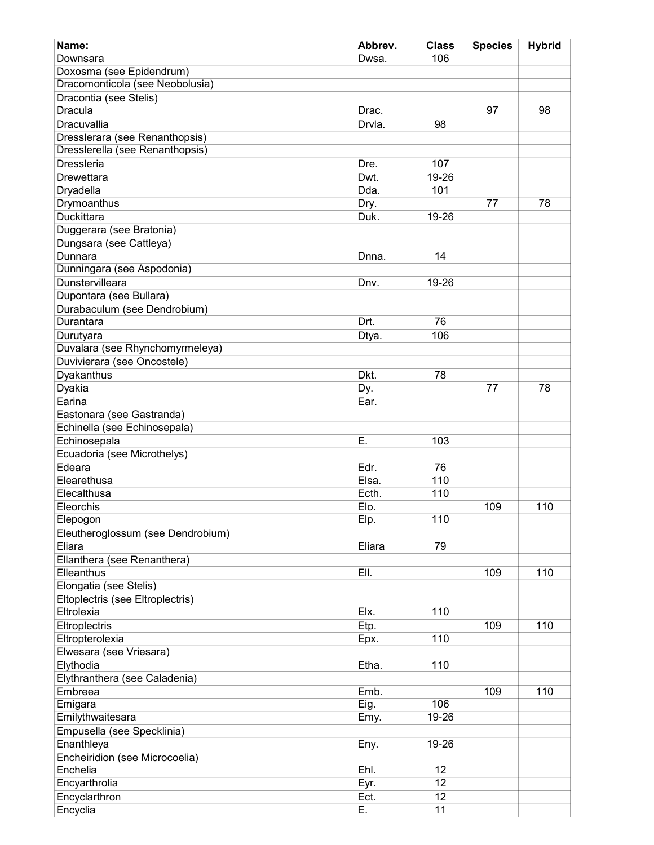| Name:                             | Abbrev. | <b>Class</b>    | <b>Species</b> | <b>Hybrid</b> |
|-----------------------------------|---------|-----------------|----------------|---------------|
| Downsara                          | Dwsa.   | 106             |                |               |
| Doxosma (see Epidendrum)          |         |                 |                |               |
| Dracomonticola (see Neobolusia)   |         |                 |                |               |
| Dracontia (see Stelis)            |         |                 |                |               |
| <b>Dracula</b>                    | Drac.   |                 | 97             | 98            |
| Dracuvallia                       | Drvla.  | 98              |                |               |
| Dresslerara (see Renanthopsis)    |         |                 |                |               |
| Dresslerella (see Renanthopsis)   |         |                 |                |               |
| <b>Dressleria</b>                 | Dre.    | 107             |                |               |
| Drewettara                        | Dwt.    | 19-26           |                |               |
| Dryadella                         | Dda.    | 101             |                |               |
| Drymoanthus                       | Dry.    |                 | 77             | 78            |
| Duckittara                        | Duk.    | 19-26           |                |               |
| Duggerara (see Bratonia)          |         |                 |                |               |
| Dungsara (see Cattleya)           |         |                 |                |               |
| Dunnara                           | Dnna.   | 14              |                |               |
| Dunningara (see Aspodonia)        |         |                 |                |               |
| Dunstervilleara                   | Dnv.    | 19-26           |                |               |
| Dupontara (see Bullara)           |         |                 |                |               |
| Durabaculum (see Dendrobium)      |         |                 |                |               |
| Durantara                         | Drt.    | 76              |                |               |
| Durutyara                         | Dtya.   | 106             |                |               |
| Duvalara (see Rhynchomyrmeleya)   |         |                 |                |               |
| Duvivierara (see Oncostele)       |         |                 |                |               |
| Dyakanthus                        | Dkt.    | 78              |                |               |
| Dyakia                            | Dy.     |                 | 77             | 78            |
| Earina                            | Ear.    |                 |                |               |
| Eastonara (see Gastranda)         |         |                 |                |               |
| Echinella (see Echinosepala)      |         |                 |                |               |
| Echinosepala                      | Е.      | 103             |                |               |
| Ecuadoria (see Microthelys)       |         |                 |                |               |
| Edeara                            | Edr.    | 76              |                |               |
| Elearethusa                       | Elsa.   | 110             |                |               |
| Elecalthusa                       | Ecth.   | 110             |                |               |
| Eleorchis                         | Elo.    |                 | 109            | 110           |
| Elepogon                          | Elp.    | 110             |                |               |
| Eleutheroglossum (see Dendrobium) |         |                 |                |               |
| Eliara                            | Eliara  | 79              |                |               |
| Ellanthera (see Renanthera)       |         |                 |                |               |
| Elleanthus                        | EII.    |                 | 109            | 110           |
| Elongatia (see Stelis)            |         |                 |                |               |
| Eltoplectris (see Eltroplectris)  |         |                 |                |               |
| Eltrolexia                        | Elx.    | 110             |                |               |
| Eltroplectris                     | Etp.    |                 | 109            | 110           |
| Eltropterolexia                   | Epx.    | 110             |                |               |
| Elwesara (see Vriesara)           |         |                 |                |               |
| Elythodia                         | Etha.   | 110             |                |               |
| Elythranthera (see Caladenia)     |         |                 |                |               |
| Embreea                           | Emb.    |                 | 109            | 110           |
| Emigara                           | Eig.    | 106             |                |               |
| Emilythwaitesara                  | Emy.    | 19-26           |                |               |
| Empusella (see Specklinia)        |         |                 |                |               |
| Enanthleya                        | Eny.    | 19-26           |                |               |
| Encheiridion (see Microcoelia)    |         |                 |                |               |
| Enchelia                          | Ehl.    | $\overline{12}$ |                |               |
| Encyarthrolia                     | Eyr.    | 12              |                |               |
| Encyclarthron                     | Ect.    | 12              |                |               |
| Encyclia                          | Ε.      | 11              |                |               |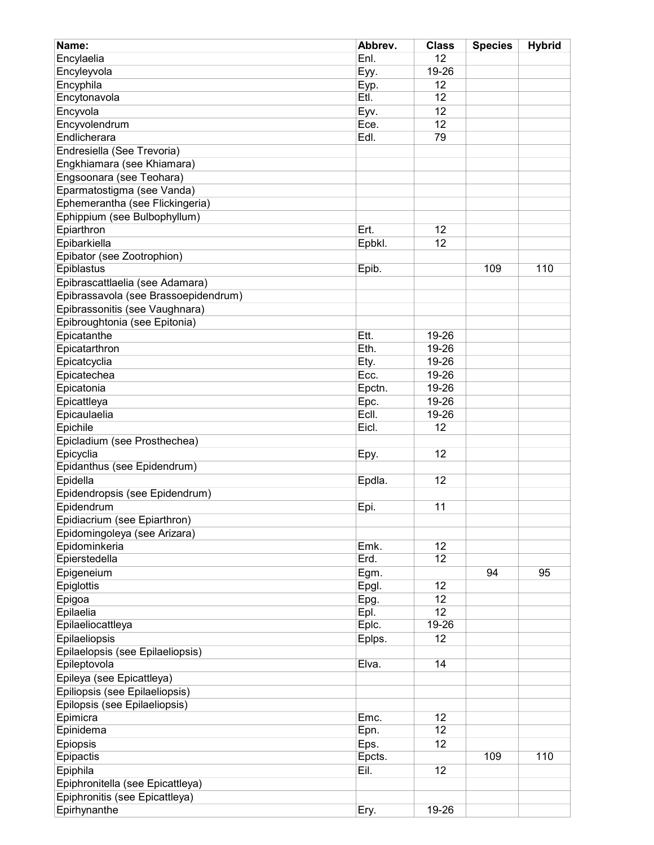| Encylaelia<br>Enl.<br>12<br>Encyleyvola<br>19-26<br>Eyy.<br>Encyphila<br>12<br>Eyp.<br>Encytonavola<br>Etl.<br>12<br>Encyvola<br>Eyv.<br>12 |     |
|---------------------------------------------------------------------------------------------------------------------------------------------|-----|
|                                                                                                                                             |     |
|                                                                                                                                             |     |
|                                                                                                                                             |     |
|                                                                                                                                             |     |
|                                                                                                                                             |     |
| Encyvolendrum<br>12<br>Ece.                                                                                                                 |     |
| Endlicherara<br>Edl.<br>79                                                                                                                  |     |
| Endresiella (See Trevoria)                                                                                                                  |     |
| Engkhiamara (see Khiamara)                                                                                                                  |     |
| Engsoonara (see Teohara)                                                                                                                    |     |
| Eparmatostigma (see Vanda)                                                                                                                  |     |
| Ephemerantha (see Flickingeria)                                                                                                             |     |
| Ephippium (see Bulbophyllum)                                                                                                                |     |
| Epiarthron<br>Ert.<br>12                                                                                                                    |     |
| Epibarkiella<br>Epbkl.<br>12                                                                                                                |     |
| Epibator (see Zootrophion)                                                                                                                  |     |
| Epiblastus<br>109<br>Epib.                                                                                                                  | 110 |
| Epibrascattlaelia (see Adamara)                                                                                                             |     |
| Epibrassavola (see Brassoepidendrum)                                                                                                        |     |
| Epibrassonitis (see Vaughnara)                                                                                                              |     |
| Epibroughtonia (see Epitonia)                                                                                                               |     |
| Epicatanthe<br>Ett.<br>19-26                                                                                                                |     |
| Eth.<br>19-26<br>Epicatarthron                                                                                                              |     |
| 19-26<br>Epicatcyclia<br>Ety.                                                                                                               |     |
| Epicatechea<br>Ecc.<br>19-26                                                                                                                |     |
| 19-26                                                                                                                                       |     |
| Epicatonia<br>Epctn.                                                                                                                        |     |
| 19-26<br>Epicattleya<br>Epc.                                                                                                                |     |
| Ecll.<br>Epicaulaelia<br>19-26                                                                                                              |     |
| Epichile<br>Eicl.<br>12                                                                                                                     |     |
| Epicladium (see Prosthechea)                                                                                                                |     |
| Epicyclia<br>12<br>Epy.                                                                                                                     |     |
| Epidanthus (see Epidendrum)                                                                                                                 |     |
| Epidella<br>12<br>Epdla.                                                                                                                    |     |
| Epidendropsis (see Epidendrum)                                                                                                              |     |
| Epidendrum<br>11<br>Epi.                                                                                                                    |     |
| Epidiacrium (see Epiarthron)                                                                                                                |     |
| Epidomingoleya (see Arizara)                                                                                                                |     |
| Epidominkeria<br>12<br>Emk.                                                                                                                 |     |
| Epierstedella<br>Erd.<br>12                                                                                                                 |     |
| Epigeneium<br>Egm.<br>94                                                                                                                    | 95  |
| 12<br>Epiglottis<br>Epgl.                                                                                                                   |     |
| Epigoa<br>Epg.<br>12                                                                                                                        |     |
| 12<br>Epilaelia<br>Epl.                                                                                                                     |     |
| 19-26<br>Epilaeliocattleya<br>Eplc.                                                                                                         |     |
| Epilaeliopsis<br>Eplps.<br>12                                                                                                               |     |
| Epilaelopsis (see Epilaeliopsis)                                                                                                            |     |
| Epileptovola<br>Elva.<br>14                                                                                                                 |     |
| Epileya (see Epicattleya)                                                                                                                   |     |
| Epiliopsis (see Epilaeliopsis)                                                                                                              |     |
| Epilopsis (see Epilaeliopsis)                                                                                                               |     |
| Epimicra<br>Emc.<br>12                                                                                                                      |     |
| 12<br>Epinidema<br>Epn.                                                                                                                     |     |
| Epiopsis<br>Eps.<br>12                                                                                                                      |     |
| Epcts.<br>109<br>Epipactis                                                                                                                  | 110 |
| Eil.<br>Epiphila<br>12                                                                                                                      |     |
| Epiphronitella (see Epicattleya)                                                                                                            |     |
| Epiphronitis (see Epicattleya)                                                                                                              |     |
| Epirhynanthe<br>19-26<br>Ery.                                                                                                               |     |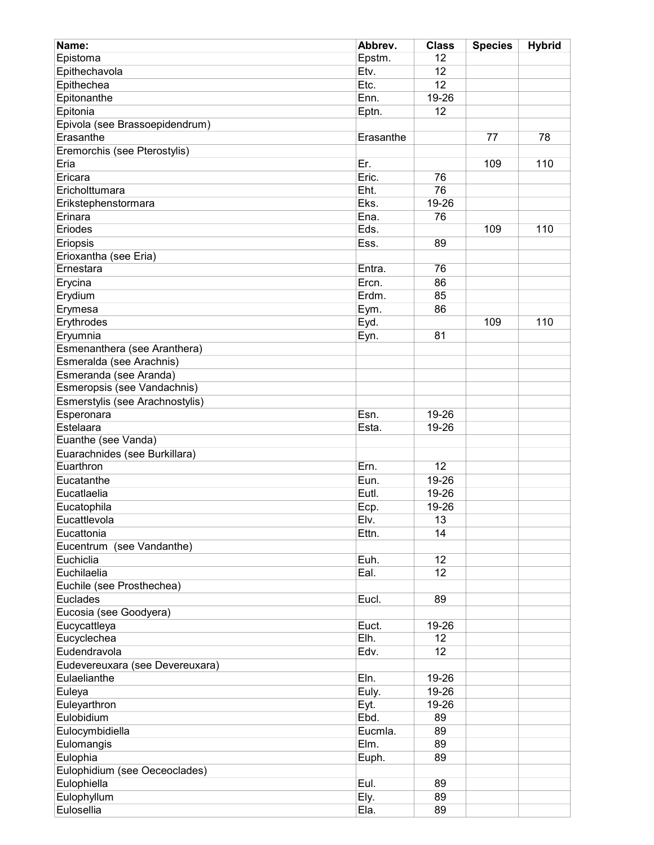| Name:                           | Abbrev.   | <b>Class</b>    | <b>Species</b> | <b>Hybrid</b> |
|---------------------------------|-----------|-----------------|----------------|---------------|
| Epistoma                        | Epstm.    | 12              |                |               |
| Epithechavola                   | Etv.      | 12              |                |               |
| Epithechea                      | Etc.      | 12              |                |               |
| Epitonanthe                     | Enn.      | 19-26           |                |               |
| Epitonia                        |           | 12              |                |               |
|                                 | Eptn.     |                 |                |               |
| Epivola (see Brassoepidendrum)  |           |                 |                |               |
| Erasanthe                       | Erasanthe |                 | 77             | 78            |
| Eremorchis (see Pterostylis)    |           |                 |                |               |
| Eria                            | Er.       |                 | 109            | 110           |
| Ericara                         | Eric.     | 76              |                |               |
| Ericholttumara                  | Eht.      | 76              |                |               |
| Erikstephenstormara             | Eks.      | 19-26           |                |               |
| Erinara                         | Ena.      | 76              |                |               |
| Eriodes                         | Eds.      |                 | 109            | 110           |
| Eriopsis                        | Ess.      | 89              |                |               |
| Erioxantha (see Eria)           |           |                 |                |               |
| Ernestara                       | Entra.    | 76              |                |               |
| Erycina                         | Ercn.     | 86              |                |               |
| Erydium                         | Erdm.     | 85              |                |               |
| Erymesa                         | Eym.      | 86              |                |               |
| Erythrodes                      | Eyd.      |                 | 109            | 110           |
| Eryumnia                        |           | 81              |                |               |
|                                 | Eyn.      |                 |                |               |
| Esmenanthera (see Aranthera)    |           |                 |                |               |
| Esmeralda (see Arachnis)        |           |                 |                |               |
| Esmeranda (see Aranda)          |           |                 |                |               |
| Esmeropsis (see Vandachnis)     |           |                 |                |               |
| Esmerstylis (see Arachnostylis) |           |                 |                |               |
| Esperonara                      | Esn.      | 19-26           |                |               |
| Estelaara                       | Esta.     | 19-26           |                |               |
| Euanthe (see Vanda)             |           |                 |                |               |
| Euarachnides (see Burkillara)   |           |                 |                |               |
| Euarthron                       | Ern.      | $\overline{12}$ |                |               |
| Eucatanthe                      | Eun.      | 19-26           |                |               |
| Eucatlaelia                     | Eutl.     | 19-26           |                |               |
| Eucatophila                     | Ecp.      | 19-26           |                |               |
| Eucattlevola                    | Elv.      | 13              |                |               |
| Eucattonia                      | Ettn.     | 14              |                |               |
| Eucentrum (see Vandanthe)       |           |                 |                |               |
| Euchiclia                       | Euh.      | 12              |                |               |
| Euchilaelia                     | Eal.      | 12              |                |               |
| Euchile (see Prosthechea)       |           |                 |                |               |
| <b>Euclades</b>                 | Eucl.     | 89              |                |               |
|                                 |           |                 |                |               |
| Eucosia (see Goodyera)          |           |                 |                |               |
| Eucycattleya                    | Euct.     | 19-26           |                |               |
| Eucyclechea                     | Elh.      | 12              |                |               |
| Eudendravola                    | Edv.      | 12              |                |               |
| Eudevereuxara (see Devereuxara) |           |                 |                |               |
| Eulaelianthe                    | Eln.      | 19-26           |                |               |
| Euleya                          | Euly.     | 19-26           |                |               |
| Euleyarthron                    | Eyt.      | 19-26           |                |               |
| Eulobidium                      | Ebd.      | 89              |                |               |
| Eulocymbidiella                 | Eucmla.   | 89              |                |               |
| Eulomangis                      | Elm.      | 89              |                |               |
| Eulophia                        | Euph.     | 89              |                |               |
| Eulophidium (see Oeceoclades)   |           |                 |                |               |
| Eulophiella                     | Eul.      | 89              |                |               |
| Eulophyllum                     | Ely.      | 89              |                |               |
| Eulosellia                      | Ela.      | 89              |                |               |
|                                 |           |                 |                |               |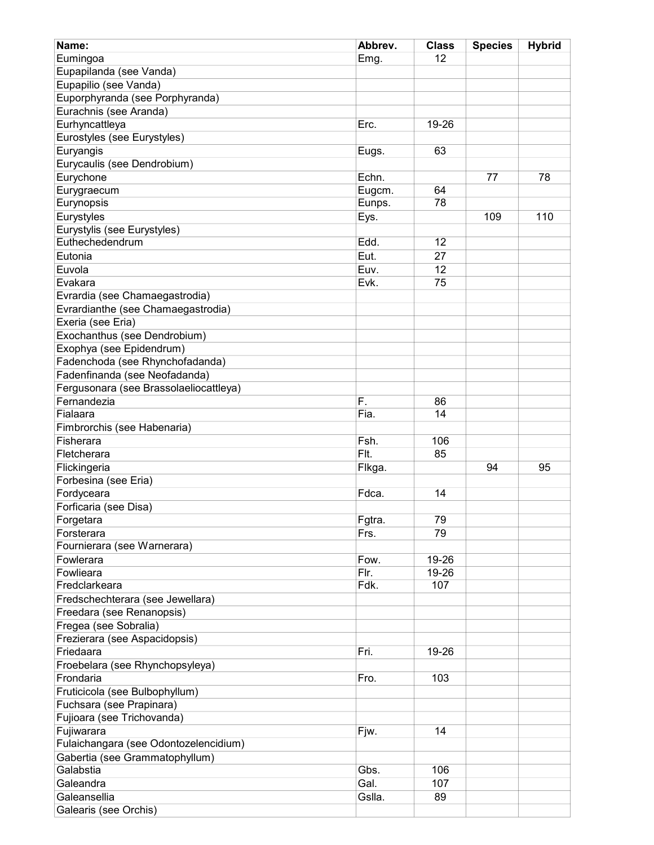| Name:                                                  | Abbrev. | <b>Class</b> | <b>Species</b> | <b>Hybrid</b> |
|--------------------------------------------------------|---------|--------------|----------------|---------------|
| Eumingoa                                               | Emg.    | 12           |                |               |
| Eupapilanda (see Vanda)                                |         |              |                |               |
| Eupapilio (see Vanda)                                  |         |              |                |               |
| Euporphyranda (see Porphyranda)                        |         |              |                |               |
| Eurachnis (see Aranda)                                 |         |              |                |               |
| Eurhyncattleya                                         | Erc.    | 19-26        |                |               |
| Eurostyles (see Eurystyles)                            |         |              |                |               |
| Euryangis                                              | Eugs.   | 63           |                |               |
| Eurycaulis (see Dendrobium)                            |         |              |                |               |
| Eurychone                                              | Echn.   |              | 77             | 78            |
| Eurygraecum                                            | Eugcm.  | 64           |                |               |
| Eurynopsis                                             | Eunps.  | 78           |                |               |
| Eurystyles                                             | Eys.    |              | 109            | 110           |
| Eurystylis (see Eurystyles)                            |         |              |                |               |
| Euthechedendrum                                        | Edd.    | 12           |                |               |
|                                                        |         |              |                |               |
| Eutonia                                                | Eut.    | 27           |                |               |
| Euvola                                                 | Euv.    | 12           |                |               |
| Evakara                                                | Evk.    | 75           |                |               |
| Evrardia (see Chamaegastrodia)                         |         |              |                |               |
| Evrardianthe (see Chamaegastrodia)                     |         |              |                |               |
| Exeria (see Eria)                                      |         |              |                |               |
| Exochanthus (see Dendrobium)                           |         |              |                |               |
| Exophya (see Epidendrum)                               |         |              |                |               |
| Fadenchoda (see Rhynchofadanda)                        |         |              |                |               |
| Fadenfinanda (see Neofadanda)                          |         |              |                |               |
| Fergusonara (see Brassolaeliocattleya)                 |         |              |                |               |
| Fernandezia                                            | F.      | 86           |                |               |
| Fialaara                                               | Fia.    | 14           |                |               |
| Fimbrorchis (see Habenaria)                            |         |              |                |               |
| Fisherara                                              | Fsh.    | 106          |                |               |
| Fletcherara                                            | Flt.    | 85           |                |               |
| Flickingeria                                           | Flkga.  |              | 94             | 95            |
| Forbesina (see Eria)                                   |         |              |                |               |
| Fordyceara                                             | Fdca.   | 14           |                |               |
| Forficaria (see Disa)                                  |         |              |                |               |
| Forgetara                                              | Fgtra.  | 79           |                |               |
| Forsterara                                             | Frs.    | 79           |                |               |
| Fournierara (see Warnerara)                            |         |              |                |               |
| Fowlerara                                              | Fow.    | 19-26        |                |               |
| Fowlieara                                              | Flr.    | 19-26        |                |               |
| Fredclarkeara                                          | Fdk.    | 107          |                |               |
| Fredschechterara (see Jewellara)                       |         |              |                |               |
| Freedara (see Renanopsis)                              |         |              |                |               |
| Fregea (see Sobralia)                                  |         |              |                |               |
| Frezierara (see Aspacidopsis)                          |         |              |                |               |
| Friedaara                                              | Fri.    | 19-26        |                |               |
| Froebelara (see Rhynchopsyleya)                        |         |              |                |               |
| Frondaria                                              | Fro.    | 103          |                |               |
| Fruticicola (see Bulbophyllum)                         |         |              |                |               |
|                                                        |         |              |                |               |
| Fuchsara (see Prapinara)<br>Fujioara (see Trichovanda) |         |              |                |               |
|                                                        |         |              |                |               |
| Fujiwarara                                             | Fjw.    | 14           |                |               |
| Fulaichangara (see Odontozelencidium)                  |         |              |                |               |
| Gabertia (see Grammatophyllum)                         |         |              |                |               |
| Galabstia                                              | Gbs.    | 106          |                |               |
| Galeandra                                              | Gal.    | 107          |                |               |
| Galeansellia                                           | Gslla.  | 89           |                |               |
| Galearis (see Orchis)                                  |         |              |                |               |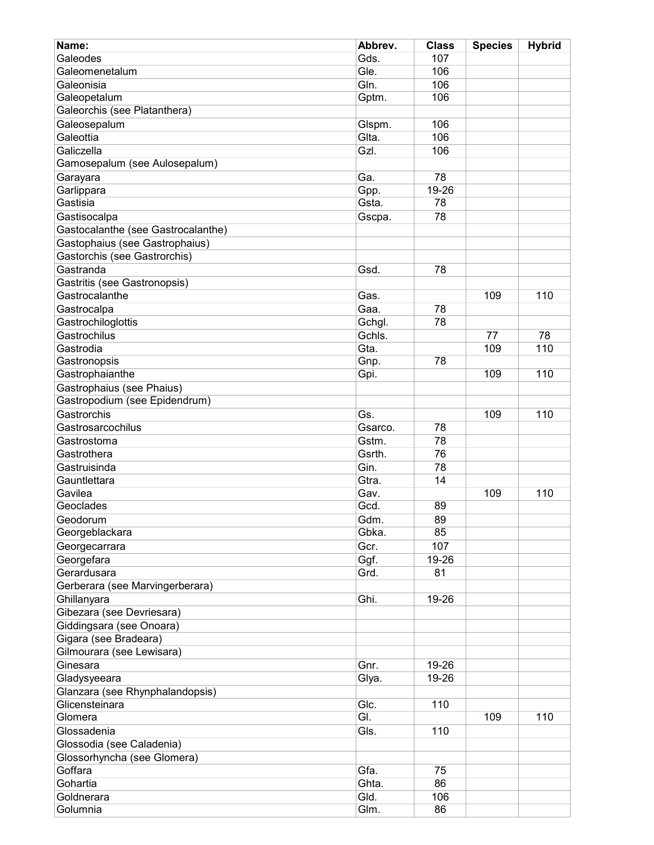| Name:                              | Abbrev. | <b>Class</b> | <b>Species</b> | <b>Hybrid</b> |
|------------------------------------|---------|--------------|----------------|---------------|
| Galeodes                           | Gds.    | 107          |                |               |
| Galeomenetalum                     | Gle.    | 106          |                |               |
| Galeonisia                         | Gln.    | 106          |                |               |
| Galeopetalum                       | Gptm.   | 106          |                |               |
| Galeorchis (see Platanthera)       |         |              |                |               |
| Galeosepalum                       | Glspm.  | 106          |                |               |
| Galeottia                          | Glta.   | 106          |                |               |
| Galiczella                         | Gzl.    | 106          |                |               |
| Gamosepalum (see Aulosepalum)      |         |              |                |               |
| Garayara                           | Ga.     | 78           |                |               |
| Garlippara                         | Gpp.    | 19-26        |                |               |
| Gastisia                           | Gsta.   | 78           |                |               |
| Gastisocalpa                       | Gscpa.  | 78           |                |               |
| Gastocalanthe (see Gastrocalanthe) |         |              |                |               |
| Gastophaius (see Gastrophaius)     |         |              |                |               |
| Gastorchis (see Gastrorchis)       |         |              |                |               |
| Gastranda                          | Gsd.    | 78           |                |               |
| Gastritis (see Gastronopsis)       |         |              |                |               |
| Gastrocalanthe                     | Gas.    |              | 109            | 110           |
|                                    | Gaa.    | 78           |                |               |
| Gastrocalpa                        |         | 78           |                |               |
| Gastrochiloglottis                 | Gchgl.  |              |                |               |
| Gastrochilus                       | Gchls.  |              | 77             | 78            |
| Gastrodia                          | Gta.    |              | 109            | 110           |
| Gastronopsis                       | Gnp.    | 78           |                |               |
| Gastrophaianthe                    | Gpi.    |              | 109            | 110           |
| Gastrophaius (see Phaius)          |         |              |                |               |
| Gastropodium (see Epidendrum)      |         |              |                |               |
| Gastrorchis                        | Gs.     |              | 109            | 110           |
| Gastrosarcochilus                  | Gsarco. | 78           |                |               |
| Gastrostoma                        | Gstm.   | 78           |                |               |
| Gastrothera                        | Gsrth.  | 76           |                |               |
| Gastruisinda                       | Gin.    | 78           |                |               |
| Gauntlettara                       | Gtra.   | 14           |                |               |
| Gavilea                            | Gav.    |              | 109            | 110           |
| Geoclades                          | Gcd.    | 89           |                |               |
| Geodorum                           | Gdm.    | 89           |                |               |
| Georgeblackara                     | Gbka.   | 85           |                |               |
| Georgecarrara                      | Gcr.    | 107          |                |               |
| Georgefara                         | Ggf.    | 19-26        |                |               |
| Gerardusara                        | Grd.    | 81           |                |               |
| Gerberara (see Marvingerberara)    |         |              |                |               |
| Ghillanyara                        | Ghi.    | 19-26        |                |               |
| Gibezara (see Devriesara)          |         |              |                |               |
| Giddingsara (see Onoara)           |         |              |                |               |
| Gigara (see Bradeara)              |         |              |                |               |
| Gilmourara (see Lewisara)          |         |              |                |               |
| Ginesara                           | Gnr.    | 19-26        |                |               |
| Gladysyeeara                       | Glya.   | 19-26        |                |               |
| Glanzara (see Rhynphalandopsis)    |         |              |                |               |
| Glicensteinara                     | Glc.    | 110          |                |               |
| Glomera                            | GI.     |              | 109            | 110           |
| Glossadenia                        | Gls.    | 110          |                |               |
| Glossodia (see Caladenia)          |         |              |                |               |
| Glossorhyncha (see Glomera)        |         |              |                |               |
| Goffara                            | Gfa.    | 75           |                |               |
| Gohartia                           | Ghta.   | 86           |                |               |
| Goldnerara                         | Gld.    | 106          |                |               |
| Golumnia                           | Glm.    | 86           |                |               |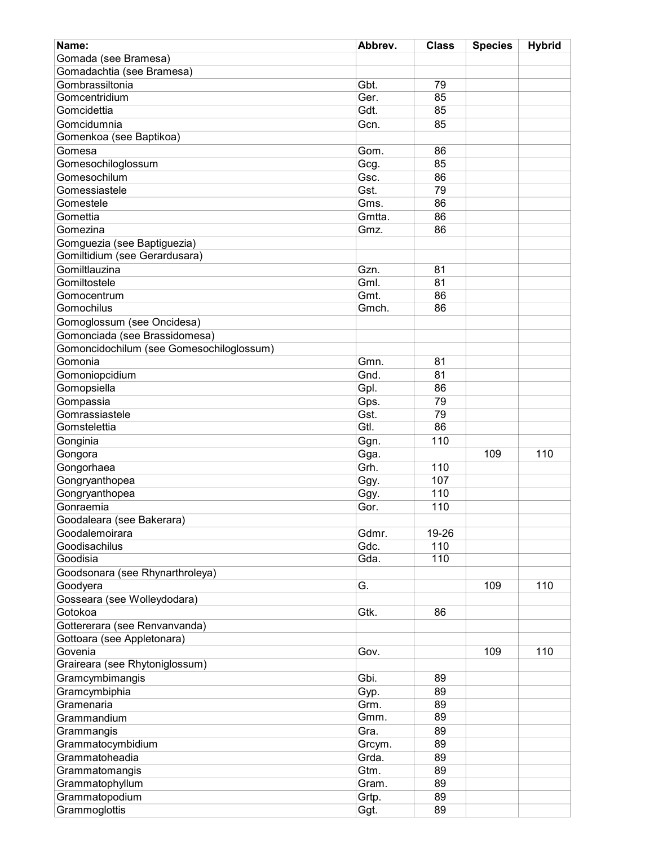| Name:                                    | Abbrev.      | <b>Class</b> | <b>Species</b> | <b>Hybrid</b> |
|------------------------------------------|--------------|--------------|----------------|---------------|
| Gomada (see Bramesa)                     |              |              |                |               |
| Gomadachtia (see Bramesa)                |              |              |                |               |
| Gombrassiltonia                          | Gbt.         | 79           |                |               |
| Gomcentridium                            | Ger.         | 85           |                |               |
| Gomcidettia                              | Gdt.         | 85           |                |               |
| Gomcidumnia                              | Gcn.         | 85           |                |               |
| Gomenkoa (see Baptikoa)                  |              |              |                |               |
|                                          |              |              |                |               |
| Gomesa                                   | Gom.         | 86           |                |               |
| Gomesochiloglossum                       | Gcg.         | 85           |                |               |
| Gomesochilum                             | Gsc.         | 86           |                |               |
| Gomessiastele                            | Gst.         | 79           |                |               |
| Gomestele                                | Gms.         | 86           |                |               |
| Gomettia                                 | Gmtta.       | 86           |                |               |
| Gomezina                                 | Gmz.         | 86           |                |               |
| Gomguezia (see Baptiguezia)              |              |              |                |               |
| Gomiltidium (see Gerardusara)            |              |              |                |               |
| Gomiltlauzina                            | Gzn.         | 81           |                |               |
| Gomiltostele                             | Gml.         | 81           |                |               |
| Gomocentrum                              | Gmt.         | 86           |                |               |
| Gomochilus                               | Gmch.        | 86           |                |               |
| Gomoglossum (see Oncidesa)               |              |              |                |               |
| Gomonciada (see Brassidomesa)            |              |              |                |               |
| Gomoncidochilum (see Gomesochiloglossum) |              |              |                |               |
| Gomonia                                  | Gmn.         | 81           |                |               |
| Gomoniopcidium                           | Gnd.         | 81           |                |               |
| Gomopsiella                              | Gpl.         | 86           |                |               |
| Gompassia                                | Gps.         | 79           |                |               |
| Gomrassiastele                           | Gst.         | 79           |                |               |
| Gomstelettia                             | Gtl.         | 86           |                |               |
| Gonginia                                 | Ggn.         | 110          |                |               |
|                                          |              |              | 109            | 110           |
| Gongora                                  | Gga.<br>Grh. |              |                |               |
| Gongorhaea                               |              | 110          |                |               |
| Gongryanthopea                           | Ggy.         | 107          |                |               |
| Gongryanthopea                           | Ggy.         | 110          |                |               |
| Gonraemia                                | Gor.         | 110          |                |               |
| Goodaleara (see Bakerara)                |              |              |                |               |
| Goodalemoirara                           | Gdmr.        | 19-26        |                |               |
| Goodisachilus                            | Gdc.         | 110          |                |               |
| Goodisia                                 | Gda.         | 110          |                |               |
| Goodsonara (see Rhynarthroleya)          |              |              |                |               |
| Goodyera                                 | G.           |              | 109            | 110           |
| Gosseara (see Wolleydodara)              |              |              |                |               |
| Gotokoa                                  | Gtk.         | 86           |                |               |
| Gottererara (see Renvanvanda)            |              |              |                |               |
| Gottoara (see Appletonara)               |              |              |                |               |
| Govenia                                  | Gov.         |              | 109            | 110           |
| Graireara (see Rhytoniglossum)           |              |              |                |               |
| Gramcymbimangis                          | Gbi.         | 89           |                |               |
| Gramcymbiphia                            | Gyp.         | 89           |                |               |
| Gramenaria                               | Grm.         | 89           |                |               |
| Grammandium                              | Gmm.         | 89           |                |               |
| Grammangis                               | Gra.         | 89           |                |               |
| Grammatocymbidium                        | Grcym.       | 89           |                |               |
| Grammatoheadia                           | Grda.        | 89           |                |               |
| Grammatomangis                           | Gtm.         | 89           |                |               |
| Grammatophyllum                          | Gram.        | 89           |                |               |
|                                          |              |              |                |               |
| Grammatopodium                           | Grtp.        | 89           |                |               |
| Grammoglottis                            | Ggt.         | 89           |                |               |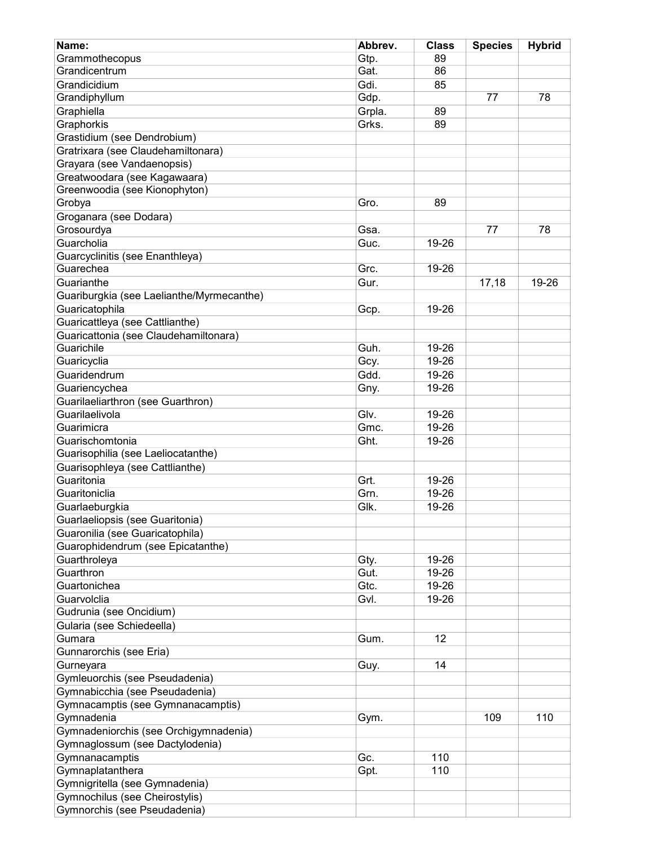| Name:                                                 | Abbrev. | <b>Class</b> | <b>Species</b> | <b>Hybrid</b> |
|-------------------------------------------------------|---------|--------------|----------------|---------------|
| Grammothecopus                                        | Gtp.    | 89           |                |               |
| Grandicentrum                                         | Gat.    | 86           |                |               |
| Grandicidium                                          | Gdi.    | 85           |                |               |
| Grandiphyllum                                         | Gdp.    |              | 77             | 78            |
| Graphiella                                            | Grpla.  | 89           |                |               |
| Graphorkis                                            | Grks.   | 89           |                |               |
| Grastidium (see Dendrobium)                           |         |              |                |               |
| Gratrixara (see Claudehamiltonara)                    |         |              |                |               |
| Grayara (see Vandaenopsis)                            |         |              |                |               |
| Greatwoodara (see Kagawaara)                          |         |              |                |               |
| Greenwoodia (see Kionophyton)                         |         |              |                |               |
| Grobya                                                | Gro.    | 89           |                |               |
| Groganara (see Dodara)                                |         |              |                |               |
| Grosourdya                                            | Gsa.    |              | 77             | 78            |
| Guarcholia                                            | Guc.    | 19-26        |                |               |
| Guarcyclinitis (see Enanthleya)                       |         |              |                |               |
| Guarechea                                             | Grc.    | 19-26        |                |               |
| Guarianthe                                            | Gur.    |              | 17,18          | 19-26         |
| Guariburgkia (see Laelianthe/Myrmecanthe)             |         |              |                |               |
| Guaricatophila                                        | Gcp.    | 19-26        |                |               |
| Guaricattleya (see Cattlianthe)                       |         |              |                |               |
| Guaricattonia (see Claudehamiltonara)                 |         |              |                |               |
| Guarichile                                            | Guh.    | 19-26        |                |               |
| Guaricyclia                                           | Gcy.    | 19-26        |                |               |
| Guaridendrum                                          | Gdd.    | 19-26        |                |               |
| Guariencychea                                         |         | 19-26        |                |               |
| Guarilaeliarthron (see Guarthron)                     | Gny.    |              |                |               |
| Guarilaelivola                                        | Glv.    | 19-26        |                |               |
|                                                       |         |              |                |               |
| Guarimicra                                            | Gmc.    | 19-26        |                |               |
| Guarischomtonia<br>Guarisophilia (see Laeliocatanthe) | Ght.    | 19-26        |                |               |
|                                                       |         |              |                |               |
| Guarisophleya (see Cattlianthe)<br>Guaritonia         |         |              |                |               |
|                                                       | Grt.    | 19-26        |                |               |
| Guaritoniclia                                         | Grn.    | 19-26        |                |               |
| Guarlaeburgkia                                        | Glk.    | 19-26        |                |               |
| Guarlaeliopsis (see Guaritonia)                       |         |              |                |               |
| Guaronilia (see Guaricatophila)                       |         |              |                |               |
| Guarophidendrum (see Epicatanthe)                     |         |              |                |               |
| Guarthroleya                                          | Gty.    | 19-26        |                |               |
| Guarthron                                             | Gut.    | 19-26        |                |               |
| Guartonichea                                          | Gtc.    | 19-26        |                |               |
| Guarvolclia                                           | Gvl.    | 19-26        |                |               |
| Gudrunia (see Oncidium)                               |         |              |                |               |
| Gularia (see Schiedeella)                             |         |              |                |               |
| Gumara                                                | Gum.    | 12           |                |               |
| Gunnarorchis (see Eria)                               |         |              |                |               |
| Gurneyara                                             | Guy.    | 14           |                |               |
| Gymleuorchis (see Pseudadenia)                        |         |              |                |               |
| Gymnabicchia (see Pseudadenia)                        |         |              |                |               |
| Gymnacamptis (see Gymnanacamptis)                     |         |              |                |               |
| Gymnadenia                                            | Gym.    |              | 109            | 110           |
| Gymnadeniorchis (see Orchigymnadenia)                 |         |              |                |               |
| Gymnaglossum (see Dactylodenia)                       |         |              |                |               |
| Gymnanacamptis                                        | Gc.     | 110          |                |               |
| Gymnaplatanthera                                      | Gpt.    | 110          |                |               |
| Gymnigritella (see Gymnadenia)                        |         |              |                |               |
| Gymnochilus (see Cheirostylis)                        |         |              |                |               |
| Gymnorchis (see Pseudadenia)                          |         |              |                |               |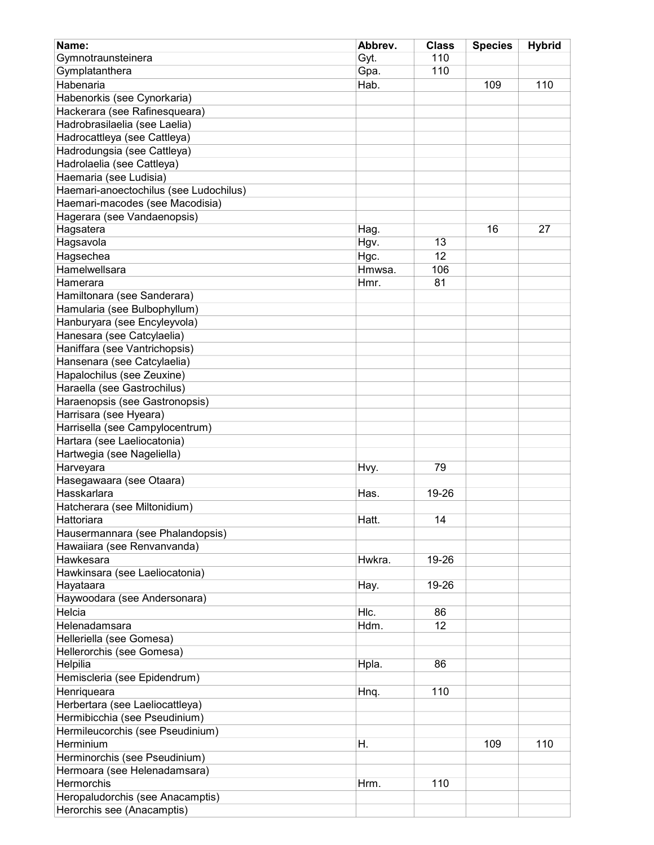| Name:                                  | Abbrev. | <b>Class</b> | <b>Species</b> | <b>Hybrid</b> |
|----------------------------------------|---------|--------------|----------------|---------------|
| Gymnotraunsteinera                     | Gyt.    | 110          |                |               |
| Gymplatanthera                         | Gpa.    | 110          |                |               |
| Habenaria                              | Hab.    |              | 109            | 110           |
| Habenorkis (see Cynorkaria)            |         |              |                |               |
| Hackerara (see Rafinesqueara)          |         |              |                |               |
| Hadrobrasilaelia (see Laelia)          |         |              |                |               |
| Hadrocattleya (see Cattleya)           |         |              |                |               |
| Hadrodungsia (see Cattleya)            |         |              |                |               |
| Hadrolaelia (see Cattleya)             |         |              |                |               |
| Haemaria (see Ludisia)                 |         |              |                |               |
| Haemari-anoectochilus (see Ludochilus) |         |              |                |               |
| Haemari-macodes (see Macodisia)        |         |              |                |               |
| Hagerara (see Vandaenopsis)            |         |              |                |               |
| Hagsatera                              | Hag.    |              | 16             | 27            |
| Hagsavola                              | Hgv.    | 13           |                |               |
| Hagsechea                              | Hgc.    | 12           |                |               |
| Hamelwellsara                          | Hmwsa.  | 106          |                |               |
| Hamerara                               | Hmr.    | 81           |                |               |
|                                        |         |              |                |               |
| Hamiltonara (see Sanderara)            |         |              |                |               |
| Hamularia (see Bulbophyllum)           |         |              |                |               |
| Hanburyara (see Encyleyvola)           |         |              |                |               |
| Hanesara (see Catcylaelia)             |         |              |                |               |
| Haniffara (see Vantrichopsis)          |         |              |                |               |
| Hansenara (see Catcylaelia)            |         |              |                |               |
| Hapalochilus (see Zeuxine)             |         |              |                |               |
| Haraella (see Gastrochilus)            |         |              |                |               |
| Haraenopsis (see Gastronopsis)         |         |              |                |               |
| Harrisara (see Hyeara)                 |         |              |                |               |
| Harrisella (see Campylocentrum)        |         |              |                |               |
| Hartara (see Laeliocatonia)            |         |              |                |               |
| Hartwegia (see Nageliella)             |         |              |                |               |
| Harveyara                              | Hvy.    | 79           |                |               |
| Hasegawaara (see Otaara)               |         |              |                |               |
| Hasskarlara                            | Has.    | 19-26        |                |               |
| Hatcherara (see Miltonidium)           |         |              |                |               |
| Hattoriara                             | Hatt.   | 14           |                |               |
| Hausermannara (see Phalandopsis)       |         |              |                |               |
| Hawaiiara (see Renvanvanda)            |         |              |                |               |
| Hawkesara                              | Hwkra.  | 19-26        |                |               |
| Hawkinsara (see Laeliocatonia)         |         |              |                |               |
| Hayataara                              | Hay.    | 19-26        |                |               |
| Haywoodara (see Andersonara)           |         |              |                |               |
| Helcia                                 | HIc.    | 86           |                |               |
| Helenadamsara                          | Hdm.    | 12           |                |               |
| Helleriella (see Gomesa)               |         |              |                |               |
| Hellerorchis (see Gomesa)              |         |              |                |               |
| Helpilia                               | Hpla.   | 86           |                |               |
| Hemiscleria (see Epidendrum)           |         |              |                |               |
| Henriqueara                            |         | 110          |                |               |
|                                        | Hnq.    |              |                |               |
| Herbertara (see Laeliocattleya)        |         |              |                |               |
| Hermibicchia (see Pseudinium)          |         |              |                |               |
| Hermileucorchis (see Pseudinium)       |         |              |                |               |
| Herminium                              | Η.      |              | 109            | 110           |
| Herminorchis (see Pseudinium)          |         |              |                |               |
| Hermoara (see Helenadamsara)           |         |              |                |               |
| Hermorchis                             | Hrm.    | 110          |                |               |
| Heropaludorchis (see Anacamptis)       |         |              |                |               |
| Herorchis see (Anacamptis)             |         |              |                |               |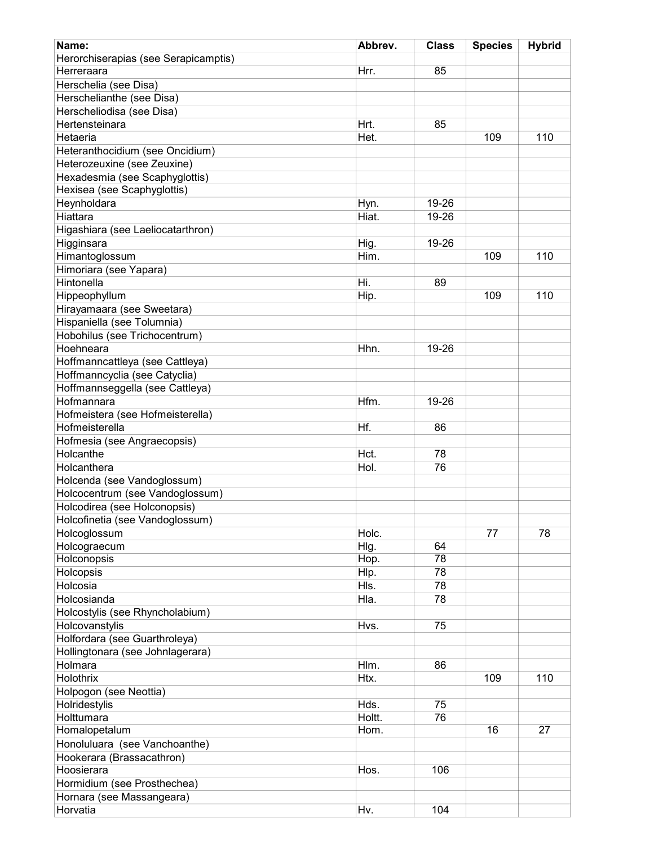| Name:                                | Abbrev. | <b>Class</b> | <b>Species</b> | <b>Hybrid</b> |
|--------------------------------------|---------|--------------|----------------|---------------|
| Herorchiserapias (see Serapicamptis) |         |              |                |               |
| Herreraara                           | Hrr.    | 85           |                |               |
| Herschelia (see Disa)                |         |              |                |               |
| Herschelianthe (see Disa)            |         |              |                |               |
| Herscheliodisa (see Disa)            |         |              |                |               |
| Hertensteinara                       | Hrt.    | 85           |                |               |
| Hetaeria                             | Het.    |              | 109            | 110           |
| Heteranthocidium (see Oncidium)      |         |              |                |               |
| Heterozeuxine (see Zeuxine)          |         |              |                |               |
| Hexadesmia (see Scaphyglottis)       |         |              |                |               |
| Hexisea (see Scaphyglottis)          |         |              |                |               |
| Heynholdara                          | Hyn.    | 19-26        |                |               |
| Hiattara                             | Hiat.   | 19-26        |                |               |
| Higashiara (see Laeliocatarthron)    |         |              |                |               |
| Higginsara                           | Hig.    | 19-26        |                |               |
|                                      | Him.    |              | 109            | 110           |
| Himantoglossum                       |         |              |                |               |
| Himoriara (see Yapara)<br>Hintonella |         |              |                |               |
|                                      | Hi.     | 89           |                |               |
| Hippeophyllum                        | Hip.    |              | 109            | 110           |
| Hirayamaara (see Sweetara)           |         |              |                |               |
| Hispaniella (see Tolumnia)           |         |              |                |               |
| Hobohilus (see Trichocentrum)        |         |              |                |               |
| Hoehneara                            | Hhn.    | 19-26        |                |               |
| Hoffmanncattleya (see Cattleya)      |         |              |                |               |
| Hoffmanncyclia (see Catyclia)        |         |              |                |               |
| Hoffmannseggella (see Cattleya)      |         |              |                |               |
| Hofmannara                           | Hfm.    | 19-26        |                |               |
| Hofmeistera (see Hofmeisterella)     |         |              |                |               |
| Hofmeisterella                       | Hf.     | 86           |                |               |
| Hofmesia (see Angraecopsis)          |         |              |                |               |
| Holcanthe                            | Hct.    | 78           |                |               |
| Holcanthera                          | Hol.    | 76           |                |               |
| Holcenda (see Vandoglossum)          |         |              |                |               |
| Holcocentrum (see Vandoglossum)      |         |              |                |               |
| Holcodirea (see Holconopsis)         |         |              |                |               |
| Holcofinetia (see Vandoglossum)      |         |              |                |               |
| Holcoglossum                         | Holc.   |              | 77             | 78            |
| Holcograecum                         | Hlg.    | 64           |                |               |
| Holconopsis                          | Hop.    | 78           |                |               |
| Holcopsis                            | Hlp.    | 78           |                |               |
| Holcosia                             | HIs.    | 78           |                |               |
| Holcosianda                          | Hla.    | 78           |                |               |
| Holcostylis (see Rhyncholabium)      |         |              |                |               |
| Holcovanstylis                       | Hvs.    | 75           |                |               |
| Holfordara (see Guarthroleya)        |         |              |                |               |
| Hollingtonara (see Johnlagerara)     |         |              |                |               |
| Holmara                              | Hlm.    | 86           |                |               |
| Holothrix                            | Htx.    |              | 109            | 110           |
| Holpogon (see Neottia)               |         |              |                |               |
| Holridestylis                        | Hds.    | 75           |                |               |
| Holttumara                           | Holtt.  | 76           |                |               |
| Homalopetalum                        | Hom.    |              | 16             | 27            |
| Honoluluara (see Vanchoanthe)        |         |              |                |               |
| Hookerara (Brassacathron)            |         |              |                |               |
| Hoosierara                           | Hos.    | 106          |                |               |
| Hormidium (see Prosthechea)          |         |              |                |               |
| Hornara (see Massangeara)            |         |              |                |               |
| Horvatia                             | Hv.     | 104          |                |               |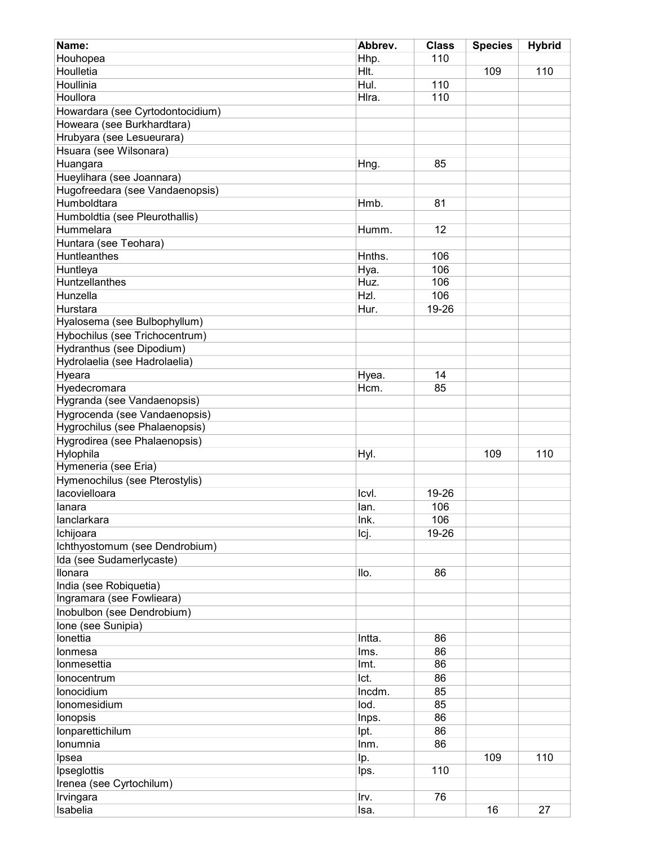| Name:                               | Abbrev. | <b>Class</b> | <b>Species</b> | <b>Hybrid</b> |
|-------------------------------------|---------|--------------|----------------|---------------|
| Houhopea                            | Hhp.    | 110          |                |               |
| Houlletia                           | HIt.    |              | 109            | 110           |
| Houllinia                           | Hul.    | 110          |                |               |
| Houllora                            | Hlra.   | 110          |                |               |
| Howardara (see Cyrtodontocidium)    |         |              |                |               |
| Howeara (see Burkhardtara)          |         |              |                |               |
| Hrubyara (see Lesueurara)           |         |              |                |               |
| Hsuara (see Wilsonara)              |         |              |                |               |
| Huangara                            | Hng.    | 85           |                |               |
| Hueylihara (see Joannara)           |         |              |                |               |
| Hugofreedara (see Vandaenopsis)     |         |              |                |               |
| Humboldtara                         | Hmb.    | 81           |                |               |
| Humboldtia (see Pleurothallis)      |         |              |                |               |
| Hummelara                           | Humm.   | 12           |                |               |
| Huntara (see Teohara)               |         |              |                |               |
| <b>Huntleanthes</b>                 | Hnths.  | 106          |                |               |
| Huntleya                            | Hya.    | 106          |                |               |
| <b>Huntzellanthes</b>               | Huz.    | 106          |                |               |
| Hunzella                            | HzI.    | 106          |                |               |
| Hurstara                            | Hur.    | 19-26        |                |               |
| Hyalosema (see Bulbophyllum)        |         |              |                |               |
| Hybochilus (see Trichocentrum)      |         |              |                |               |
| Hydranthus (see Dipodium)           |         |              |                |               |
| Hydrolaelia (see Hadrolaelia)       |         |              |                |               |
| Hyeara                              | Hyea.   | 14           |                |               |
| Hyedecromara                        | Hcm.    | 85           |                |               |
| Hygranda (see Vandaenopsis)         |         |              |                |               |
| Hygrocenda (see Vandaenopsis)       |         |              |                |               |
| Hygrochilus (see Phalaenopsis)      |         |              |                |               |
| Hygrodirea (see Phalaenopsis)       |         |              |                |               |
| Hylophila                           | Hyl.    |              | 109            | 110           |
| Hymeneria (see Eria)                |         |              |                |               |
| Hymenochilus (see Pterostylis)      |         |              |                |               |
| lacovielloara                       | Icvl.   | 19-26        |                |               |
| lanara                              | lan.    | 106          |                |               |
| lanclarkara                         | Ink.    | 106          |                |               |
| Ichijoara                           | Icj.    | 19-26        |                |               |
| Ichthyostomum (see Dendrobium)      |         |              |                |               |
|                                     |         |              |                |               |
| Ida (see Sudamerlycaste)<br>Ilonara | llo.    |              |                |               |
| India (see Robiquetia)              |         | 86           |                |               |
| Ingramara (see Fowlieara)           |         |              |                |               |
| Inobulbon (see Dendrobium)          |         |              |                |               |
|                                     |         |              |                |               |
| Ione (see Sunipia)<br>Ionettia      | Intta.  | 86           |                |               |
|                                     |         |              |                |               |
| Ionmesa                             | Ims.    | 86           |                |               |
| Ionmesettia                         | Imt.    | 86           |                |               |
| lonocentrum                         | Ict.    | 86           |                |               |
| Ionocidium                          | Incdm.  | 85           |                |               |
| Ionomesidium                        | lod.    | 85           |                |               |
| lonopsis                            | Inps.   | 86           |                |               |
| lonparettichilum                    | lpt.    | 86           |                |               |
| Ionumnia                            | Inm.    | 86           |                |               |
| Ipsea                               | lp.     |              | 109            | 110           |
| Ipseglottis                         | lps.    | 110          |                |               |
| Irenea (see Cyrtochilum)            |         |              |                |               |
| Irvingara                           | Irv.    | 76           |                |               |
| Isabelia                            | Isa.    |              | 16             | 27            |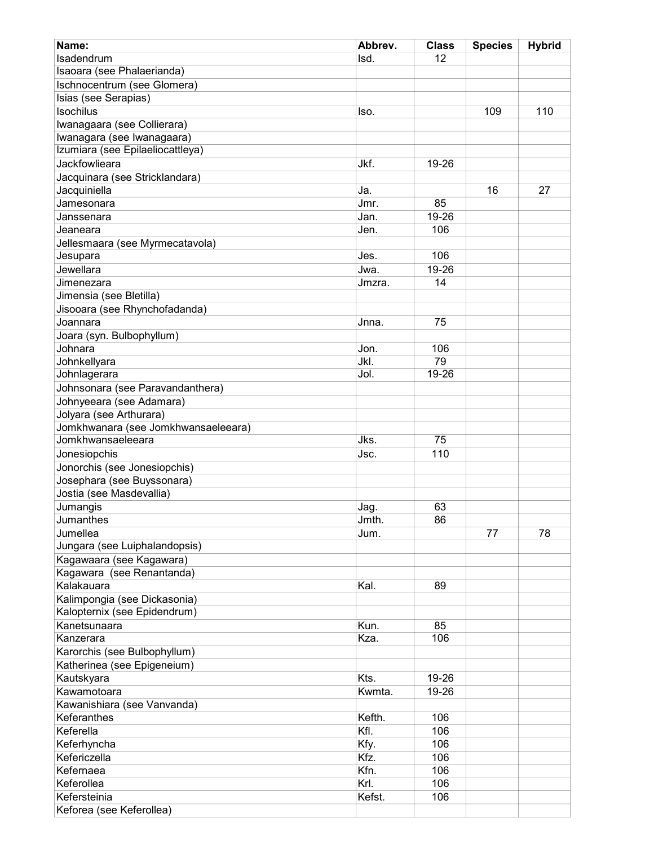| Name:                                                          | Abbrev. | <b>Class</b> | <b>Species</b> | <b>Hybrid</b> |
|----------------------------------------------------------------|---------|--------------|----------------|---------------|
| Isadendrum                                                     | Isd.    | 12           |                |               |
| Isaoara (see Phalaerianda)                                     |         |              |                |               |
| Ischnocentrum (see Glomera)                                    |         |              |                |               |
| Isias (see Serapias)                                           |         |              |                |               |
| <b>Isochilus</b>                                               | lso.    |              | 109            | 110           |
| Iwanagaara (see Collierara)                                    |         |              |                |               |
| Iwanagara (see Iwanagaara)<br>Izumiara (see Epilaeliocattleya) |         |              |                |               |
| Jackfowlieara                                                  | Jkf.    |              |                |               |
|                                                                |         | 19-26        |                |               |
| Jacquinara (see Stricklandara)                                 |         |              |                |               |
| Jacquiniella                                                   | Ja.     |              | 16             | 27            |
| Jamesonara                                                     | Jmr.    | 85           |                |               |
| Janssenara                                                     | Jan.    | 19-26        |                |               |
| Jeaneara                                                       | Jen.    | 106          |                |               |
| Jellesmaara (see Myrmecatavola)                                |         |              |                |               |
| Jesupara                                                       | Jes.    | 106          |                |               |
| Jewellara                                                      | Jwa.    | 19-26        |                |               |
| Jimenezara                                                     | Jmzra.  | 14           |                |               |
| Jimensia (see Bletilla)                                        |         |              |                |               |
| Jisooara (see Rhynchofadanda)                                  |         |              |                |               |
| Joannara                                                       | Jnna.   | 75           |                |               |
| Joara (syn. Bulbophyllum)                                      |         |              |                |               |
| Johnara                                                        | Jon.    | 106          |                |               |
| Johnkellyara                                                   | JkI.    | 79           |                |               |
| Johnlagerara                                                   | Jol.    | 19-26        |                |               |
| Johnsonara (see Paravandanthera)                               |         |              |                |               |
| Johnyeeara (see Adamara)                                       |         |              |                |               |
| Jolyara (see Arthurara)                                        |         |              |                |               |
| Jomkhwanara (see Jomkhwansaeleeara)                            |         |              |                |               |
| Jomkhwansaeleeara                                              | Jks.    | 75           |                |               |
| Jonesiopchis                                                   | Jsc.    | 110          |                |               |
| Jonorchis (see Jonesiopchis)                                   |         |              |                |               |
| Josephara (see Buyssonara)                                     |         |              |                |               |
| Jostia (see Masdevallia)                                       |         |              |                |               |
| Jumangis                                                       | Jag.    | 63           |                |               |
| Jumanthes                                                      | Jmth.   | 86           |                |               |
| Jumellea                                                       | Jum.    |              | 77             | 78            |
| Jungara (see Luiphalandopsis)                                  |         |              |                |               |
| Kagawaara (see Kagawara)                                       |         |              |                |               |
| Kagawara (see Renantanda)                                      |         |              |                |               |
| Kalakauara                                                     | Kal.    | 89           |                |               |
| Kalimpongia (see Dickasonia)                                   |         |              |                |               |
| Kalopternix (see Epidendrum)                                   |         |              |                |               |
| Kanetsunaara                                                   | Kun.    | 85           |                |               |
| Kanzerara                                                      | Kza.    | 106          |                |               |
| Karorchis (see Bulbophyllum)                                   |         |              |                |               |
| Katherinea (see Epigeneium)                                    |         |              |                |               |
| Kautskyara                                                     | Kts.    | 19-26        |                |               |
| Kawamotoara                                                    | Kwmta.  | 19-26        |                |               |
| Kawanishiara (see Vanvanda)                                    |         |              |                |               |
| Keferanthes                                                    | Kefth.  | 106          |                |               |
| Keferella                                                      | Kfl.    | 106          |                |               |
| Keferhyncha                                                    | Kfy.    | 106          |                |               |
| Kefericzella                                                   | Kfz.    | 106          |                |               |
| Kefernaea                                                      | Kfn.    | 106          |                |               |
| Keferollea                                                     | Krl.    | 106          |                |               |
| Kefersteinia                                                   | Kefst.  | 106          |                |               |
| Keforea (see Keferollea)                                       |         |              |                |               |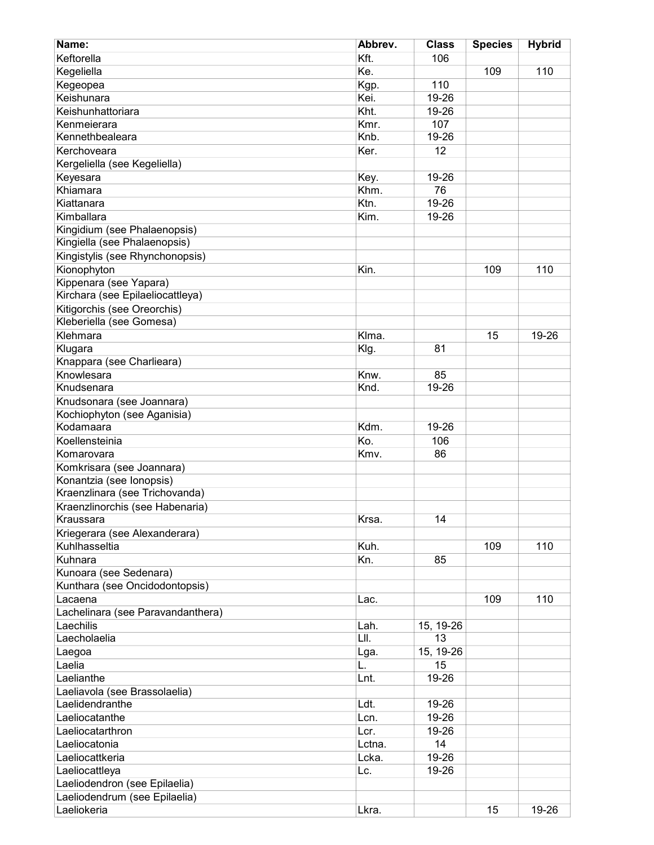| Name:                             | Abbrev. | <b>Class</b> | <b>Species</b> | <b>Hybrid</b> |
|-----------------------------------|---------|--------------|----------------|---------------|
| Keftorella                        | Kft.    | 106          |                |               |
| Kegeliella                        | Ke.     |              | 109            | 110           |
| Kegeopea                          | Kgp.    | 110          |                |               |
| Keishunara                        | Kei.    | 19-26        |                |               |
| Keishunhattoriara                 | Kht.    | 19-26        |                |               |
| Kenmeierara                       | Kmr.    | 107          |                |               |
| Kennethbealeara                   | Knb.    | 19-26        |                |               |
| Kerchoveara                       | Ker.    | 12           |                |               |
| Kergeliella (see Kegeliella)      |         |              |                |               |
| Keyesara                          | Key.    | 19-26        |                |               |
| Khiamara                          | Khm.    | 76           |                |               |
| Kiattanara                        |         |              |                |               |
|                                   | Ktn.    | 19-26        |                |               |
| Kimballara                        | Kim.    | 19-26        |                |               |
| Kingidium (see Phalaenopsis)      |         |              |                |               |
| Kingiella (see Phalaenopsis)      |         |              |                |               |
| Kingistylis (see Rhynchonopsis)   |         |              |                |               |
| Kionophyton                       | Kin.    |              | 109            | 110           |
| Kippenara (see Yapara)            |         |              |                |               |
| Kirchara (see Epilaeliocattleya)  |         |              |                |               |
| Kitigorchis (see Oreorchis)       |         |              |                |               |
| Kleberiella (see Gomesa)          |         |              |                |               |
| Klehmara                          | Klma.   |              | 15             | 19-26         |
| Klugara                           | Klg.    | 81           |                |               |
| Knappara (see Charlieara)         |         |              |                |               |
| Knowlesara                        | Knw.    | 85           |                |               |
| Knudsenara                        | Knd.    | $19 - 26$    |                |               |
| Knudsonara (see Joannara)         |         |              |                |               |
| Kochiophyton (see Aganisia)       |         |              |                |               |
| Kodamaara                         | Kdm.    | 19-26        |                |               |
| Koellensteinia                    | Ko.     | 106          |                |               |
| Komarovara                        | Kmv.    | 86           |                |               |
| Komkrisara (see Joannara)         |         |              |                |               |
| Konantzia (see Ionopsis)          |         |              |                |               |
| Kraenzlinara (see Trichovanda)    |         |              |                |               |
| Kraenzlinorchis (see Habenaria)   |         |              |                |               |
| Kraussara                         | Krsa.   | 14           |                |               |
|                                   |         |              |                |               |
| Kriegerara (see Alexanderara)     |         |              |                |               |
| Kuhlhasseltia                     | Kuh.    |              | 109            | 110           |
| Kuhnara                           | Kn.     | 85           |                |               |
| Kunoara (see Sedenara)            |         |              |                |               |
| Kunthara (see Oncidodontopsis)    |         |              |                |               |
| Lacaena                           | Lac.    |              | 109            | 110           |
| Lachelinara (see Paravandanthera) |         |              |                |               |
| Laechilis                         | Lah.    | 15, 19-26    |                |               |
| Laecholaelia                      | LII.    | 13           |                |               |
| Laegoa                            | Lga.    | 15, 19-26    |                |               |
| Laelia                            | L.      | 15           |                |               |
| Laelianthe                        | Lnt.    | 19-26        |                |               |
| Laeliavola (see Brassolaelia)     |         |              |                |               |
| Laelidendranthe                   | Ldt.    | 19-26        |                |               |
| Laeliocatanthe                    | Lcn.    | 19-26        |                |               |
| Laeliocatarthron                  | Lcr.    | 19-26        |                |               |
| Laeliocatonia                     | Lctna.  | 14           |                |               |
| Laeliocattkeria                   | Lcka.   | 19-26        |                |               |
| Laeliocattleya                    | Lc.     | 19-26        |                |               |
| Laeliodendron (see Epilaelia)     |         |              |                |               |
| Laeliodendrum (see Epilaelia)     |         |              |                |               |
| Laeliokeria                       | Lkra.   |              | 15             | 19-26         |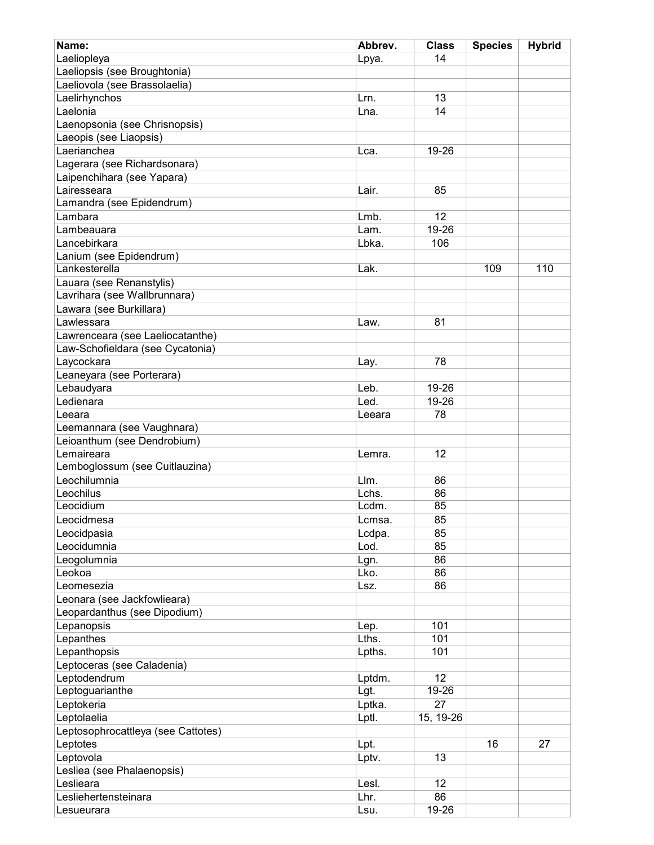| Name:                              | Abbrev. | <b>Class</b> | <b>Species</b> | <b>Hybrid</b> |
|------------------------------------|---------|--------------|----------------|---------------|
| Laeliopleya                        | Lpya.   | 14           |                |               |
| Laeliopsis (see Broughtonia)       |         |              |                |               |
| Laeliovola (see Brassolaelia)      |         |              |                |               |
| Laelirhynchos                      | Lrn.    | 13           |                |               |
| Laelonia                           | Lna.    | 14           |                |               |
| Laenopsonia (see Chrisnopsis)      |         |              |                |               |
| Laeopis (see Liaopsis)             |         |              |                |               |
| Laerianchea                        | Lca.    | 19-26        |                |               |
| Lagerara (see Richardsonara)       |         |              |                |               |
| Laipenchihara (see Yapara)         |         |              |                |               |
| Lairesseara                        | Lair.   | 85           |                |               |
| Lamandra (see Epidendrum)          |         |              |                |               |
| Lambara                            | Lmb.    | 12           |                |               |
| Lambeauara                         | Lam.    | 19-26        |                |               |
| Lancebirkara                       | Lbka.   | 106          |                |               |
| Lanium (see Epidendrum)            |         |              |                |               |
| Lankesterella                      | Lak.    |              | 109            | 110           |
| Lauara (see Renanstylis)           |         |              |                |               |
| Lavrihara (see Wallbrunnara)       |         |              |                |               |
| Lawara (see Burkillara)            |         |              |                |               |
| Lawlessara                         | Law.    | 81           |                |               |
|                                    |         |              |                |               |
| Lawrenceara (see Laeliocatanthe)   |         |              |                |               |
| Law-Schofieldara (see Cycatonia)   |         | 78           |                |               |
| Laycockara                         | Lay.    |              |                |               |
| Leaneyara (see Porterara)          |         |              |                |               |
| Lebaudyara                         | Leb.    | 19-26        |                |               |
| Ledienara                          | Led.    | 19-26        |                |               |
| Leeara                             | Leeara  | 78           |                |               |
| Leemannara (see Vaughnara)         |         |              |                |               |
| Leioanthum (see Dendrobium)        |         |              |                |               |
| Lemaireara                         | Lemra.  | 12           |                |               |
| Lemboglossum (see Cuitlauzina)     |         |              |                |               |
| Leochilumnia                       | Llm.    | 86           |                |               |
| Leochilus                          | Lchs.   | 86           |                |               |
| Leocidium                          | Lcdm.   | 85           |                |               |
| Leocidmesa                         | Lcmsa.  | 85           |                |               |
| Leocidpasia                        | Lcdpa.  | 85           |                |               |
| Leocidumnia                        | Lod.    | 85           |                |               |
| Leogolumnia                        | Lgn.    | 86           |                |               |
| Leokoa                             | Lko.    | 86           |                |               |
| Leomesezia                         | Lsz.    | 86           |                |               |
| Leonara (see Jackfowlieara)        |         |              |                |               |
| Leopardanthus (see Dipodium)       |         |              |                |               |
| Lepanopsis                         | Lep.    | 101          |                |               |
| Lepanthes                          | Lths.   | 101          |                |               |
| Lepanthopsis                       | Lpths.  | 101          |                |               |
| Leptoceras (see Caladenia)         |         |              |                |               |
| Leptodendrum                       | Lptdm.  | 12           |                |               |
| Leptoguarianthe                    | Lgt.    | 19-26        |                |               |
| Leptokeria                         | Lptka.  | 27           |                |               |
| Leptolaelia                        | Lptl.   | 15, 19-26    |                |               |
| Leptosophrocattleya (see Cattotes) |         |              |                |               |
| Leptotes                           | Lpt.    |              | 16             | 27            |
| Leptovola                          | Lptv.   | 13           |                |               |
| Lesliea (see Phalaenopsis)         |         |              |                |               |
| Leslieara                          | Lesl.   | 12           |                |               |
| Lesliehertensteinara               | Lhr.    | 86           |                |               |
| Lesueurara                         | Lsu.    | 19-26        |                |               |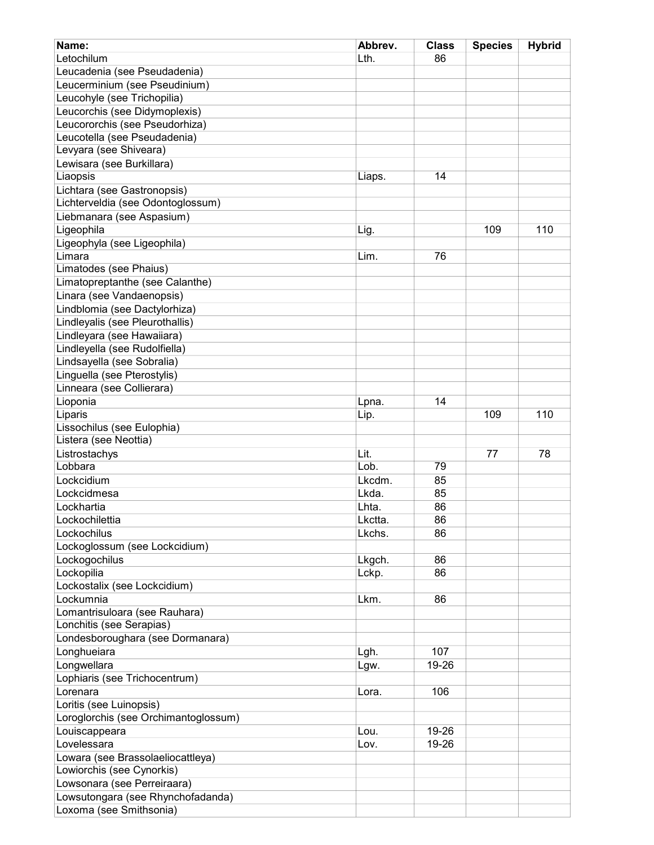| Name:                                | Abbrev. | <b>Class</b> | <b>Species</b> | <b>Hybrid</b> |
|--------------------------------------|---------|--------------|----------------|---------------|
| Letochilum                           | Lth.    | 86           |                |               |
| Leucadenia (see Pseudadenia)         |         |              |                |               |
| Leucerminium (see Pseudinium)        |         |              |                |               |
| Leucohyle (see Trichopilia)          |         |              |                |               |
| Leucorchis (see Didymoplexis)        |         |              |                |               |
| Leucororchis (see Pseudorhiza)       |         |              |                |               |
| Leucotella (see Pseudadenia)         |         |              |                |               |
| Levyara (see Shiveara)               |         |              |                |               |
| Lewisara (see Burkillara)            |         |              |                |               |
| Liaopsis                             | Liaps.  | 14           |                |               |
| Lichtara (see Gastronopsis)          |         |              |                |               |
| Lichterveldia (see Odontoglossum)    |         |              |                |               |
| Liebmanara (see Aspasium)            |         |              |                |               |
| Ligeophila                           | Lig.    |              | 109            | 110           |
| Ligeophyla (see Ligeophila)          |         |              |                |               |
| Limara                               | Lim.    | 76           |                |               |
| Limatodes (see Phaius)               |         |              |                |               |
| Limatopreptanthe (see Calanthe)      |         |              |                |               |
| Linara (see Vandaenopsis)            |         |              |                |               |
| Lindblomia (see Dactylorhiza)        |         |              |                |               |
| Lindleyalis (see Pleurothallis)      |         |              |                |               |
| Lindleyara (see Hawaiiara)           |         |              |                |               |
| Lindleyella (see Rudolfiella)        |         |              |                |               |
| Lindsayella (see Sobralia)           |         |              |                |               |
| Linguella (see Pterostylis)          |         |              |                |               |
| Linneara (see Collierara)            |         |              |                |               |
| Lioponia                             | Lpna.   | 14           |                |               |
| Liparis                              | Lip.    |              | 109            | 110           |
| Lissochilus (see Eulophia)           |         |              |                |               |
| Listera (see Neottia)                |         |              |                |               |
| Listrostachys                        | Lit.    |              | 77             | 78            |
| Lobbara                              | Lob.    | 79           |                |               |
| Lockcidium                           | Lkcdm.  | 85           |                |               |
| Lockcidmesa                          | Lkda.   | 85           |                |               |
| Lockhartia                           | Lhta.   | 86           |                |               |
| Lockochilettia                       | Lkctta. | 86           |                |               |
| Lockochilus                          | Lkchs.  | 86           |                |               |
| Lockoglossum (see Lockcidium)        |         |              |                |               |
| Lockogochilus                        | Lkgch.  | 86           |                |               |
| Lockopilia                           | Lckp.   | 86           |                |               |
| Lockostalix (see Lockcidium)         |         |              |                |               |
| Lockumnia                            | Lkm.    | 86           |                |               |
| Lomantrisuloara (see Rauhara)        |         |              |                |               |
| Lonchitis (see Serapias)             |         |              |                |               |
| Londesboroughara (see Dormanara)     |         |              |                |               |
| Longhueiara                          | Lgh.    | 107          |                |               |
| Longwellara                          | Lgw.    | 19-26        |                |               |
| Lophiaris (see Trichocentrum)        |         |              |                |               |
| Lorenara                             | Lora.   | 106          |                |               |
| Loritis (see Luinopsis)              |         |              |                |               |
| Loroglorchis (see Orchimantoglossum) |         |              |                |               |
| Louiscappeara                        | Lou.    | 19-26        |                |               |
| Lovelessara                          | Lov.    | 19-26        |                |               |
| Lowara (see Brassolaeliocattleya)    |         |              |                |               |
| Lowiorchis (see Cynorkis)            |         |              |                |               |
| Lowsonara (see Perreiraara)          |         |              |                |               |
| Lowsutongara (see Rhynchofadanda)    |         |              |                |               |
| Loxoma (see Smithsonia)              |         |              |                |               |
|                                      |         |              |                |               |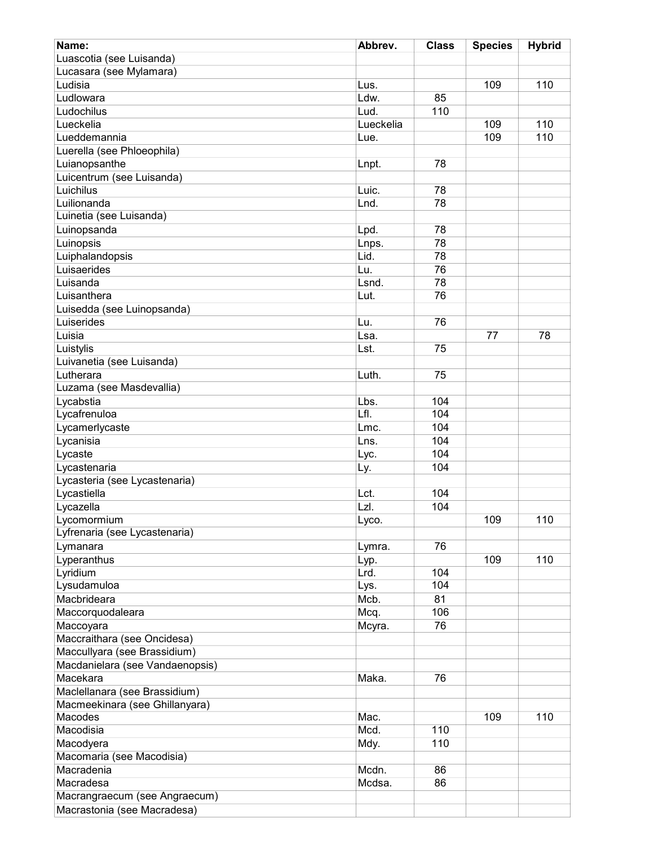| Name:                           | Abbrev.   | <b>Class</b> | <b>Species</b> | <b>Hybrid</b> |
|---------------------------------|-----------|--------------|----------------|---------------|
| Luascotia (see Luisanda)        |           |              |                |               |
| Lucasara (see Mylamara)         |           |              |                |               |
| Ludisia                         | Lus.      |              | 109            | 110           |
| Ludlowara                       | Ldw.      | 85           |                |               |
| Ludochilus                      | Lud.      | 110          |                |               |
| Lueckelia                       | Lueckelia |              | 109            | 110           |
| Lueddemannia                    | Lue.      |              | 109            | 110           |
| Luerella (see Phloeophila)      |           |              |                |               |
| Luianopsanthe                   | Lnpt.     | 78           |                |               |
| Luicentrum (see Luisanda)       |           |              |                |               |
| Luichilus                       | Luic.     | 78           |                |               |
| Luilionanda                     | Lnd.      | 78           |                |               |
| Luinetia (see Luisanda)         |           |              |                |               |
| Luinopsanda                     | Lpd.      | 78           |                |               |
| Luinopsis                       | Lnps.     | 78           |                |               |
| Luiphalandopsis                 | Lid.      | 78           |                |               |
| Luisaerides                     | Lu.       | 76           |                |               |
| Luisanda                        | Lsnd.     | 78           |                |               |
| Luisanthera                     | Lut.      | 76           |                |               |
| Luisedda (see Luinopsanda)      |           |              |                |               |
| Luiserides                      | Lu.       | 76           |                |               |
| Luisia                          | Lsa.      |              | 77             | 78            |
| Luistylis                       | Lst.      | 75           |                |               |
| Luivanetia (see Luisanda)       |           |              |                |               |
| Lutherara                       | Luth.     | 75           |                |               |
| Luzama (see Masdevallia)        |           |              |                |               |
| Lycabstia                       | Lbs.      | 104          |                |               |
| Lycafrenuloa                    | Lfl.      | 104          |                |               |
| Lycamerlycaste                  | Lmc.      | 104          |                |               |
| Lycanisia                       | Lns.      | 104          |                |               |
| Lycaste                         | Lyc.      | 104          |                |               |
| Lycastenaria                    | Ly.       | 104          |                |               |
| Lycasteria (see Lycastenaria)   |           |              |                |               |
| Lycastiella                     | Lct.      | 104          |                |               |
| Lycazella                       | LzI.      | 104          |                |               |
| Lycomormium                     | Lyco.     |              | 109            | 110           |
| Lyfrenaria (see Lycastenaria)   |           |              |                |               |
| Lymanara                        | Lymra.    | 76           |                |               |
| Lyperanthus                     | Lyp.      |              | 109            | 110           |
| Lyridium                        | Lrd.      | 104          |                |               |
| Lysudamuloa                     | Lys.      | 104          |                |               |
| Macbrideara                     | Mcb.      | 81           |                |               |
| Maccorquodaleara                | Mcq.      | 106          |                |               |
| Maccoyara                       | Mcyra.    | 76           |                |               |
| Maccraithara (see Oncidesa)     |           |              |                |               |
| Maccullyara (see Brassidium)    |           |              |                |               |
| Macdanielara (see Vandaenopsis) |           |              |                |               |
| Macekara                        | Maka.     | 76           |                |               |
| Maclellanara (see Brassidium)   |           |              |                |               |
| Macmeekinara (see Ghillanyara)  |           |              |                |               |
| <b>Macodes</b>                  | Mac.      |              | 109            | 110           |
| Macodisia                       | Mcd.      | 110          |                |               |
| Macodyera                       | Mdy.      | 110          |                |               |
| Macomaria (see Macodisia)       |           |              |                |               |
| Macradenia                      | Mcdn.     | 86           |                |               |
| Macradesa                       | Mcdsa.    | 86           |                |               |
| Macrangraecum (see Angraecum)   |           |              |                |               |
| Macrastonia (see Macradesa)     |           |              |                |               |
|                                 |           |              |                |               |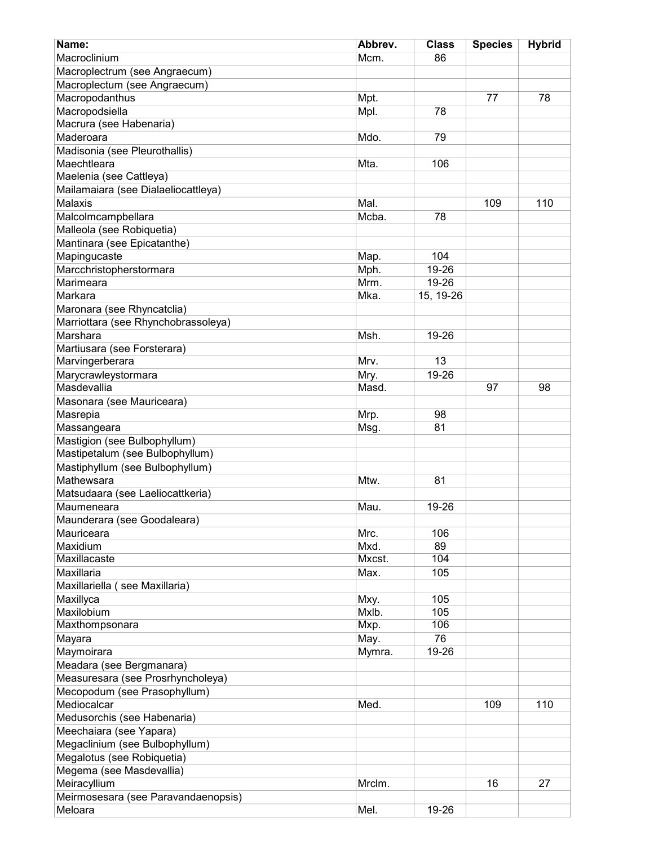| Name:                               | Abbrev. | <b>Class</b> | <b>Species</b> | <b>Hybrid</b> |
|-------------------------------------|---------|--------------|----------------|---------------|
| Macroclinium                        | Mcm.    | 86           |                |               |
| Macroplectrum (see Angraecum)       |         |              |                |               |
| Macroplectum (see Angraecum)        |         |              |                |               |
| Macropodanthus                      | Mpt.    |              | 77             | 78            |
| Macropodsiella                      | Mpl.    | 78           |                |               |
| Macrura (see Habenaria)             |         |              |                |               |
| Maderoara                           | Mdo.    | 79           |                |               |
| Madisonia (see Pleurothallis)       |         |              |                |               |
| Maechtleara                         | Mta.    | 106          |                |               |
| Maelenia (see Cattleya)             |         |              |                |               |
| Mailamaiara (see Dialaeliocattleya) |         |              |                |               |
| Malaxis                             | Mal.    |              | 109            | 110           |
| Malcolmcampbellara                  | Mcba.   | 78           |                |               |
| Malleola (see Robiquetia)           |         |              |                |               |
| Mantinara (see Epicatanthe)         |         |              |                |               |
| Mapingucaste                        | Map.    | 104          |                |               |
| Marcchristopherstormara             | Mph.    | 19-26        |                |               |
| Marimeara                           | Mrm.    | 19-26        |                |               |
| Markara                             | Mka.    | 15, 19-26    |                |               |
| Maronara (see Rhyncatclia)          |         |              |                |               |
| Marriottara (see Rhynchobrassoleya) |         |              |                |               |
| Marshara                            | Msh.    | 19-26        |                |               |
| Martiusara (see Forsterara)         |         |              |                |               |
| Marvingerberara                     | Mrv.    | 13           |                |               |
| Marycrawleystormara                 | Mry.    | 19-26        |                |               |
| Masdevallia                         | Masd.   |              | 97             | 98            |
| Masonara (see Mauriceara)           |         |              |                |               |
| Masrepia                            | Mrp.    | 98           |                |               |
| Massangeara                         | Msg.    | 81           |                |               |
| Mastigion (see Bulbophyllum)        |         |              |                |               |
| Mastipetalum (see Bulbophyllum)     |         |              |                |               |
| Mastiphyllum (see Bulbophyllum)     |         |              |                |               |
| Mathewsara                          | Mtw.    | 81           |                |               |
| Matsudaara (see Laeliocattkeria)    |         |              |                |               |
| Maumeneara                          | Mau.    | 19-26        |                |               |
| Maunderara (see Goodaleara)         |         |              |                |               |
| Mauriceara                          | Mrc.    | 106          |                |               |
| Maxidium                            | Mxd.    | 89           |                |               |
| Maxillacaste                        | Mxcst.  | 104          |                |               |
| Maxillaria                          | Max.    | 105          |                |               |
| Maxillariella (see Maxillaria)      |         |              |                |               |
| Maxillyca                           | Mxy.    | 105          |                |               |
| Maxilobium                          | Mxlb.   | 105          |                |               |
| Maxthompsonara                      | Mxp.    | 106          |                |               |
| Mayara                              | May.    | 76           |                |               |
| Maymoirara                          | Mymra.  | 19-26        |                |               |
| Meadara (see Bergmanara)            |         |              |                |               |
| Measuresara (see Prosrhyncholeya)   |         |              |                |               |
| Mecopodum (see Prasophyllum)        |         |              |                |               |
| Mediocalcar                         | Med.    |              | 109            | 110           |
| Medusorchis (see Habenaria)         |         |              |                |               |
| Meechaiara (see Yapara)             |         |              |                |               |
| Megaclinium (see Bulbophyllum)      |         |              |                |               |
| Megalotus (see Robiquetia)          |         |              |                |               |
| Megema (see Masdevallia)            |         |              |                |               |
| Meiracyllium                        | Mrclm.  |              | 16             | 27            |
| Meirmosesara (see Paravandaenopsis) |         |              |                |               |
| Meloara                             | Mel.    | 19-26        |                |               |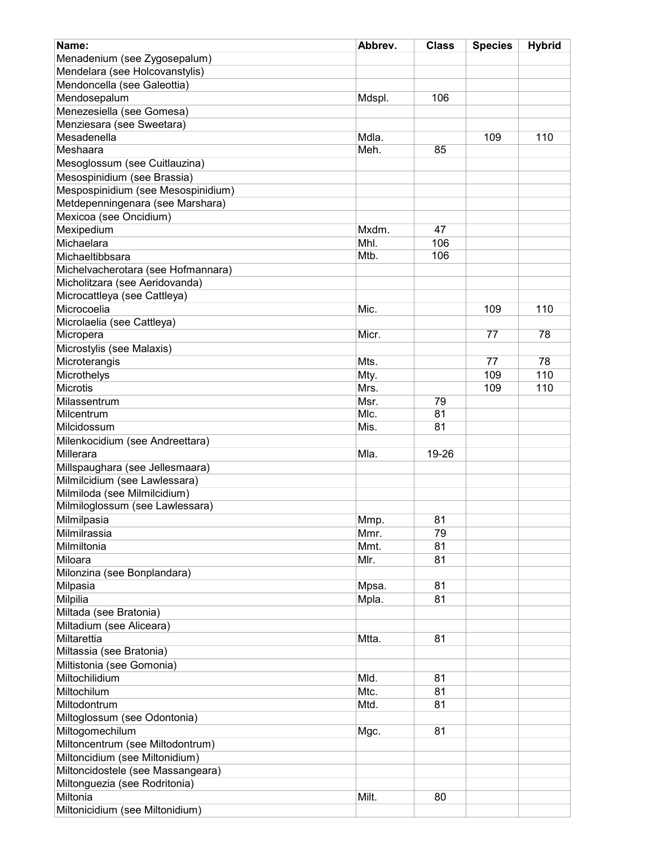| Name:                                           | Abbrev. | <b>Class</b> | <b>Species</b> | <b>Hybrid</b> |
|-------------------------------------------------|---------|--------------|----------------|---------------|
| Menadenium (see Zygosepalum)                    |         |              |                |               |
| Mendelara (see Holcovanstylis)                  |         |              |                |               |
| Mendoncella (see Galeottia)                     |         |              |                |               |
| Mendosepalum                                    | Mdspl.  | 106          |                |               |
| Menezesiella (see Gomesa)                       |         |              |                |               |
| Menziesara (see Sweetara)                       |         |              |                |               |
| Mesadenella                                     | Mdla.   |              | 109            | 110           |
| Meshaara                                        | Meh.    | 85           |                |               |
| Mesoglossum (see Cuitlauzina)                   |         |              |                |               |
| Mesospinidium (see Brassia)                     |         |              |                |               |
| Mespospinidium (see Mesospinidium)              |         |              |                |               |
| Metdepenningenara (see Marshara)                |         |              |                |               |
| Mexicoa (see Oncidium)                          |         |              |                |               |
| Mexipedium                                      | Mxdm.   | 47           |                |               |
| Michaelara                                      | Mhl.    | 106          |                |               |
| Michaeltibbsara                                 | Mtb.    | 106          |                |               |
| Michelvacherotara (see Hofmannara)              |         |              |                |               |
| Micholitzara (see Aeridovanda)                  |         |              |                |               |
| Microcattleya (see Cattleya)                    |         |              |                |               |
| Microcoelia                                     | Mic.    |              | 109            | 110           |
| Microlaelia (see Cattleya)                      |         |              |                |               |
| Micropera                                       | Micr.   |              | 77             | 78            |
| Microstylis (see Malaxis)                       |         |              |                |               |
| Microterangis                                   | Mts.    |              | 77             | 78            |
| Microthelys                                     | Mty.    |              | 109            | 110           |
| <b>Microtis</b>                                 | Mrs.    |              | 109            | 110           |
| Milassentrum                                    | Msr.    | 79           |                |               |
| Milcentrum                                      | MIc.    | 81           |                |               |
| Milcidossum                                     | Mis.    | 81           |                |               |
| Milenkocidium (see Andreettara)                 |         |              |                |               |
| Millerara                                       | Mla.    | 19-26        |                |               |
| Millspaughara (see Jellesmaara)                 |         |              |                |               |
| Milmilcidium (see Lawlessara)                   |         |              |                |               |
| Milmiloda (see Milmilcidium)                    |         |              |                |               |
| Milmiloglossum (see Lawlessara)                 |         |              |                |               |
| Milmilpasia                                     | Mmp.    | 81           |                |               |
| Milmilrassia                                    | Mmr.    | 79           |                |               |
| Milmiltonia                                     | Mmt.    | 81           |                |               |
| Miloara                                         | Mlr.    | 81           |                |               |
| Milonzina (see Bonplandara)                     |         |              |                |               |
| Milpasia                                        | Mpsa.   | 81           |                |               |
| Milpilia                                        | Mpla.   | 81           |                |               |
| Miltada (see Bratonia)                          |         |              |                |               |
| Miltadium (see Aliceara)                        |         |              |                |               |
| Miltarettia                                     | Mtta.   | 81           |                |               |
| Miltassia (see Bratonia)                        |         |              |                |               |
| Miltistonia (see Gomonia)                       |         |              |                |               |
| Miltochilidium                                  | Mld.    | 81           |                |               |
| Miltochilum                                     | Mtc.    | 81           |                |               |
| Miltodontrum                                    | Mtd.    | 81           |                |               |
|                                                 |         |              |                |               |
| Miltoglossum (see Odontonia)<br>Miltogomechilum | Mgc.    | 81           |                |               |
| Miltoncentrum (see Miltodontrum)                |         |              |                |               |
| Miltoncidium (see Miltonidium)                  |         |              |                |               |
|                                                 |         |              |                |               |
| Miltoncidostele (see Massangeara)               |         |              |                |               |
| Miltonguezia (see Rodritonia)<br>Miltonia       |         |              |                |               |
|                                                 | Milt.   | 80           |                |               |
| Miltonicidium (see Miltonidium)                 |         |              |                |               |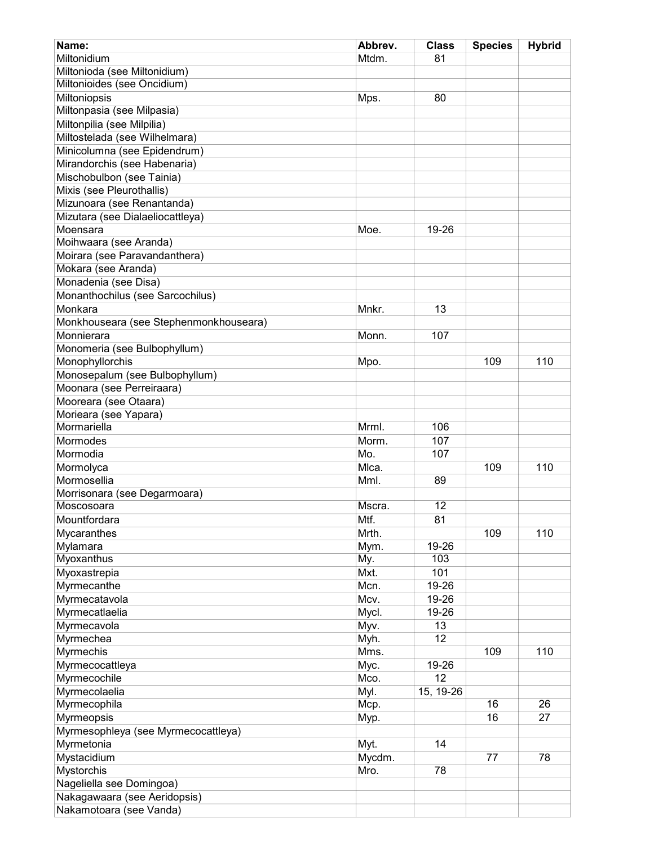| Name:                                                | Abbrev.       | <b>Class</b> | <b>Species</b> | <b>Hybrid</b> |
|------------------------------------------------------|---------------|--------------|----------------|---------------|
| Miltonidium                                          | Mtdm.         | 81           |                |               |
| Miltonioda (see Miltonidium)                         |               |              |                |               |
| Miltonioides (see Oncidium)                          |               |              |                |               |
| Miltoniopsis                                         | Mps.          | 80           |                |               |
| Miltonpasia (see Milpasia)                           |               |              |                |               |
| Miltonpilia (see Milpilia)                           |               |              |                |               |
| Miltostelada (see Wilhelmara)                        |               |              |                |               |
| Minicolumna (see Epidendrum)                         |               |              |                |               |
| Mirandorchis (see Habenaria)                         |               |              |                |               |
| Mischobulbon (see Tainia)                            |               |              |                |               |
| Mixis (see Pleurothallis)                            |               |              |                |               |
| Mizunoara (see Renantanda)                           |               |              |                |               |
| Mizutara (see Dialaeliocattleya)                     |               |              |                |               |
| Moensara                                             | Moe.          | 19-26        |                |               |
| Moihwaara (see Aranda)                               |               |              |                |               |
| Moirara (see Paravandanthera)                        |               |              |                |               |
| Mokara (see Aranda)                                  |               |              |                |               |
| Monadenia (see Disa)                                 |               |              |                |               |
| Monanthochilus (see Sarcochilus)                     |               |              |                |               |
| Monkara                                              |               |              |                |               |
|                                                      | Mnkr.         | 13           |                |               |
| Monkhouseara (see Stephenmonkhouseara)<br>Monnierara |               |              |                |               |
|                                                      | Monn.         | 107          |                |               |
| Monomeria (see Bulbophyllum)                         |               |              |                |               |
| Monophyllorchis                                      | Mpo.          |              | 109            | 110           |
| Monosepalum (see Bulbophyllum)                       |               |              |                |               |
| Moonara (see Perreiraara)                            |               |              |                |               |
| Mooreara (see Otaara)                                |               |              |                |               |
| Morieara (see Yapara)<br>Mormariella                 | Mrml.         | 106          |                |               |
|                                                      |               |              |                |               |
| Mormodes                                             | Morm.<br>Mo.  | 107<br>107   |                |               |
| Mormodia                                             | Mlca.         |              |                |               |
| Mormolyca<br>Mormosellia                             |               |              | 109            | 110           |
|                                                      | Mml.          | 89           |                |               |
| Morrisonara (see Degarmoara)<br>Moscosoara           | Mscra.        | 12           |                |               |
|                                                      |               |              |                |               |
| Mountfordara                                         | Mtf.<br>Mrth. | 81           | 109            |               |
| Mycaranthes                                          |               | 19-26        |                | 110           |
| Mylamara                                             | Mym.          | 103          |                |               |
| Myoxanthus                                           | My.           |              |                |               |
| Myoxastrepia                                         | Mxt.          | 101          |                |               |
| Myrmecanthe                                          | Mcn.          | 19-26        |                |               |
| Myrmecatavola                                        | Mcv.          | 19-26        |                |               |
| Myrmecatlaelia                                       | Mycl.         | 19-26        |                |               |
| Myrmecavola                                          | Myv.          | 13           |                |               |
| Myrmechea                                            | Myh.          | 12           |                |               |
| Myrmechis                                            | Mms.          |              | 109            | 110           |
| Myrmecocattleya                                      | Myc.          | 19-26        |                |               |
| Myrmecochile                                         | Mco.          | 12           |                |               |
| Myrmecolaelia                                        | Myl.          | 15, 19-26    |                |               |
| Myrmecophila                                         | Mcp.          |              | 16             | 26            |
| Myrmeopsis                                           | Myp.          |              | 16             | 27            |
| Myrmesophleya (see Myrmecocattleya)                  |               |              |                |               |
| Myrmetonia                                           | Myt.          | 14           |                |               |
| Mystacidium                                          | Mycdm.        |              | 77             | 78            |
| Mystorchis                                           | Mro.          | 78           |                |               |
| Nageliella see Domingoa)                             |               |              |                |               |
| Nakagawaara (see Aeridopsis)                         |               |              |                |               |
| Nakamotoara (see Vanda)                              |               |              |                |               |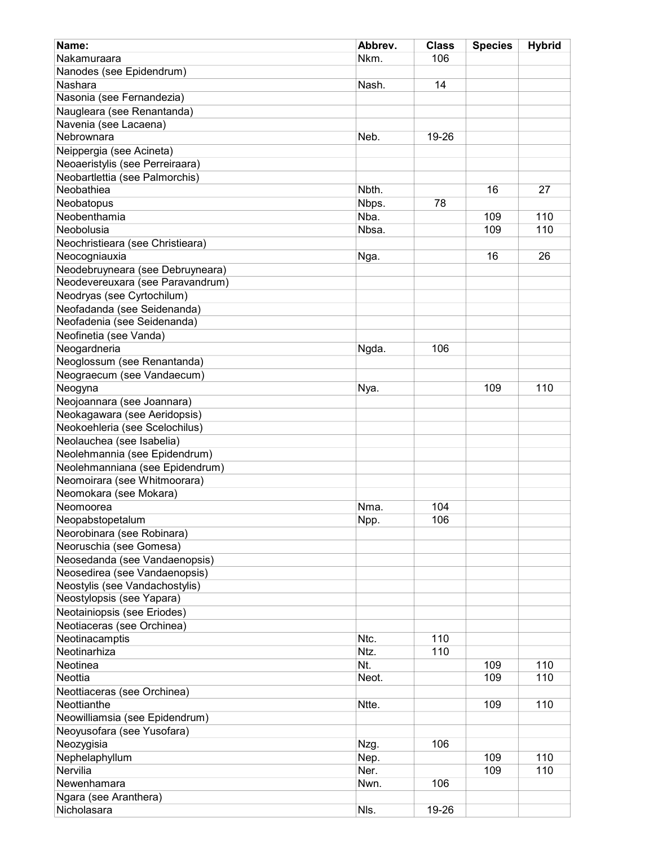| Name:                            | Abbrev. | <b>Class</b> | <b>Species</b> | <b>Hybrid</b> |
|----------------------------------|---------|--------------|----------------|---------------|
| Nakamuraara                      | Nkm.    | 106          |                |               |
| Nanodes (see Epidendrum)         |         |              |                |               |
| Nashara                          | Nash.   | 14           |                |               |
| Nasonia (see Fernandezia)        |         |              |                |               |
| Naugleara (see Renantanda)       |         |              |                |               |
| Navenia (see Lacaena)            |         |              |                |               |
| Nebrownara                       | Neb.    | 19-26        |                |               |
| Neippergia (see Acineta)         |         |              |                |               |
| Neoaeristylis (see Perreiraara)  |         |              |                |               |
| Neobartlettia (see Palmorchis)   |         |              |                |               |
| Neobathiea                       | Nbth.   |              | 16             | 27            |
| Neobatopus                       | Nbps.   | 78           |                |               |
| Neobenthamia                     | Nba.    |              | 109            | 110           |
| Neobolusia                       | Nbsa.   |              | 109            | 110           |
| Neochristieara (see Christieara) |         |              |                |               |
| Neocogniauxia                    | Nga.    |              | 16             | 26            |
| Neodebruyneara (see Debruyneara) |         |              |                |               |
| Neodevereuxara (see Paravandrum) |         |              |                |               |
| Neodryas (see Cyrtochilum)       |         |              |                |               |
| Neofadanda (see Seidenanda)      |         |              |                |               |
| Neofadenia (see Seidenanda)      |         |              |                |               |
| Neofinetia (see Vanda)           |         |              |                |               |
| Neogardneria                     | Ngda.   | 106          |                |               |
| Neoglossum (see Renantanda)      |         |              |                |               |
| Neograecum (see Vandaecum)       |         |              |                |               |
|                                  |         |              | 109            | 110           |
| Neogyna                          | Nya.    |              |                |               |
| Neojoannara (see Joannara)       |         |              |                |               |
| Neokagawara (see Aeridopsis)     |         |              |                |               |
| Neokoehleria (see Scelochilus)   |         |              |                |               |
| Neolauchea (see Isabelia)        |         |              |                |               |
| Neolehmannia (see Epidendrum)    |         |              |                |               |
| Neolehmanniana (see Epidendrum)  |         |              |                |               |
| Neomoirara (see Whitmoorara)     |         |              |                |               |
| Neomokara (see Mokara)           |         |              |                |               |
| Neomoorea                        | Nma.    | 104          |                |               |
| Neopabstopetalum                 | Npp.    | 106          |                |               |
| Neorobinara (see Robinara)       |         |              |                |               |
| Neoruschia (see Gomesa)          |         |              |                |               |
| Neosedanda (see Vandaenopsis)    |         |              |                |               |
| Neosedirea (see Vandaenopsis)    |         |              |                |               |
| Neostylis (see Vandachostylis)   |         |              |                |               |
| Neostylopsis (see Yapara)        |         |              |                |               |
| Neotainiopsis (see Eriodes)      |         |              |                |               |
| Neotiaceras (see Orchinea)       |         |              |                |               |
| Neotinacamptis                   | Ntc.    | 110          |                |               |
| Neotinarhiza                     | Ntz.    | 110          |                |               |
| Neotinea                         | Nt.     |              | 109            | 110           |
| Neottia                          | Neot.   |              | 109            | 110           |
| Neottiaceras (see Orchinea)      |         |              |                |               |
| Neottianthe                      | Ntte.   |              | 109            | 110           |
| Neowilliamsia (see Epidendrum)   |         |              |                |               |
| Neoyusofara (see Yusofara)       |         |              |                |               |
| Neozygisia                       | Nzg.    | 106          |                |               |
| Nephelaphyllum                   | Nep.    |              | 109            | 110           |
| Nervilia                         | Ner.    |              | 109            | 110           |
| Newenhamara                      | Nwn.    | 106          |                |               |
| Ngara (see Aranthera)            |         |              |                |               |
| Nicholasara                      | NIs.    | 19-26        |                |               |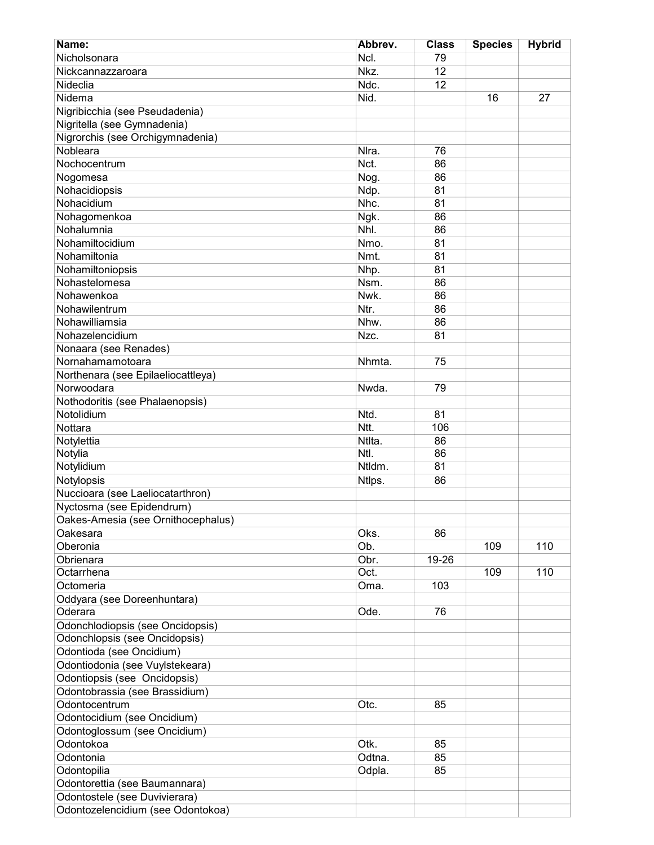| Name:                                                           | Abbrev.        | <b>Class</b> | <b>Species</b> | <b>Hybrid</b> |
|-----------------------------------------------------------------|----------------|--------------|----------------|---------------|
| Nicholsonara                                                    | Ncl.           | 79           |                |               |
| Nickcannazzaroara                                               | Nkz.           | 12           |                |               |
| Nideclia                                                        | Ndc.           | 12           |                |               |
| Nidema                                                          | Nid.           |              | 16             | 27            |
| Nigribicchia (see Pseudadenia)                                  |                |              |                |               |
| Nigritella (see Gymnadenia)                                     |                |              |                |               |
| Nigrorchis (see Orchigymnadenia)                                |                |              |                |               |
| Nobleara                                                        | Nlra.          | 76           |                |               |
| Nochocentrum                                                    | Nct.           | 86           |                |               |
| Nogomesa                                                        | Nog.           | 86           |                |               |
| Nohacidiopsis                                                   | Ndp.           | 81           |                |               |
| Nohacidium                                                      | Nhc.           | 81           |                |               |
| Nohagomenkoa                                                    | Ngk.           | 86           |                |               |
| Nohalumnia                                                      | Nhl.           | 86           |                |               |
| Nohamiltocidium                                                 | Nmo.           | 81           |                |               |
| Nohamiltonia                                                    | Nmt.           | 81           |                |               |
| Nohamiltoniopsis                                                | Nhp.           | 81           |                |               |
| Nohastelomesa                                                   | Nsm.           | 86           |                |               |
| Nohawenkoa                                                      | Nwk.           |              |                |               |
|                                                                 |                | 86           |                |               |
| Nohawilentrum<br>Nohawilliamsia                                 | Ntr.           | 86           |                |               |
|                                                                 | Nhw.           | 86           |                |               |
| Nohazelencidium                                                 | Nzc.           | 81           |                |               |
| Nonaara (see Renades)                                           |                |              |                |               |
| Nornahamamotoara                                                | Nhmta.         | 75           |                |               |
| Northenara (see Epilaeliocattleya)                              |                |              |                |               |
| Norwoodara                                                      | Nwda.          | 79           |                |               |
| Nothodoritis (see Phalaenopsis)                                 |                |              |                |               |
| Notolidium                                                      | Ntd.           | 81           |                |               |
| Nottara                                                         | Ntt.           | 106          |                |               |
| Notylettia                                                      | Ntlta.<br>Ntl. | 86<br>86     |                |               |
| Notylia                                                         |                |              |                |               |
| Notylidium                                                      | Ntldm.         | 81           |                |               |
| Notylopsis                                                      | Ntlps.         | 86           |                |               |
| Nuccioara (see Laeliocatarthron)                                |                |              |                |               |
| Nyctosma (see Epidendrum)                                       |                |              |                |               |
| Oakes-Amesia (see Ornithocephalus)                              |                |              |                |               |
| Oakesara<br>Oberonia                                            | Oks.<br>Ob.    | 86           | 109            |               |
|                                                                 | Obr.           |              |                | 110           |
| Obrienara<br>Octarrhena                                         | Oct.           | 19-26        | 109            | 110           |
|                                                                 |                |              |                |               |
| Octomeria                                                       | Oma.           | 103          |                |               |
| Oddyara (see Doreenhuntara)<br>Oderara                          | Ode.           | 76           |                |               |
| Odonchlodiopsis (see Oncidopsis)                                |                |              |                |               |
| Odonchlopsis (see Oncidopsis)                                   |                |              |                |               |
|                                                                 |                |              |                |               |
| Odontioda (see Oncidium)                                        |                |              |                |               |
| Odontiodonia (see Vuylstekeara)<br>Odontiopsis (see Oncidopsis) |                |              |                |               |
| Odontobrassia (see Brassidium)                                  |                |              |                |               |
| Odontocentrum                                                   |                |              |                |               |
| Odontocidium (see Oncidium)                                     | Otc.           | 85           |                |               |
| Odontoglossum (see Oncidium)                                    |                |              |                |               |
| Odontokoa                                                       | Otk.           | 85           |                |               |
| Odontonia                                                       | Odtna.         | 85           |                |               |
| Odontopilia                                                     | Odpla.         | 85           |                |               |
| Odontorettia (see Baumannara)                                   |                |              |                |               |
| Odontostele (see Duvivierara)                                   |                |              |                |               |
| Odontozelencidium (see Odontokoa)                               |                |              |                |               |
|                                                                 |                |              |                |               |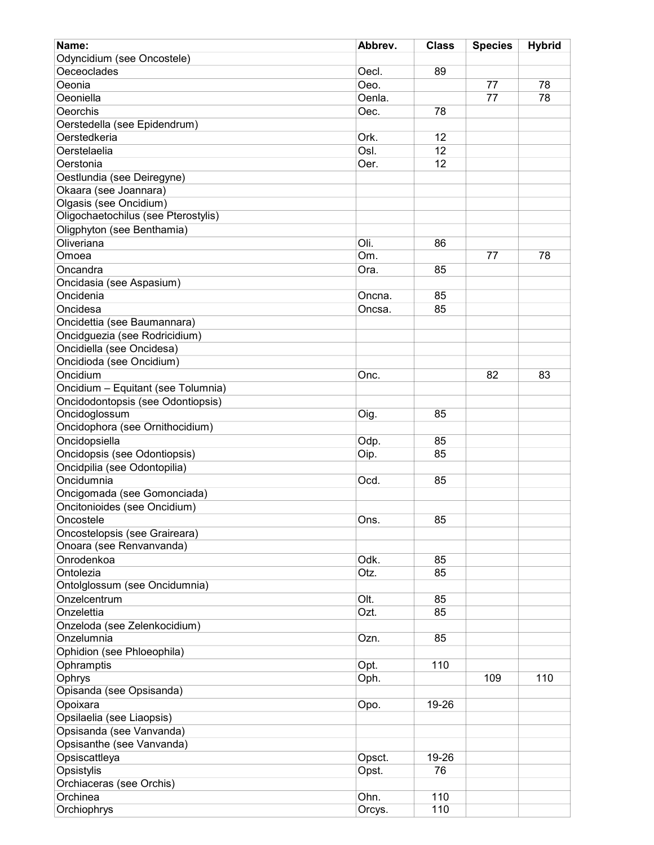| Name:                                 | Abbrev. | <b>Class</b> | <b>Species</b> | <b>Hybrid</b> |
|---------------------------------------|---------|--------------|----------------|---------------|
| Odyncidium (see Oncostele)            |         |              |                |               |
| Oeceoclades                           | Oecl.   | 89           |                |               |
| Oeonia                                | Oeo.    |              | 77             | 78            |
| Oeoniella                             | Oenla.  |              | 77             | 78            |
| Oeorchis                              | Oec.    | 78           |                |               |
| Oerstedella (see Epidendrum)          |         |              |                |               |
| Oerstedkeria                          | Ork.    | 12           |                |               |
| Oerstelaelia                          | Osl.    | 12           |                |               |
| Oerstonia                             | Oer.    | 12           |                |               |
| Oestlundia (see Deiregyne)            |         |              |                |               |
| Okaara (see Joannara)                 |         |              |                |               |
| Olgasis (see Oncidium)                |         |              |                |               |
| Oligochaetochilus (see Pterostylis)   |         |              |                |               |
| Oligphyton (see Benthamia)            |         |              |                |               |
| Oliveriana                            | Oli.    | 86           |                |               |
| Omoea                                 | Om.     |              | 77             | 78            |
| Oncandra                              |         | 85           |                |               |
|                                       | Ora.    |              |                |               |
| Oncidasia (see Aspasium)<br>Oncidenia |         |              |                |               |
| Oncidesa                              | Oncna.  | 85           |                |               |
|                                       | Oncsa.  | 85           |                |               |
| Oncidettia (see Baumannara)           |         |              |                |               |
| Oncidguezia (see Rodricidium)         |         |              |                |               |
| Oncidiella (see Oncidesa)             |         |              |                |               |
| Oncidioda (see Oncidium)              |         |              |                |               |
| Oncidium                              | Onc.    |              | 82             | 83            |
| Oncidium - Equitant (see Tolumnia)    |         |              |                |               |
| Oncidodontopsis (see Odontiopsis)     |         |              |                |               |
| Oncidoglossum                         | Oig.    | 85           |                |               |
| Oncidophora (see Ornithocidium)       |         |              |                |               |
| Oncidopsiella                         | Odp.    | 85           |                |               |
| Oncidopsis (see Odontiopsis)          | Oip.    | 85           |                |               |
| Oncidpilia (see Odontopilia)          |         |              |                |               |
| Oncidumnia                            | Ocd.    | 85           |                |               |
| Oncigomada (see Gomonciada)           |         |              |                |               |
| Oncitonioides (see Oncidium)          |         |              |                |               |
| Oncostele                             | Ons.    | 85           |                |               |
| Oncostelopsis (see Graireara)         |         |              |                |               |
| Onoara (see Renvanvanda)              |         |              |                |               |
| Onrodenkoa                            | Odk.    | 85           |                |               |
| Ontolezia                             | Otz.    | 85           |                |               |
| Ontolglossum (see Oncidumnia)         |         |              |                |               |
| Onzelcentrum                          | Olt.    | 85           |                |               |
| Onzelettia                            | Ozt.    | 85           |                |               |
| Onzeloda (see Zelenkocidium)          |         |              |                |               |
| Onzelumnia                            | Ozn.    | 85           |                |               |
| Ophidion (see Phloeophila)            |         |              |                |               |
| Ophramptis                            | Opt.    | 110          |                |               |
| Ophrys                                | Oph.    |              | 109            | 110           |
| Opisanda (see Opsisanda)              |         |              |                |               |
| Opoixara                              | Opo.    | 19-26        |                |               |
| Opsilaelia (see Liaopsis)             |         |              |                |               |
| Opsisanda (see Vanvanda)              |         |              |                |               |
| Opsisanthe (see Vanvanda)             |         |              |                |               |
| Opsiscattleya                         | Opsct.  | 19-26        |                |               |
| Opsistylis                            | Opst.   | 76           |                |               |
| Orchiaceras (see Orchis)              |         |              |                |               |
| Orchinea                              | Ohn.    | 110          |                |               |
| Orchiophrys                           | Orcys.  | 110          |                |               |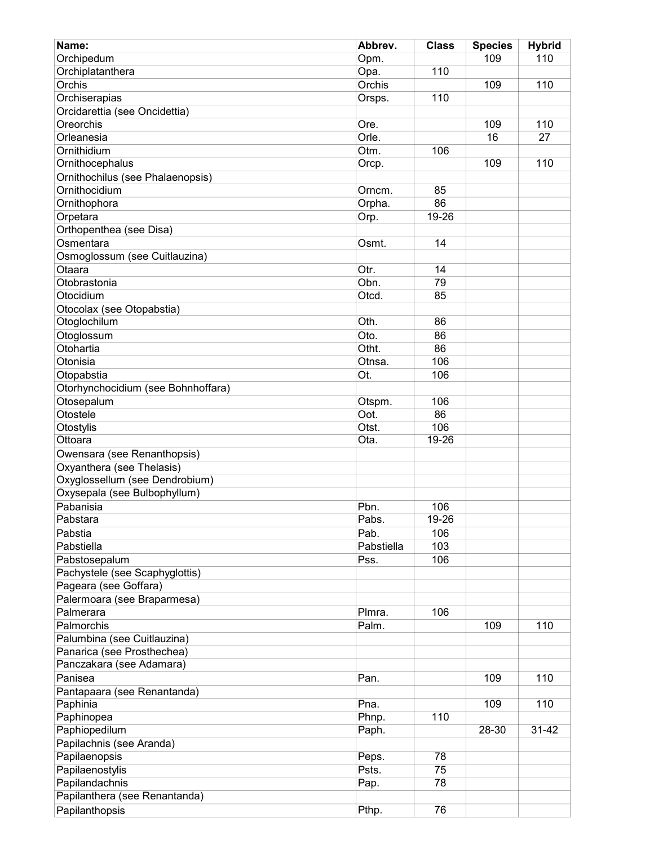| Name:                              | Abbrev.    | <b>Class</b> | <b>Species</b> | <b>Hybrid</b> |
|------------------------------------|------------|--------------|----------------|---------------|
| Orchipedum                         | Opm.       |              | 109            | 110           |
| Orchiplatanthera                   | Opa.       | 110          |                |               |
| Orchis                             | Orchis     |              | 109            | 110           |
| Orchiserapias                      | Orsps.     | 110          |                |               |
| Orcidarettia (see Oncidettia)      |            |              |                |               |
| Oreorchis                          | Ore.       |              | 109            | 110           |
| Orleanesia                         | Orle.      |              | 16             | 27            |
| Ornithidium                        | Otm.       | 106          |                |               |
| Ornithocephalus                    | Orcp.      |              | 109            | 110           |
| Ornithochilus (see Phalaenopsis)   |            |              |                |               |
| Ornithocidium                      | Orncm.     | 85           |                |               |
| Ornithophora                       | Orpha.     | 86           |                |               |
| Orpetara                           | Orp.       | 19-26        |                |               |
| Orthopenthea (see Disa)            |            |              |                |               |
| Osmentara                          |            | 14           |                |               |
|                                    | Osmt.      |              |                |               |
| Osmoglossum (see Cuitlauzina)      |            |              |                |               |
| Otaara                             | Otr.       | 14           |                |               |
| Otobrastonia                       | Obn.       | 79           |                |               |
| Otocidium                          | Otcd.      | 85           |                |               |
| Otocolax (see Otopabstia)          |            |              |                |               |
| Otoglochilum                       | Oth.       | 86           |                |               |
| Otoglossum                         | Oto.       | 86           |                |               |
| Otohartia                          | Otht.      | 86           |                |               |
| Otonisia                           | Otnsa.     | 106          |                |               |
| Otopabstia                         | Ot.        | 106          |                |               |
| Otorhynchocidium (see Bohnhoffara) |            |              |                |               |
| Otosepalum                         | Otspm.     | 106          |                |               |
| Otostele                           | Oot.       | 86           |                |               |
| Otostylis                          | Otst.      | 106          |                |               |
| Ottoara                            | Ota.       | 19-26        |                |               |
| Owensara (see Renanthopsis)        |            |              |                |               |
| Oxyanthera (see Thelasis)          |            |              |                |               |
| Oxyglossellum (see Dendrobium)     |            |              |                |               |
| Oxysepala (see Bulbophyllum)       |            |              |                |               |
| Pabanisia                          | Pbn.       | 106          |                |               |
| Pabstara                           | Pabs.      | 19-26        |                |               |
| Pabstia                            | Pab.       | 106          |                |               |
| Pabstiella                         | Pabstiella | 103          |                |               |
| Pabstosepalum                      | Pss.       | 106          |                |               |
| Pachystele (see Scaphyglottis)     |            |              |                |               |
| Pageara (see Goffara)              |            |              |                |               |
| Palermoara (see Braparmesa)        |            |              |                |               |
| Palmerara                          | Plmra.     | 106          |                |               |
| Palmorchis                         | Palm.      |              | 109            | 110           |
|                                    |            |              |                |               |
| Palumbina (see Cuitlauzina)        |            |              |                |               |
| Panarica (see Prosthechea)         |            |              |                |               |
| Panczakara (see Adamara)           |            |              |                |               |
| Panisea                            | Pan.       |              | 109            | 110           |
| Pantapaara (see Renantanda)        |            |              |                |               |
| Paphinia                           | Pna.       |              | 109            | 110           |
| Paphinopea                         | Phnp.      | 110          |                |               |
| Paphiopedilum                      | Paph.      |              | 28-30          | $31 - 42$     |
| Papilachnis (see Aranda)           |            |              |                |               |
| Papilaenopsis                      | Peps.      | 78           |                |               |
| Papilaenostylis                    | Psts.      | 75           |                |               |
| Papilandachnis                     | Pap.       | 78           |                |               |
| Papilanthera (see Renantanda)      |            |              |                |               |
| Papilanthopsis                     | Pthp.      | 76           |                |               |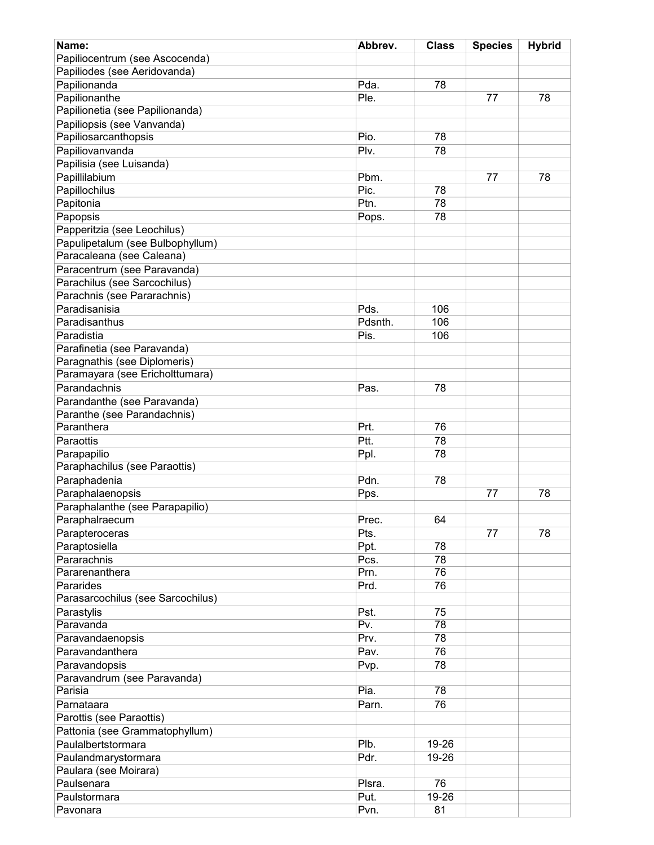| Name:                                  | Abbrev. | <b>Class</b> | <b>Species</b> | <b>Hybrid</b> |
|----------------------------------------|---------|--------------|----------------|---------------|
| Papiliocentrum (see Ascocenda)         |         |              |                |               |
| Papiliodes (see Aeridovanda)           |         |              |                |               |
| Papilionanda                           | Pda.    | 78           |                |               |
| Papilionanthe                          | Ple.    |              | 77             | 78            |
| Papilionetia (see Papilionanda)        |         |              |                |               |
|                                        |         |              |                |               |
| Papiliopsis (see Vanvanda)             | Pio.    | 78           |                |               |
| Papiliosarcanthopsis                   |         |              |                |               |
| Papiliovanvanda                        | Plv.    | 78           |                |               |
| Papilisia (see Luisanda)               |         |              |                |               |
| Papillilabium                          | Pbm.    |              | 77             | 78            |
| Papillochilus                          | Pic.    | 78           |                |               |
| Papitonia                              | Ptn.    | 78           |                |               |
| Papopsis                               | Pops.   | 78           |                |               |
| Papperitzia (see Leochilus)            |         |              |                |               |
| Papulipetalum (see Bulbophyllum)       |         |              |                |               |
| Paracaleana (see Caleana)              |         |              |                |               |
| Paracentrum (see Paravanda)            |         |              |                |               |
| Parachilus (see Sarcochilus)           |         |              |                |               |
| Parachnis (see Pararachnis)            |         |              |                |               |
| Paradisanisia                          | Pds.    | 106          |                |               |
| Paradisanthus                          | Pdsnth. | 106          |                |               |
| Paradistia                             | Pis.    | 106          |                |               |
| Parafinetia (see Paravanda)            |         |              |                |               |
| Paragnathis (see Diplomeris)           |         |              |                |               |
| Paramayara (see Ericholttumara)        |         |              |                |               |
|                                        |         |              |                |               |
| Parandachnis                           | Pas.    | 78           |                |               |
| Parandanthe (see Paravanda)            |         |              |                |               |
| Paranthe (see Parandachnis)            |         |              |                |               |
| Paranthera                             | Prt.    | 76           |                |               |
| Paraottis                              | Ptt.    | 78           |                |               |
| Parapapilio                            | Ppl.    | 78           |                |               |
| Paraphachilus (see Paraottis)          |         |              |                |               |
| Paraphadenia                           | Pdn.    | 78           |                |               |
| Paraphalaenopsis                       | Pps.    |              | 77             | 78            |
| Paraphalanthe (see Parapapilio)        |         |              |                |               |
| Paraphalraecum                         | Prec.   | 64           |                |               |
| Parapteroceras                         | Pts.    |              | 77             | 78            |
| Paraptosiella                          | Ppt.    | 78           |                |               |
| Pararachnis                            | Pcs.    | 78           |                |               |
| Pararenanthera                         | Prn.    | 76           |                |               |
| Pararides                              | Prd.    | 76           |                |               |
| Parasarcochilus (see Sarcochilus)      |         |              |                |               |
| Parastylis                             | Pst.    | 75           |                |               |
| Paravanda                              | Pv.     | 78           |                |               |
| Paravandaenopsis                       | Prv.    | 78           |                |               |
| Paravandanthera                        | Pav.    | 76           |                |               |
|                                        |         | 78           |                |               |
| Paravandopsis                          | Pvp.    |              |                |               |
| Paravandrum (see Paravanda)<br>Parisia | Pia.    | 78           |                |               |
|                                        |         |              |                |               |
| Parnataara                             | Parn.   | 76           |                |               |
| Parottis (see Paraottis)               |         |              |                |               |
| Pattonia (see Grammatophyllum)         |         |              |                |               |
| Paulalbertstormara                     | Plb.    | 19-26        |                |               |
| Paulandmarystormara                    | Pdr.    | 19-26        |                |               |
| Paulara (see Moirara)                  |         |              |                |               |
| Paulsenara                             | Plsra.  | 76           |                |               |
| Paulstormara                           | Put.    | 19-26        |                |               |
| Pavonara                               | Pvn.    | 81           |                |               |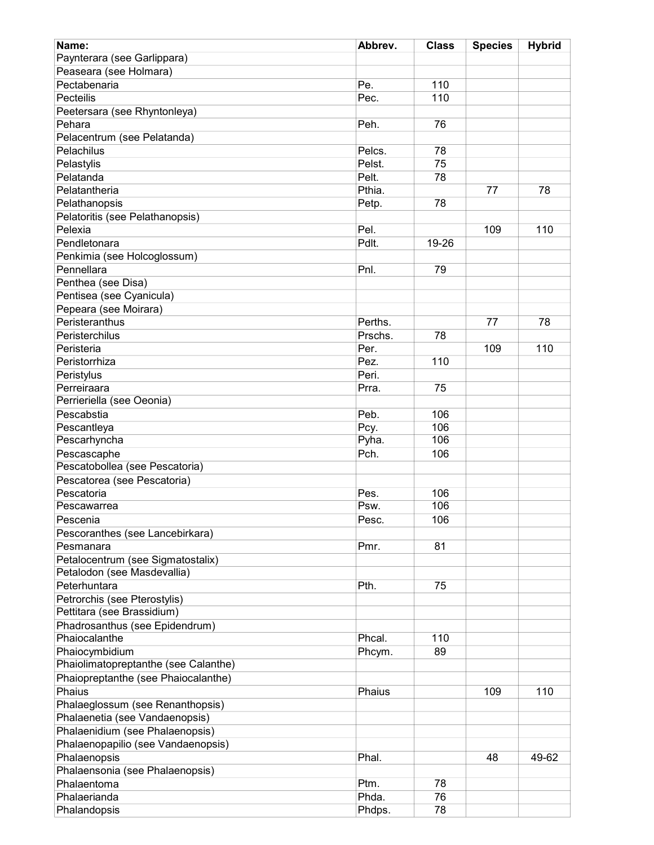| Name:                                  | Abbrev. | <b>Class</b> | <b>Species</b> | <b>Hybrid</b> |
|----------------------------------------|---------|--------------|----------------|---------------|
| Paynterara (see Garlippara)            |         |              |                |               |
| Peaseara (see Holmara)                 |         |              |                |               |
| Pectabenaria                           | Pe.     | 110          |                |               |
| Pecteilis                              | Pec.    | 110          |                |               |
|                                        |         |              |                |               |
| Peetersara (see Rhyntonleya)<br>Pehara | Peh.    | 76           |                |               |
|                                        |         |              |                |               |
| Pelacentrum (see Pelatanda)            |         |              |                |               |
| Pelachilus                             | Pelcs.  | 78           |                |               |
| Pelastylis                             | Pelst.  | 75           |                |               |
| Pelatanda                              | Pelt.   | 78           |                |               |
| Pelatantheria                          | Pthia.  |              | 77             | 78            |
| Pelathanopsis                          | Petp.   | 78           |                |               |
| Pelatoritis (see Pelathanopsis)        |         |              |                |               |
| Pelexia                                | Pel.    |              | 109            | 110           |
| Pendletonara                           | Pdlt.   | 19-26        |                |               |
| Penkimia (see Holcoglossum)            |         |              |                |               |
| Pennellara                             | Pnl.    | 79           |                |               |
| Penthea (see Disa)                     |         |              |                |               |
| Pentisea (see Cyanicula)               |         |              |                |               |
| Pepeara (see Moirara)                  |         |              |                |               |
| Peristeranthus                         | Perths. |              | 77             | 78            |
| Peristerchilus                         | Prschs. | 78           |                |               |
| Peristeria                             | Per.    |              | 109            | 110           |
| Peristorrhiza                          | Pez.    | 110          |                |               |
|                                        | Peri.   |              |                |               |
| Peristylus                             |         |              |                |               |
| Perreiraara                            | Prra.   | 75           |                |               |
| Perrieriella (see Oeonia)              |         |              |                |               |
| Pescabstia                             | Peb.    | 106          |                |               |
| Pescantleya                            | Pcy.    | 106          |                |               |
| Pescarhyncha                           | Pyha.   | 106          |                |               |
| Pescascaphe                            | Pch.    | 106          |                |               |
| Pescatobollea (see Pescatoria)         |         |              |                |               |
| Pescatorea (see Pescatoria)            |         |              |                |               |
| Pescatoria                             | Pes.    | 106          |                |               |
| Pescawarrea                            | Psw.    | 106          |                |               |
| Pescenia                               | Pesc.   | 106          |                |               |
| Pescoranthes (see Lancebirkara)        |         |              |                |               |
| Pesmanara                              | Pmr.    | 81           |                |               |
| Petalocentrum (see Sigmatostalix)      |         |              |                |               |
| Petalodon (see Masdevallia)            |         |              |                |               |
| Peterhuntara                           | Pth.    | 75           |                |               |
| Petrorchis (see Pterostylis)           |         |              |                |               |
| Pettitara (see Brassidium)             |         |              |                |               |
| Phadrosanthus (see Epidendrum)         |         |              |                |               |
| Phaiocalanthe                          | Phcal.  | 110          |                |               |
| Phaiocymbidium                         | Phcym.  | 89           |                |               |
| Phaiolimatopreptanthe (see Calanthe)   |         |              |                |               |
|                                        |         |              |                |               |
| Phaiopreptanthe (see Phaiocalanthe)    |         |              |                |               |
| Phaius                                 | Phaius  |              | 109            | 110           |
| Phalaeglossum (see Renanthopsis)       |         |              |                |               |
| Phalaenetia (see Vandaenopsis)         |         |              |                |               |
| Phalaenidium (see Phalaenopsis)        |         |              |                |               |
| Phalaenopapilio (see Vandaenopsis)     |         |              |                |               |
| Phalaenopsis                           | Phal.   |              | 48             | 49-62         |
| Phalaensonia (see Phalaenopsis)        |         |              |                |               |
| Phalaentoma                            | Ptm.    | 78           |                |               |
| Phalaerianda                           | Phda.   | 76           |                |               |
| Phalandopsis                           | Phdps.  | 78           |                |               |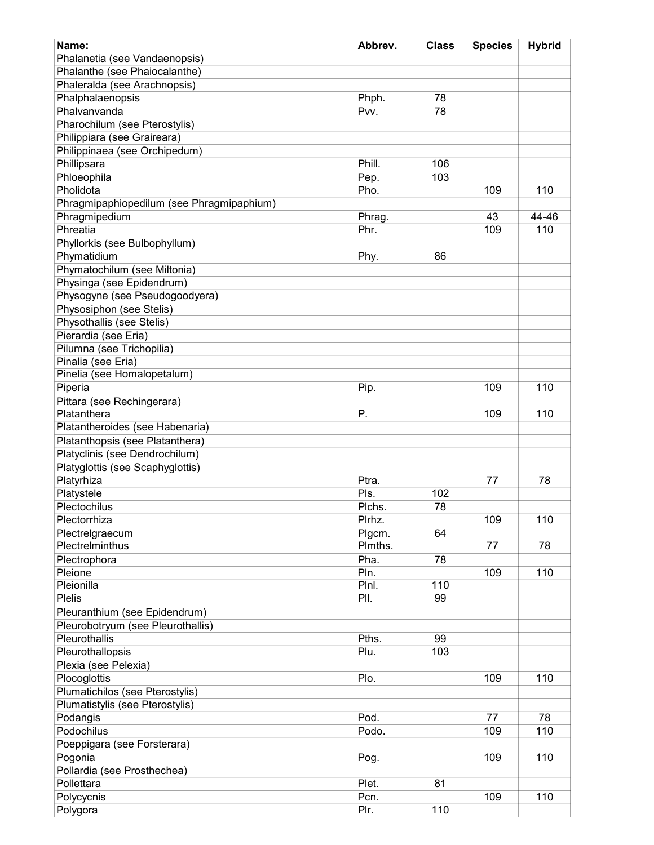| Name:                                     | Abbrev. | <b>Class</b> | <b>Species</b> | <b>Hybrid</b> |
|-------------------------------------------|---------|--------------|----------------|---------------|
| Phalanetia (see Vandaenopsis)             |         |              |                |               |
| Phalanthe (see Phaiocalanthe)             |         |              |                |               |
| Phaleralda (see Arachnopsis)              |         |              |                |               |
| Phalphalaenopsis                          | Phph.   | 78           |                |               |
| Phalvanvanda                              | Pvv.    | 78           |                |               |
| Pharochilum (see Pterostylis)             |         |              |                |               |
| Philippiara (see Graireara)               |         |              |                |               |
| Philippinaea (see Orchipedum)             |         |              |                |               |
|                                           | Phill.  | 106          |                |               |
| Phillipsara                               |         |              |                |               |
| Phloeophila                               | Pep.    | 103          |                |               |
| Pholidota                                 | Pho.    |              | 109            | 110           |
| Phragmipaphiopedilum (see Phragmipaphium) |         |              |                |               |
| Phragmipedium                             | Phrag.  |              | 43             | 44-46         |
| Phreatia                                  | Phr.    |              | 109            | 110           |
| Phyllorkis (see Bulbophyllum)             |         |              |                |               |
| Phymatidium                               | Phy.    | 86           |                |               |
| Phymatochilum (see Miltonia)              |         |              |                |               |
| Physinga (see Epidendrum)                 |         |              |                |               |
| Physogyne (see Pseudogoodyera)            |         |              |                |               |
| Physosiphon (see Stelis)                  |         |              |                |               |
| Physothallis (see Stelis)                 |         |              |                |               |
| Pierardia (see Eria)                      |         |              |                |               |
| Pilumna (see Trichopilia)                 |         |              |                |               |
| Pinalia (see Eria)                        |         |              |                |               |
| Pinelia (see Homalopetalum)               |         |              |                |               |
| Piperia                                   | Pip.    |              | 109            | 110           |
| Pittara (see Rechingerara)                |         |              |                |               |
| Platanthera                               | Ρ.      |              | 109            | 110           |
| Platantheroides (see Habenaria)           |         |              |                |               |
| Platanthopsis (see Platanthera)           |         |              |                |               |
| Platyclinis (see Dendrochilum)            |         |              |                |               |
|                                           |         |              |                |               |
| Platyglottis (see Scaphyglottis)          |         |              |                |               |
| Platyrhiza                                | Ptra.   |              | 77             | 78            |
| Platystele                                | Pls.    | 102          |                |               |
| Plectochilus                              | Plchs.  | 78           |                |               |
| Plectorrhiza                              | Plrhz.  |              | 109            | 110           |
| Plectrelgraecum                           | Plgcm.  | 64           |                |               |
| Plectrelminthus                           | Plmths. |              | 77             | 78            |
| Plectrophora                              | Pha.    | 78           |                |               |
| Pleione                                   | Pln.    |              | 109            | 110           |
| Pleionilla                                | Plnl.   | 110          |                |               |
| <b>Plelis</b>                             | PII.    | 99           |                |               |
| Pleuranthium (see Epidendrum)             |         |              |                |               |
| Pleurobotryum (see Pleurothallis)         |         |              |                |               |
| Pleurothallis                             | Pths.   | 99           |                |               |
| Pleurothallopsis                          | Plu.    | 103          |                |               |
| Plexia (see Pelexia)                      |         |              |                |               |
| Plocoglottis                              | Plo.    |              | 109            | 110           |
| Plumatichilos (see Pterostylis)           |         |              |                |               |
| Plumatistylis (see Pterostylis)           |         |              |                |               |
| Podangis                                  | Pod.    |              | 77             | 78            |
| Podochilus                                | Podo.   |              | 109            | 110           |
| Poeppigara (see Forsterara)               |         |              |                |               |
| Pogonia                                   | Pog.    |              | 109            | 110           |
|                                           |         |              |                |               |
| Pollardia (see Prosthechea)               |         |              |                |               |
| Pollettara                                | Plet.   | 81           |                |               |
| Polycycnis                                | Pcn.    |              | 109            | 110           |
| Polygora                                  | Plr.    | 110          |                |               |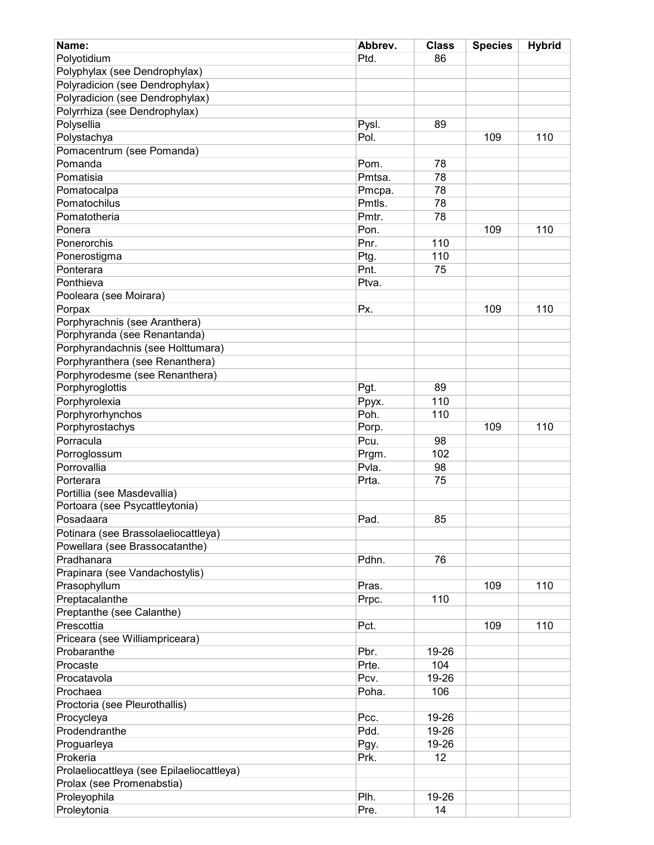| Name:                                     | Abbrev. | <b>Class</b> | <b>Species</b> | <b>Hybrid</b> |
|-------------------------------------------|---------|--------------|----------------|---------------|
| Polyotidium                               | Ptd.    | 86           |                |               |
| Polyphylax (see Dendrophylax)             |         |              |                |               |
| Polyradicion (see Dendrophylax)           |         |              |                |               |
| Polyradicion (see Dendrophylax)           |         |              |                |               |
| Polyrrhiza (see Dendrophylax)             |         |              |                |               |
| Polysellia                                |         |              |                |               |
|                                           | Pysl.   | 89           |                |               |
| Polystachya                               | Pol.    |              | 109            | 110           |
| Pomacentrum (see Pomanda)                 |         |              |                |               |
| Pomanda                                   | Pom.    | 78           |                |               |
| Pomatisia                                 | Pmtsa.  | 78           |                |               |
| Pomatocalpa                               | Pmcpa.  | 78           |                |               |
| Pomatochilus                              | Pmtls.  | 78           |                |               |
| Pomatotheria                              | Pmtr.   | 78           |                |               |
| Ponera                                    | Pon.    |              | 109            | 110           |
| Ponerorchis                               | Pnr.    | 110          |                |               |
| Ponerostigma                              | Ptg.    | 110          |                |               |
| Ponterara                                 | Pnt.    | 75           |                |               |
| Ponthieva                                 | Ptva.   |              |                |               |
| Pooleara (see Moirara)                    |         |              |                |               |
| Porpax                                    | Px.     |              | 109            | 110           |
| Porphyrachnis (see Aranthera)             |         |              |                |               |
| Porphyranda (see Renantanda)              |         |              |                |               |
| Porphyrandachnis (see Holttumara)         |         |              |                |               |
| Porphyranthera (see Renanthera)           |         |              |                |               |
| Porphyrodesme (see Renanthera)            |         |              |                |               |
| Porphyroglottis                           | Pgt.    | 89           |                |               |
| Porphyrolexia                             |         | 110          |                |               |
|                                           | Ppyx.   |              |                |               |
| Porphyrorhynchos                          | Poh.    | 110          | 109            | 110           |
| Porphyrostachys                           | Porp.   |              |                |               |
| Porracula                                 | Pcu.    | 98           |                |               |
| Porroglossum                              | Prgm.   | 102          |                |               |
| Porrovallia                               | Pvla.   | 98           |                |               |
| Porterara                                 | Prta.   | 75           |                |               |
| Portillia (see Masdevallia)               |         |              |                |               |
| Portoara (see Psycattleytonia)            |         |              |                |               |
| Posadaara                                 | Pad.    | 85           |                |               |
| Potinara (see Brassolaeliocattleya)       |         |              |                |               |
| Powellara (see Brassocatanthe)            |         |              |                |               |
| Pradhanara                                | Pdhn.   | 76           |                |               |
| Prapinara (see Vandachostylis)            |         |              |                |               |
| Prasophyllum                              | Pras.   |              | 109            | 110           |
| Preptacalanthe                            | Prpc.   | 110          |                |               |
| Preptanthe (see Calanthe)                 |         |              |                |               |
| Prescottia                                | Pct.    |              | 109            | 110           |
| Priceara (see Williampriceara)            |         |              |                |               |
| Probaranthe                               | Pbr.    | 19-26        |                |               |
| Procaste                                  | Prte.   | 104          |                |               |
| Procatavola                               | Pcv.    | 19-26        |                |               |
| Prochaea                                  | Poha.   | 106          |                |               |
| Proctoria (see Pleurothallis)             |         |              |                |               |
|                                           |         |              |                |               |
| Procycleya                                | Pcc.    | 19-26        |                |               |
| Prodendranthe                             | Pdd.    | 19-26        |                |               |
| Proguarleya                               | Pgy.    | 19-26        |                |               |
| Prokeria                                  | Prk.    | 12           |                |               |
| Prolaeliocattleya (see Epilaeliocattleya) |         |              |                |               |
| Prolax (see Promenabstia)                 |         |              |                |               |
| Proleyophila                              | Plh.    | 19-26        |                |               |
| Proleytonia                               | Pre.    | 14           |                |               |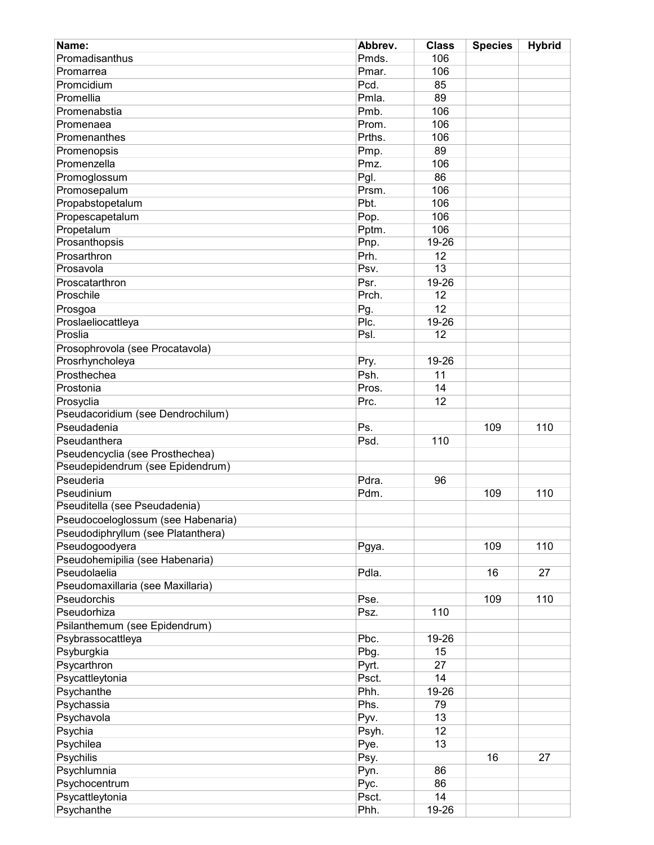| Name:                              | Abbrev. | <b>Class</b>    | <b>Species</b> | <b>Hybrid</b> |
|------------------------------------|---------|-----------------|----------------|---------------|
| Promadisanthus                     | Pmds.   | 106             |                |               |
| Promarrea                          | Pmar.   | 106             |                |               |
| Promcidium                         | Pcd.    | 85              |                |               |
| Promellia                          | Pmla.   | 89              |                |               |
| Promenabstia                       | Pmb.    | 106             |                |               |
| Promenaea                          | Prom.   | 106             |                |               |
| Promenanthes                       | Prths.  | 106             |                |               |
| Promenopsis                        | Pmp.    | 89              |                |               |
| Promenzella                        | Pmz.    | 106             |                |               |
| Promoglossum                       | Pgl.    | 86              |                |               |
| Promosepalum                       | Prsm.   | 106             |                |               |
| Propabstopetalum                   | Pbt.    | 106             |                |               |
| Propescapetalum                    | Pop.    | 106             |                |               |
| Propetalum                         | Pptm.   | 106             |                |               |
| Prosanthopsis                      | Pnp.    | 19-26           |                |               |
| Prosarthron                        | Prh.    | 12              |                |               |
| Prosavola                          | Psv.    | $\overline{13}$ |                |               |
| Proscatarthron                     | Psr.    | 19-26           |                |               |
| Proschile                          | Prch.   | 12              |                |               |
| Prosgoa                            | Pg.     | 12              |                |               |
| Proslaeliocattleya                 | Plc.    | 19-26           |                |               |
| Proslia                            | Psl.    | 12              |                |               |
| Prosophrovola (see Procatavola)    |         |                 |                |               |
| Prosrhyncholeya                    | Pry.    | 19-26           |                |               |
| Prosthechea                        | Psh.    | 11              |                |               |
| Prostonia                          | Pros.   | 14              |                |               |
| Prosyclia                          | Prc.    | 12              |                |               |
| Pseudacoridium (see Dendrochilum)  |         |                 |                |               |
| Pseudadenia                        | Ps.     |                 | 109            | 110           |
| Pseudanthera                       | Psd.    | 110             |                |               |
| Pseudencyclia (see Prosthechea)    |         |                 |                |               |
| Pseudepidendrum (see Epidendrum)   |         |                 |                |               |
| Pseuderia                          | Pdra.   | 96              |                |               |
| Pseudinium                         | Pdm.    |                 | 109            | 110           |
| Pseuditella (see Pseudadenia)      |         |                 |                |               |
| Pseudocoeloglossum (see Habenaria) |         |                 |                |               |
| Pseudodiphryllum (see Platanthera) |         |                 |                |               |
| Pseudogoodyera                     | Pgya.   |                 | 109            | 110           |
| Pseudohemipilia (see Habenaria)    |         |                 |                |               |
| Pseudolaelia                       | Pdla.   |                 | 16             | 27            |
| Pseudomaxillaria (see Maxillaria)  |         |                 |                |               |
| Pseudorchis                        | Pse.    |                 | 109            | 110           |
| Pseudorhiza                        | Psz.    | 110             |                |               |
| Psilanthemum (see Epidendrum)      |         |                 |                |               |
|                                    | Pbc.    | 19-26           |                |               |
| Psybrassocattleya                  | Pbg.    | 15              |                |               |
| Psyburgkia<br>Psycarthron          |         | 27              |                |               |
|                                    | Pyrt.   |                 |                |               |
| Psycattleytonia                    | Psct.   | 14              |                |               |
| Psychanthe                         | Phh.    | 19-26           |                |               |
| Psychassia                         | Phs.    | 79              |                |               |
| Psychavola                         | Pyv.    | 13              |                |               |
| Psychia                            | Psyh.   | 12              |                |               |
| Psychilea                          | Pye.    | 13              |                |               |
| Psychilis                          | Psy.    |                 | 16             | 27            |
| Psychlumnia                        | Pyn.    | 86              |                |               |
| Psychocentrum                      | Pyc.    | 86              |                |               |
| Psycattleytonia                    | Psct.   | 14              |                |               |
| Psychanthe                         | Phh.    | 19-26           |                |               |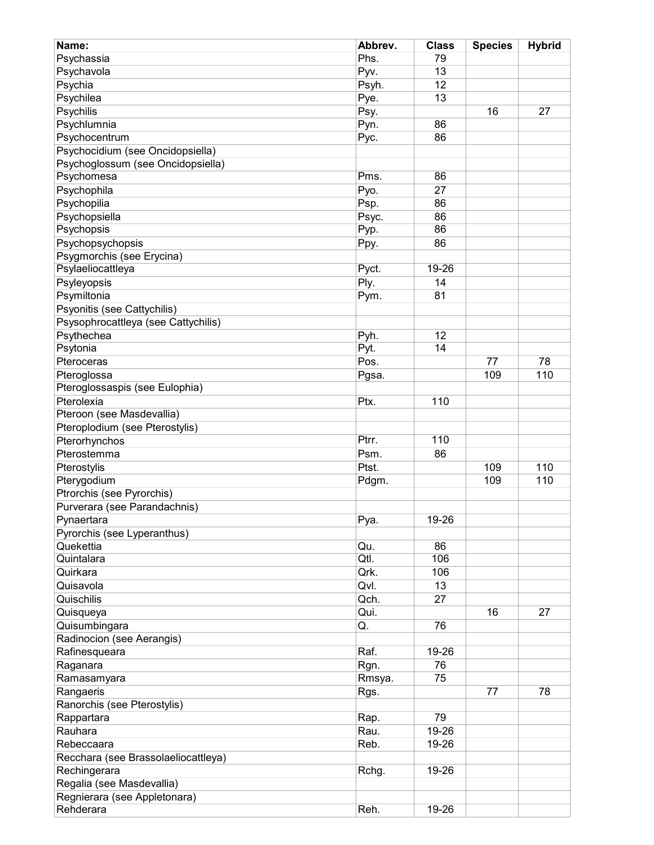| Name:                                     | Abbrev.     | <b>Class</b> | <b>Species</b> | <b>Hybrid</b> |
|-------------------------------------------|-------------|--------------|----------------|---------------|
| Psychassia                                | Phs.        | 79           |                |               |
| Psychavola                                | Pyv.        | 13           |                |               |
| Psychia                                   | Psyh.       | 12           |                |               |
| Psychilea                                 | Pye.        | 13           |                |               |
| Psychilis                                 | Psy.        |              | 16             | 27            |
| Psychlumnia                               | Pyn.        | 86           |                |               |
| Psychocentrum                             | Pyc.        | 86           |                |               |
| Psychocidium (see Oncidopsiella)          |             |              |                |               |
| Psychoglossum (see Oncidopsiella)         |             |              |                |               |
| Psychomesa                                | Pms.        | 86           |                |               |
| Psychophila                               | Pyo.        | 27           |                |               |
| Psychopilia                               | Psp.        | 86           |                |               |
| Psychopsiella                             | Psyc.       | 86           |                |               |
| Psychopsis                                | Pyp.        | 86           |                |               |
| Psychopsychopsis                          | Ppy.        | 86           |                |               |
| Psygmorchis (see Erycina)                 |             |              |                |               |
| Psylaeliocattleya                         | Pyct.       | 19-26        |                |               |
| Psyleyopsis                               | Ply.        | 14           |                |               |
| Psymiltonia                               | Pym.        | 81           |                |               |
| Psyonitis (see Cattychilis)               |             |              |                |               |
| Psysophrocattleya (see Cattychilis)       |             |              |                |               |
| Psythechea                                | Pyh.        | 12           |                |               |
| Psytonia                                  | Pyt.        | 14           |                |               |
| Pteroceras                                | Pos.        |              | 77             | 78            |
| Pteroglossa                               | Pgsa.       |              | 109            | 110           |
| Pteroglossaspis (see Eulophia)            |             |              |                |               |
| Pterolexia                                | Ptx.        | 110          |                |               |
| Pteroon (see Masdevallia)                 |             |              |                |               |
| Pteroplodium (see Pterostylis)            |             |              |                |               |
| Pterorhynchos                             | Ptrr.       | 110          |                |               |
| Pterostemma                               | Psm.        | 86           |                |               |
|                                           | Ptst.       |              | 109            | 110           |
| Pterostylis                               |             |              | 109            | 110           |
| Pterygodium                               | Pdgm.       |              |                |               |
| Ptrorchis (see Pyrorchis)                 |             |              |                |               |
| Purverara (see Parandachnis)              |             | 19-26        |                |               |
| Pynaertara<br>Pyrorchis (see Lyperanthus) | Pya.        |              |                |               |
| Quekettia                                 |             |              |                |               |
| Quintalara                                | Qu.<br>Qtl. | 86<br>106    |                |               |
| Quirkara                                  | Qrk.        | 106          |                |               |
|                                           |             |              |                |               |
| Quisavola                                 | Qvl.        | 13           |                |               |
| Quischilis                                | Qch.        | 27           |                |               |
| Quisqueya                                 | Qui.        |              | 16             | 27            |
| Quisumbingara                             | Q.          | 76           |                |               |
| Radinocion (see Aerangis)                 |             |              |                |               |
| Rafinesqueara                             | Raf.        | 19-26        |                |               |
| Raganara                                  | Rgn.        | 76           |                |               |
| Ramasamyara                               | Rmsya.      | 75           |                |               |
| Rangaeris                                 | Rgs.        |              | 77             | 78            |
| Ranorchis (see Pterostylis)               |             |              |                |               |
| Rappartara                                | Rap.        | 79           |                |               |
| Rauhara                                   | Rau.        | 19-26        |                |               |
| Rebeccaara                                | Reb.        | 19-26        |                |               |
| Recchara (see Brassolaeliocattleya)       |             |              |                |               |
| Rechingerara                              | Rchg.       | 19-26        |                |               |
| Regalia (see Masdevallia)                 |             |              |                |               |
| Regnierara (see Appletonara)              |             |              |                |               |
| Rehderara                                 | Reh.        | 19-26        |                |               |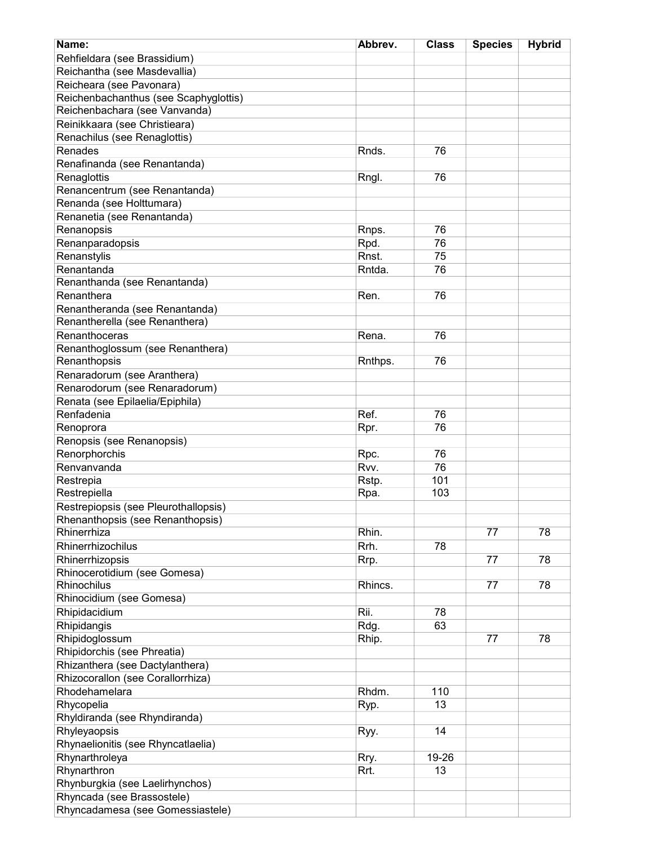| Name:                                       | Abbrev. | <b>Class</b> | <b>Species</b> | <b>Hybrid</b> |
|---------------------------------------------|---------|--------------|----------------|---------------|
| Rehfieldara (see Brassidium)                |         |              |                |               |
| Reichantha (see Masdevallia)                |         |              |                |               |
| Reicheara (see Pavonara)                    |         |              |                |               |
| Reichenbachanthus (see Scaphyglottis)       |         |              |                |               |
| Reichenbachara (see Vanvanda)               |         |              |                |               |
| Reinikkaara (see Christieara)               |         |              |                |               |
| Renachilus (see Renaglottis)                |         |              |                |               |
| Renades                                     | Rnds.   | 76           |                |               |
| Renafinanda (see Renantanda)                |         |              |                |               |
|                                             |         |              |                |               |
| Renaglottis                                 | Rngl.   | 76           |                |               |
| Renancentrum (see Renantanda)               |         |              |                |               |
| Renanda (see Holttumara)                    |         |              |                |               |
| Renanetia (see Renantanda)                  |         |              |                |               |
| Renanopsis                                  | Rnps.   | 76           |                |               |
| Renanparadopsis                             | Rpd.    | 76           |                |               |
| Renanstylis                                 | Rnst.   | 75           |                |               |
| Renantanda                                  | Rntda.  | 76           |                |               |
| Renanthanda (see Renantanda)                |         |              |                |               |
| Renanthera                                  | Ren.    | 76           |                |               |
| Renantheranda (see Renantanda)              |         |              |                |               |
| Renantherella (see Renanthera)              |         |              |                |               |
| Renanthoceras                               | Rena.   | 76           |                |               |
| Renanthoglossum (see Renanthera)            |         |              |                |               |
| Renanthopsis                                | Rnthps. | 76           |                |               |
| Renaradorum (see Aranthera)                 |         |              |                |               |
| Renarodorum (see Renaradorum)               |         |              |                |               |
| Renata (see Epilaelia/Epiphila)             |         |              |                |               |
| Renfadenia                                  | Ref.    | 76           |                |               |
| Renoprora                                   | Rpr.    | 76           |                |               |
| Renopsis (see Renanopsis)                   |         |              |                |               |
| Renorphorchis                               | Rpc.    | 76           |                |               |
| Renvanvanda                                 | Rvv.    | 76           |                |               |
| Restrepia                                   | Rstp.   | 101          |                |               |
| Restrepiella                                | Rpa.    | 103          |                |               |
| Restrepiopsis (see Pleurothallopsis)        |         |              |                |               |
| Rhenanthopsis (see Renanthopsis)            |         |              |                |               |
| Rhinerrhiza                                 | Rhin.   |              | 77             | 78            |
| Rhinerrhizochilus                           | Rrh.    | 78           |                |               |
|                                             |         |              | 77             | 78            |
| Rhinerrhizopsis                             | Rrp.    |              |                |               |
| Rhinocerotidium (see Gomesa)<br>Rhinochilus | Rhincs. |              | 77             | 78            |
|                                             |         |              |                |               |
| Rhinocidium (see Gomesa)                    |         |              |                |               |
| Rhipidacidium                               | Rii.    | 78           |                |               |
| Rhipidangis                                 | Rdg.    | 63           |                |               |
| Rhipidoglossum                              | Rhip.   |              | 77             | 78            |
| Rhipidorchis (see Phreatia)                 |         |              |                |               |
| Rhizanthera (see Dactylanthera)             |         |              |                |               |
| Rhizocorallon (see Corallorrhiza)           |         |              |                |               |
| Rhodehamelara                               | Rhdm.   | 110          |                |               |
| Rhycopelia                                  | Ryp.    | 13           |                |               |
| Rhyldiranda (see Rhyndiranda)               |         |              |                |               |
| Rhyleyaopsis                                | Ryy.    | 14           |                |               |
| Rhynaelionitis (see Rhyncatlaelia)          |         |              |                |               |
| Rhynarthroleya                              | Rry.    | 19-26        |                |               |
| Rhynarthron                                 | Rrt.    | 13           |                |               |
| Rhynburgkia (see Laelirhynchos)             |         |              |                |               |
| Rhyncada (see Brassostele)                  |         |              |                |               |
| Rhyncadamesa (see Gomessiastele)            |         |              |                |               |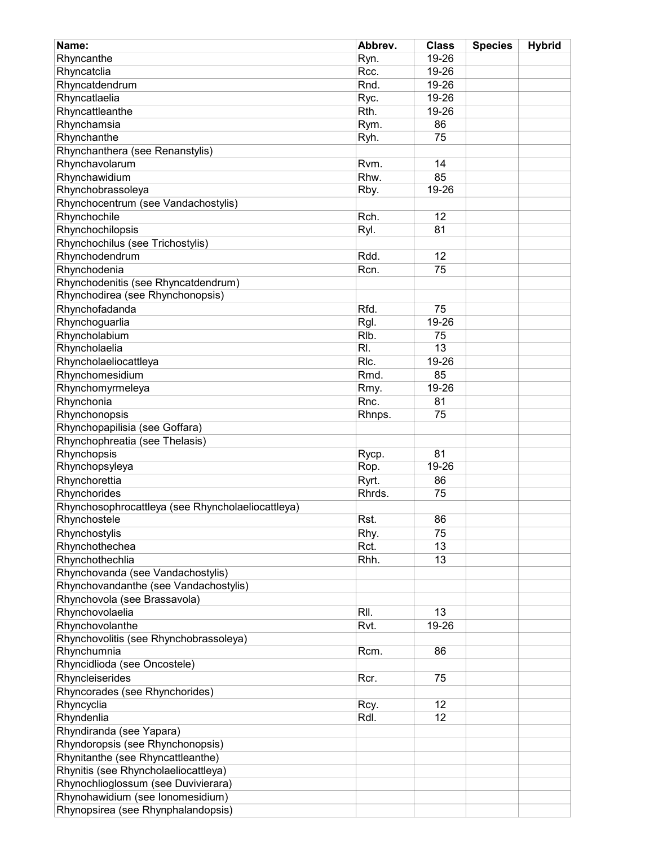| Name:                                             | Abbrev.           | <b>Class</b> | <b>Species</b> | <b>Hybrid</b> |
|---------------------------------------------------|-------------------|--------------|----------------|---------------|
| Rhyncanthe                                        | Ryn.              | 19-26        |                |               |
| Rhyncatclia                                       | Rcc.              | 19-26        |                |               |
| Rhyncatdendrum                                    | Rnd.              | 19-26        |                |               |
| Rhyncatlaelia                                     | Ryc.              | 19-26        |                |               |
| Rhyncattleanthe                                   | Rth.              | 19-26        |                |               |
| Rhynchamsia                                       | Rym.              | 86           |                |               |
| Rhynchanthe                                       | Ryh.              | 75           |                |               |
| Rhynchanthera (see Renanstylis)                   |                   |              |                |               |
| Rhynchavolarum                                    | Rvm.              | 14           |                |               |
| Rhynchawidium                                     | Rhw.              | 85           |                |               |
| Rhynchobrassoleya                                 | Rby.              | 19-26        |                |               |
| Rhynchocentrum (see Vandachostylis)               |                   |              |                |               |
| Rhynchochile                                      | Rch.              | 12           |                |               |
| Rhynchochilopsis                                  | Ryl.              | 81           |                |               |
| Rhynchochilus (see Trichostylis)                  |                   |              |                |               |
| Rhynchodendrum                                    | Rdd.              | 12           |                |               |
| Rhynchodenia                                      | Rcn.              | 75           |                |               |
| Rhynchodenitis (see Rhyncatdendrum)               |                   |              |                |               |
| Rhynchodirea (see Rhynchonopsis)                  |                   |              |                |               |
|                                                   |                   |              |                |               |
| Rhynchofadanda                                    | Rfd.              | 75           |                |               |
| Rhynchoguarlia                                    | Rgl.              | 19-26        |                |               |
| Rhyncholabium                                     | RI <sub>b</sub> . | 75           |                |               |
| Rhyncholaelia                                     | RI.               | 13           |                |               |
| Rhyncholaeliocattleya                             | RIc.              | 19-26        |                |               |
| Rhynchomesidium                                   | Rmd.              | 85           |                |               |
| Rhynchomyrmeleya                                  | Rmy.              | 19-26        |                |               |
| Rhynchonia                                        | Rnc.              | 81           |                |               |
| Rhynchonopsis                                     | Rhnps.            | 75           |                |               |
| Rhynchopapilisia (see Goffara)                    |                   |              |                |               |
| Rhynchophreatia (see Thelasis)                    |                   |              |                |               |
| Rhynchopsis                                       | Rycp.             | 81           |                |               |
| Rhynchopsyleya                                    | Rop.              | $19 - 26$    |                |               |
| Rhynchorettia                                     | Ryrt.             | 86           |                |               |
| Rhynchorides                                      | Rhrds.            | 75           |                |               |
| Rhynchosophrocattleya (see Rhyncholaeliocattleya) |                   |              |                |               |
| Rhynchostele                                      | Rst.              | 86           |                |               |
| Rhynchostylis                                     | Rhy.              | 75           |                |               |
| Rhynchothechea                                    | Rct.              | 13           |                |               |
| Rhynchothechlia                                   | Rhh.              | 13           |                |               |
| Rhynchovanda (see Vandachostylis)                 |                   |              |                |               |
| Rhynchovandanthe (see Vandachostylis)             |                   |              |                |               |
| Rhynchovola (see Brassavola)                      |                   |              |                |               |
| Rhynchovolaelia                                   | RII.              | 13           |                |               |
| Rhynchovolanthe                                   | Rvt.              | 19-26        |                |               |
| Rhynchovolitis (see Rhynchobrassoleya)            |                   |              |                |               |
| Rhynchumnia                                       | Rcm.              | 86           |                |               |
| Rhyncidlioda (see Oncostele)                      |                   |              |                |               |
| Rhyncleiserides                                   | Rcr.              | 75           |                |               |
| Rhyncorades (see Rhynchorides)                    |                   |              |                |               |
| Rhyncyclia                                        | Rcy.              | 12           |                |               |
| Rhyndenlia                                        | Rdl.              | 12           |                |               |
| Rhyndiranda (see Yapara)                          |                   |              |                |               |
| Rhyndoropsis (see Rhynchonopsis)                  |                   |              |                |               |
| Rhynitanthe (see Rhyncattleanthe)                 |                   |              |                |               |
| Rhynitis (see Rhyncholaeliocattleya)              |                   |              |                |               |
| Rhynochlioglossum (see Duvivierara)               |                   |              |                |               |
| Rhynohawidium (see lonomesidium)                  |                   |              |                |               |
| Rhynopsirea (see Rhynphalandopsis)                |                   |              |                |               |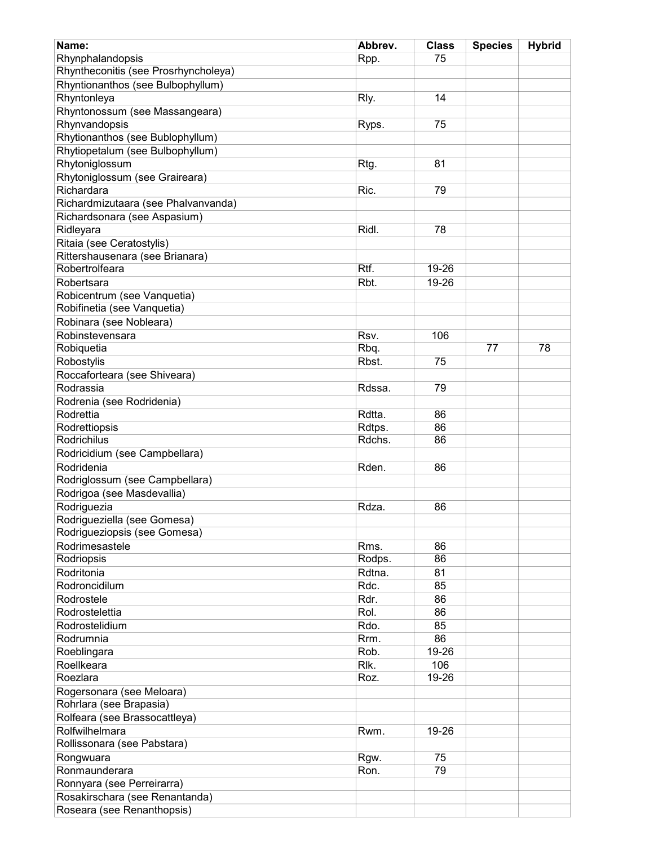| Name:                                | Abbrev. | <b>Class</b> | <b>Species</b> | <b>Hybrid</b> |
|--------------------------------------|---------|--------------|----------------|---------------|
| Rhynphalandopsis                     | Rpp.    | 75           |                |               |
| Rhyntheconitis (see Prosrhyncholeya) |         |              |                |               |
| Rhyntionanthos (see Bulbophyllum)    |         |              |                |               |
| Rhyntonleya                          | Rly.    | 14           |                |               |
| Rhyntonossum (see Massangeara)       |         |              |                |               |
| Rhynvandopsis                        | Ryps.   | 75           |                |               |
| Rhytionanthos (see Bublophyllum)     |         |              |                |               |
| Rhytiopetalum (see Bulbophyllum)     |         |              |                |               |
| Rhytoniglossum                       | Rtg.    | 81           |                |               |
| Rhytoniglossum (see Graireara)       |         |              |                |               |
| Richardara                           | Ric.    | 79           |                |               |
| Richardmizutaara (see Phalvanvanda)  |         |              |                |               |
| Richardsonara (see Aspasium)         |         |              |                |               |
| Ridleyara                            | Ridl.   | 78           |                |               |
| Ritaia (see Ceratostylis)            |         |              |                |               |
| Rittershausenara (see Brianara)      |         |              |                |               |
| Robertrolfeara                       | Rtf.    | 19-26        |                |               |
| Robertsara                           | Rbt.    | 19-26        |                |               |
|                                      |         |              |                |               |
| Robicentrum (see Vanquetia)          |         |              |                |               |
| Robifinetia (see Vanquetia)          |         |              |                |               |
| Robinara (see Nobleara)              |         |              |                |               |
| Robinstevensara                      | Rsv.    | 106          |                |               |
| Robiquetia                           | Rbq.    |              | 77             | 78            |
| Robostylis                           | Rbst.   | 75           |                |               |
| Roccaforteara (see Shiveara)         |         |              |                |               |
| Rodrassia                            | Rdssa.  | 79           |                |               |
| Rodrenia (see Rodridenia)            |         |              |                |               |
| Rodrettia                            | Rdtta.  | 86           |                |               |
| Rodrettiopsis                        | Rdtps.  | 86           |                |               |
| Rodrichilus                          | Rdchs.  | 86           |                |               |
| Rodricidium (see Campbellara)        |         |              |                |               |
| Rodridenia                           | Rden.   | 86           |                |               |
| Rodriglossum (see Campbellara)       |         |              |                |               |
| Rodrigoa (see Masdevallia)           |         |              |                |               |
| Rodriguezia                          | Rdza.   | 86           |                |               |
| Rodrigueziella (see Gomesa)          |         |              |                |               |
| Rodrigueziopsis (see Gomesa)         |         |              |                |               |
| Rodrimesastele                       | Rms.    | 86           |                |               |
| Rodriopsis                           | Rodps.  | 86           |                |               |
| Rodritonia                           | Rdtna.  | 81           |                |               |
| Rodroncidilum                        | Rdc.    | 85           |                |               |
| Rodrostele                           | Rdr.    | 86           |                |               |
| Rodrostelettia                       | Rol.    | 86           |                |               |
| Rodrostelidium                       | Rdo.    | 85           |                |               |
| Rodrumnia                            | Rrm.    | 86           |                |               |
| Roeblingara                          | Rob.    | 19-26        |                |               |
| Roellkeara                           | Rlk.    | 106          |                |               |
| Roezlara                             | Roz.    | 19-26        |                |               |
| Rogersonara (see Meloara)            |         |              |                |               |
| Rohrlara (see Brapasia)              |         |              |                |               |
| Rolfeara (see Brassocattleya)        |         |              |                |               |
| Rolfwilhelmara                       | Rwm.    | 19-26        |                |               |
| Rollissonara (see Pabstara)          |         |              |                |               |
| Rongwuara                            | Rgw.    | 75           |                |               |
| Ronmaunderara                        | Ron.    | 79           |                |               |
| Ronnyara (see Perreirarra)           |         |              |                |               |
| Rosakirschara (see Renantanda)       |         |              |                |               |
| Roseara (see Renanthopsis)           |         |              |                |               |
|                                      |         |              |                |               |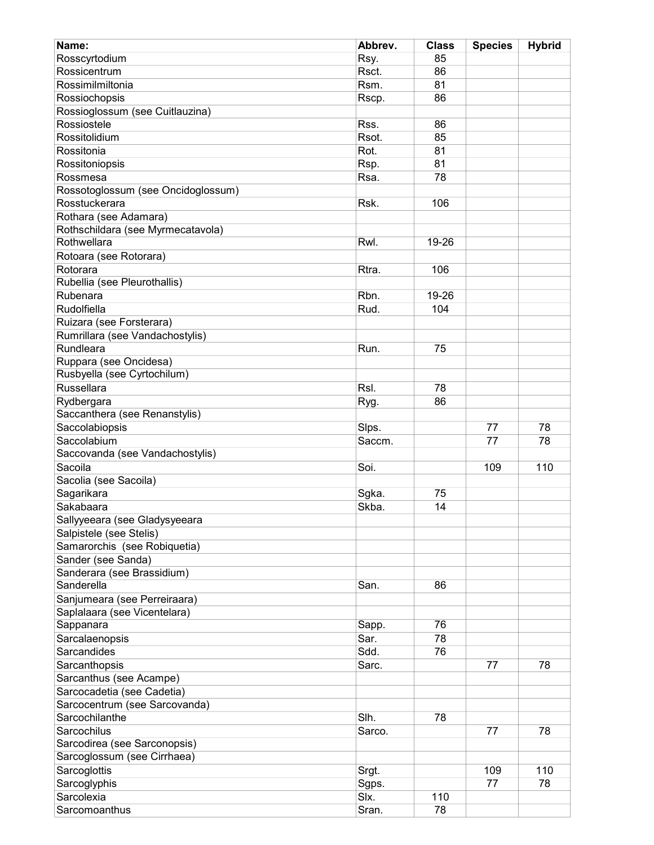| Name:                              | Abbrev. | <b>Class</b> | <b>Species</b> | <b>Hybrid</b> |
|------------------------------------|---------|--------------|----------------|---------------|
| Rosscyrtodium                      | Rsy.    | 85           |                |               |
| Rossicentrum                       | Rsct.   | 86           |                |               |
| Rossimilmiltonia                   | Rsm.    | 81           |                |               |
| Rossiochopsis                      | Rscp.   | 86           |                |               |
| Rossioglossum (see Cuitlauzina)    |         |              |                |               |
| Rossiostele                        | Rss.    | 86           |                |               |
| Rossitolidium                      | Rsot.   | 85           |                |               |
| Rossitonia                         | Rot.    | 81           |                |               |
| Rossitoniopsis                     | Rsp.    | 81           |                |               |
| Rossmesa                           | Rsa.    | 78           |                |               |
| Rossotoglossum (see Oncidoglossum) |         |              |                |               |
| Rosstuckerara                      | Rsk.    | 106          |                |               |
| Rothara (see Adamara)              |         |              |                |               |
| Rothschildara (see Myrmecatavola)  |         |              |                |               |
| Rothwellara                        | Rwl.    | 19-26        |                |               |
| Rotoara (see Rotorara)             |         |              |                |               |
| Rotorara                           | Rtra.   | 106          |                |               |
| Rubellia (see Pleurothallis)       |         |              |                |               |
|                                    |         |              |                |               |
| Rubenara                           | Rbn.    | 19-26        |                |               |
| Rudolfiella                        | Rud.    | 104          |                |               |
| Ruizara (see Forsterara)           |         |              |                |               |
| Rumrillara (see Vandachostylis)    |         |              |                |               |
| Rundleara                          | Run.    | 75           |                |               |
| Ruppara (see Oncidesa)             |         |              |                |               |
| Rusbyella (see Cyrtochilum)        |         |              |                |               |
| Russellara                         | Rsl.    | 78           |                |               |
| Rydbergara                         | Ryg.    | 86           |                |               |
| Saccanthera (see Renanstylis)      |         |              |                |               |
| Saccolabiopsis                     | Slps.   |              | 77             | 78            |
| Saccolabium                        | Saccm.  |              | 77             | 78            |
| Saccovanda (see Vandachostylis)    |         |              |                |               |
| Sacoila                            | Soi.    |              | 109            | 110           |
| Sacolia (see Sacoila)              |         |              |                |               |
| Sagarikara                         | Sgka.   | 75           |                |               |
| Sakabaara                          | Skba.   | 14           |                |               |
| Sallyyeeara (see Gladysyeeara      |         |              |                |               |
| Salpistele (see Stelis)            |         |              |                |               |
| Samarorchis (see Robiquetia)       |         |              |                |               |
| Sander (see Sanda)                 |         |              |                |               |
| Sanderara (see Brassidium)         |         |              |                |               |
| Sanderella                         | San.    | 86           |                |               |
| Sanjumeara (see Perreiraara)       |         |              |                |               |
| Saplalaara (see Vicentelara)       |         |              |                |               |
| Sappanara                          | Sapp.   | 76           |                |               |
| Sarcalaenopsis                     | Sar.    | 78           |                |               |
| Sarcandides                        | Sdd.    | 76           |                |               |
| Sarcanthopsis                      | Sarc.   |              | 77             | 78            |
|                                    |         |              |                |               |
| Sarcanthus (see Acampe)            |         |              |                |               |
| Sarcocadetia (see Cadetia)         |         |              |                |               |
| Sarcocentrum (see Sarcovanda)      |         |              |                |               |
| Sarcochilanthe                     | Slh.    | 78           |                |               |
| Sarcochilus                        | Sarco.  |              | 77             | 78            |
| Sarcodirea (see Sarconopsis)       |         |              |                |               |
| Sarcoglossum (see Cirrhaea)        |         |              |                |               |
| Sarcoglottis                       | Srgt.   |              | 109            | 110           |
| Sarcoglyphis                       | Sgps.   |              | 77             | 78            |
| Sarcolexia                         | Slx.    | 110          |                |               |
| Sarcomoanthus                      | Sran.   | 78           |                |               |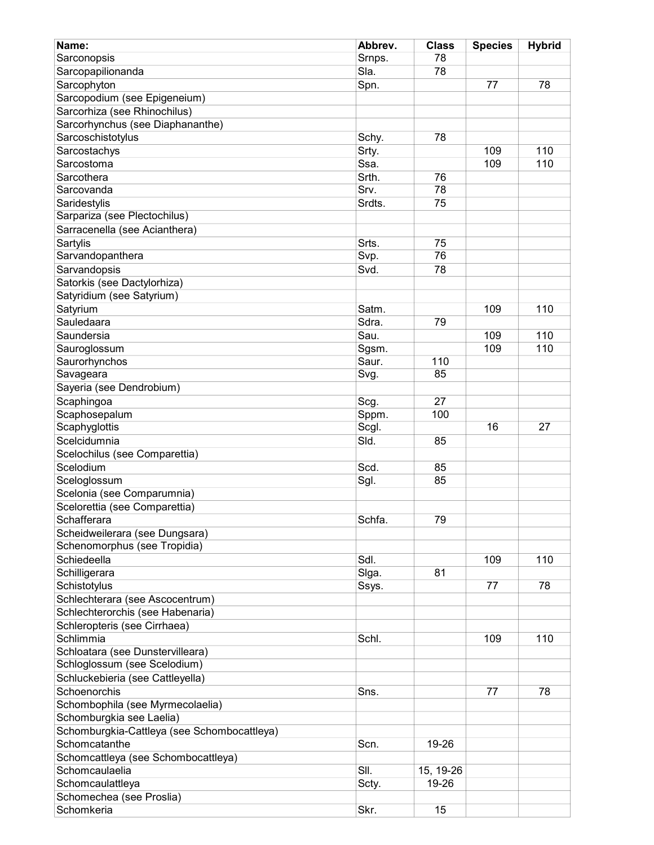| Name:                                                               | Abbrev. | <b>Class</b> | <b>Species</b> | <b>Hybrid</b> |
|---------------------------------------------------------------------|---------|--------------|----------------|---------------|
| Sarconopsis                                                         | Srnps.  | 78           |                |               |
| Sarcopapilionanda                                                   | Sla.    | 78           |                |               |
| Sarcophyton                                                         | Spn.    |              | 77             | 78            |
| Sarcopodium (see Epigeneium)                                        |         |              |                |               |
| Sarcorhiza (see Rhinochilus)                                        |         |              |                |               |
| Sarcorhynchus (see Diaphananthe)                                    |         |              |                |               |
| Sarcoschistotylus                                                   | Schy.   | 78           |                |               |
| Sarcostachys                                                        | Srty.   |              | 109            | 110           |
| Sarcostoma                                                          | Ssa.    |              | 109            | 110           |
| Sarcothera                                                          | Srth.   | 76           |                |               |
| Sarcovanda                                                          | Srv.    | 78           |                |               |
| Saridestylis                                                        | Srdts.  | 75           |                |               |
| Sarpariza (see Plectochilus)                                        |         |              |                |               |
| Sarracenella (see Acianthera)                                       |         |              |                |               |
| Sartylis                                                            | Srts.   | 75           |                |               |
| Sarvandopanthera                                                    | Svp.    | 76           |                |               |
| Sarvandopsis                                                        | Svd.    | 78           |                |               |
| Satorkis (see Dactylorhiza)                                         |         |              |                |               |
| Satyridium (see Satyrium)                                           |         |              |                |               |
| Satyrium                                                            | Satm.   |              | 109            | 110           |
| Sauledaara                                                          | Sdra.   | 79           |                |               |
| Saundersia                                                          | Sau.    |              | 109            | 110           |
| Sauroglossum                                                        | Sgsm.   |              | 109            | 110           |
| Saurorhynchos                                                       | Saur.   | 110          |                |               |
| Savageara                                                           | Svg.    | 85           |                |               |
| Sayeria (see Dendrobium)                                            |         |              |                |               |
| Scaphingoa                                                          | Scg.    | 27           |                |               |
| Scaphosepalum                                                       | Sppm.   | 100          |                |               |
| Scaphyglottis                                                       | Scgl.   |              | 16             | 27            |
| Scelcidumnia                                                        | Sld.    | 85           |                |               |
| Scelochilus (see Comparettia)                                       |         |              |                |               |
| Scelodium                                                           | Scd.    | 85           |                |               |
| Sceloglossum                                                        | Sgl.    | 85           |                |               |
| Scelonia (see Comparumnia)                                          |         |              |                |               |
| Scelorettia (see Comparettia)                                       |         |              |                |               |
| Schafferara                                                         | Schfa.  | 79           |                |               |
| Scheidweilerara (see Dungsara)                                      |         |              |                |               |
| Schenomorphus (see Tropidia)                                        |         |              |                |               |
| Schiedeella                                                         | Sdl.    |              | 109            | 110           |
| Schilligerara                                                       | Siga.   | 81           |                |               |
| Schistotylus                                                        |         |              | 77             | 78            |
|                                                                     | Ssys.   |              |                |               |
| Schlechterara (see Ascocentrum)<br>Schlechterorchis (see Habenaria) |         |              |                |               |
|                                                                     |         |              |                |               |
| Schleropteris (see Cirrhaea)<br>Schlimmia                           |         |              |                |               |
|                                                                     | Schl.   |              | 109            | 110           |
| Schloatara (see Dunstervilleara)                                    |         |              |                |               |
| Schloglossum (see Scelodium)                                        |         |              |                |               |
| Schluckebieria (see Cattleyella)                                    |         |              |                |               |
| Schoenorchis                                                        | Sns.    |              | 77             | 78            |
| Schombophila (see Myrmecolaelia)                                    |         |              |                |               |
| Schomburgkia see Laelia)                                            |         |              |                |               |
| Schomburgkia-Cattleya (see Schombocattleya)                         |         |              |                |               |
| Schomcatanthe                                                       | Scn.    | 19-26        |                |               |
| Schomcattleya (see Schombocattleya)                                 |         |              |                |               |
| Schomcaulaelia                                                      | SII.    | 15, 19-26    |                |               |
| Schomcaulattleya                                                    | Scty.   | 19-26        |                |               |
| Schomechea (see Proslia)                                            |         |              |                |               |
| Schomkeria                                                          | Skr.    | 15           |                |               |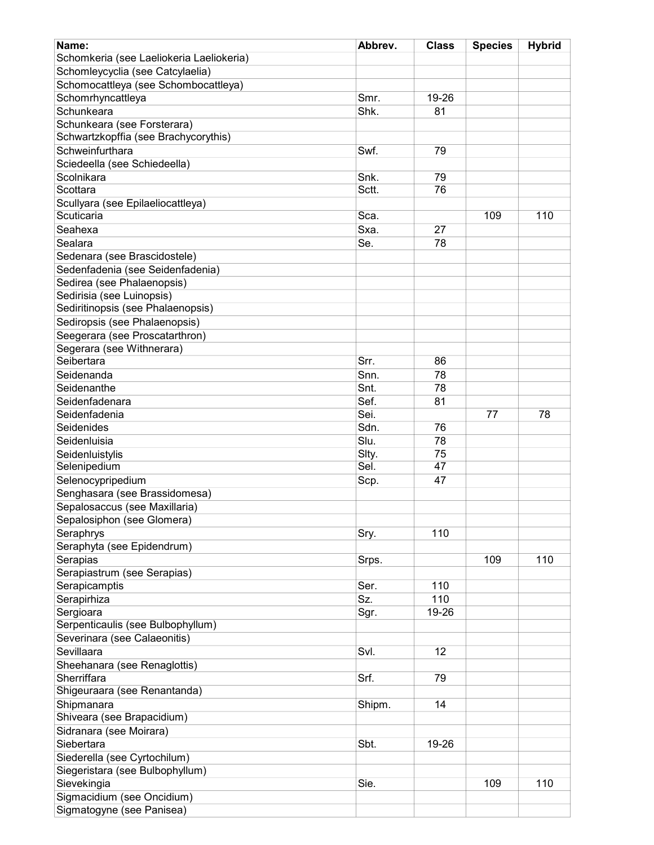| Name:                                    | Abbrev. | <b>Class</b> | <b>Species</b> | <b>Hybrid</b> |
|------------------------------------------|---------|--------------|----------------|---------------|
| Schomkeria (see Laeliokeria Laeliokeria) |         |              |                |               |
| Schomleycyclia (see Catcylaelia)         |         |              |                |               |
|                                          |         |              |                |               |
| Schomocattleya (see Schombocattleya)     |         |              |                |               |
| Schomrhyncattleya                        | Smr.    | 19-26        |                |               |
| Schunkeara                               | Shk.    | 81           |                |               |
| Schunkeara (see Forsterara)              |         |              |                |               |
| Schwartzkopffia (see Brachycorythis)     |         |              |                |               |
| Schweinfurthara                          | Swf.    | 79           |                |               |
| Sciedeella (see Schiedeella)             |         |              |                |               |
| Scolnikara                               | Snk.    | 79           |                |               |
| Scottara                                 | Sctt.   | 76           |                |               |
| Scullyara (see Epilaeliocattleya)        |         |              |                |               |
| Scuticaria                               | Sca.    |              | 109            | 110           |
| Seahexa                                  | Sxa.    | 27           |                |               |
| Sealara                                  | Se.     | 78           |                |               |
| Sedenara (see Brascidostele)             |         |              |                |               |
| Sedenfadenia (see Seidenfadenia)         |         |              |                |               |
| Sedirea (see Phalaenopsis)               |         |              |                |               |
| Sedirisia (see Luinopsis)                |         |              |                |               |
|                                          |         |              |                |               |
| Sediritinopsis (see Phalaenopsis)        |         |              |                |               |
| Sediropsis (see Phalaenopsis)            |         |              |                |               |
| Seegerara (see Proscatarthron)           |         |              |                |               |
| Segerara (see Withnerara)                |         |              |                |               |
| Seibertara                               | Srr.    | 86           |                |               |
| Seidenanda                               | Snn.    | 78           |                |               |
| Seidenanthe                              | Snt.    | 78           |                |               |
| Seidenfadenara                           | Sef.    | 81           |                |               |
| Seidenfadenia                            | Sei.    |              | 77             | 78            |
| Seidenides                               | Sdn.    | 76           |                |               |
| Seidenluisia                             | Slu.    | 78           |                |               |
| Seidenluistylis                          | Slty.   | 75           |                |               |
| Selenipedium                             | Sel.    | 47           |                |               |
| Selenocypripedium                        |         | 47           |                |               |
|                                          | Scp.    |              |                |               |
| Senghasara (see Brassidomesa)            |         |              |                |               |
| Sepalosaccus (see Maxillaria)            |         |              |                |               |
| Sepalosiphon (see Glomera)               |         |              |                |               |
| Seraphrys                                | Sry.    | 110          |                |               |
| Seraphyta (see Epidendrum)               |         |              |                |               |
| Serapias                                 | Srps.   |              | 109            | 110           |
| Serapiastrum (see Serapias)              |         |              |                |               |
| Serapicamptis                            | Ser.    | 110          |                |               |
| Serapirhiza                              | Sz.     | 110          |                |               |
| Sergioara                                | Sgr.    | 19-26        |                |               |
| Serpenticaulis (see Bulbophyllum)        |         |              |                |               |
| Severinara (see Calaeonitis)             |         |              |                |               |
| Sevillaara                               | Svl.    | 12           |                |               |
| Sheehanara (see Renaglottis)             |         |              |                |               |
| Sherriffara                              | Srf.    | 79           |                |               |
|                                          |         |              |                |               |
| Shigeuraara (see Renantanda)             |         |              |                |               |
| Shipmanara                               | Shipm.  | 14           |                |               |
| Shiveara (see Brapacidium)               |         |              |                |               |
| Sidranara (see Moirara)                  |         |              |                |               |
| Siebertara                               | Sbt.    | 19-26        |                |               |
| Siederella (see Cyrtochilum)             |         |              |                |               |
| Siegeristara (see Bulbophyllum)          |         |              |                |               |
| Sievekingia                              | Sie.    |              | 109            | 110           |
| Sigmacidium (see Oncidium)               |         |              |                |               |
| Sigmatogyne (see Panisea)                |         |              |                |               |
|                                          |         |              |                |               |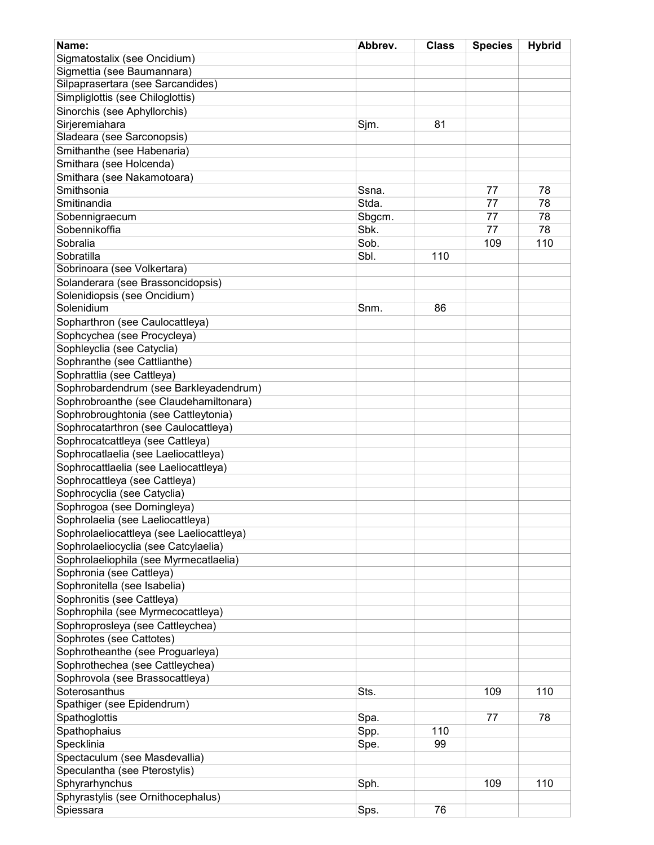| Name:                                     | Abbrev. | <b>Class</b> | <b>Species</b> | <b>Hybrid</b> |
|-------------------------------------------|---------|--------------|----------------|---------------|
|                                           |         |              |                |               |
| Sigmatostalix (see Oncidium)              |         |              |                |               |
| Sigmettia (see Baumannara)                |         |              |                |               |
| Silpaprasertara (see Sarcandides)         |         |              |                |               |
| Simpliglottis (see Chiloglottis)          |         |              |                |               |
| Sinorchis (see Aphyllorchis)              |         |              |                |               |
| Sirjeremiahara                            | Sjm.    | 81           |                |               |
| Sladeara (see Sarconopsis)                |         |              |                |               |
| Smithanthe (see Habenaria)                |         |              |                |               |
| Smithara (see Holcenda)                   |         |              |                |               |
| Smithara (see Nakamotoara)                |         |              |                |               |
| Smithsonia                                | Ssna.   |              | 77             | 78            |
| Smitinandia                               | Stda.   |              | 77             | 78            |
| Sobennigraecum                            | Sbgcm.  |              | 77             | 78            |
| Sobennikoffia                             | Sbk.    |              | 77             | 78            |
| Sobralia                                  | Sob.    |              | 109            | 110           |
| Sobratilla                                | Sbl.    | 110          |                |               |
| Sobrinoara (see Volkertara)               |         |              |                |               |
| Solanderara (see Brassoncidopsis)         |         |              |                |               |
|                                           |         |              |                |               |
| Solenidiopsis (see Oncidium)              |         |              |                |               |
| Solenidium                                | Snm.    | 86           |                |               |
| Sopharthron (see Caulocattleya)           |         |              |                |               |
| Sophcychea (see Procycleya)               |         |              |                |               |
| Sophleyclia (see Catyclia)                |         |              |                |               |
| Sophranthe (see Cattlianthe)              |         |              |                |               |
| Sophrattlia (see Cattleya)                |         |              |                |               |
| Sophrobardendrum (see Barkleyadendrum)    |         |              |                |               |
| Sophrobroanthe (see Claudehamiltonara)    |         |              |                |               |
| Sophrobroughtonia (see Cattleytonia)      |         |              |                |               |
| Sophrocatarthron (see Caulocattleya)      |         |              |                |               |
| Sophrocatcattleya (see Cattleya)          |         |              |                |               |
| Sophrocatlaelia (see Laeliocattleya)      |         |              |                |               |
| Sophrocattlaelia (see Laeliocattleya)     |         |              |                |               |
| Sophrocattleya (see Cattleya)             |         |              |                |               |
| Sophrocyclia (see Catyclia)               |         |              |                |               |
| Sophrogoa (see Domingleya)                |         |              |                |               |
|                                           |         |              |                |               |
| Sophrolaelia (see Laeliocattleya)         |         |              |                |               |
| Sophrolaeliocattleya (see Laeliocattleya) |         |              |                |               |
| Sophrolaeliocyclia (see Catcylaelia)      |         |              |                |               |
| Sophrolaeliophila (see Myrmecatlaelia)    |         |              |                |               |
| Sophronia (see Cattleya)                  |         |              |                |               |
| Sophronitella (see Isabelia)              |         |              |                |               |
| Sophronitis (see Cattleya)                |         |              |                |               |
| Sophrophila (see Myrmecocattleya)         |         |              |                |               |
| Sophroprosleya (see Cattleychea)          |         |              |                |               |
| Sophrotes (see Cattotes)                  |         |              |                |               |
| Sophrotheanthe (see Proguarleya)          |         |              |                |               |
| Sophrothechea (see Cattleychea)           |         |              |                |               |
| Sophrovola (see Brassocattleya)           |         |              |                |               |
| Soterosanthus                             | Sts.    |              | 109            | 110           |
| Spathiger (see Epidendrum)                |         |              |                |               |
| Spathoglottis                             | Spa.    |              | 77             | 78            |
| Spathophaius                              | Spp.    | 110          |                |               |
|                                           |         | 99           |                |               |
| Specklinia                                | Spe.    |              |                |               |
| Spectaculum (see Masdevallia)             |         |              |                |               |
| Speculantha (see Pterostylis)             |         |              |                |               |
| Sphyrarhynchus                            | Sph.    |              | 109            | 110           |
| Sphyrastylis (see Ornithocephalus)        |         |              |                |               |
| Spiessara                                 | Sps.    | 76           |                |               |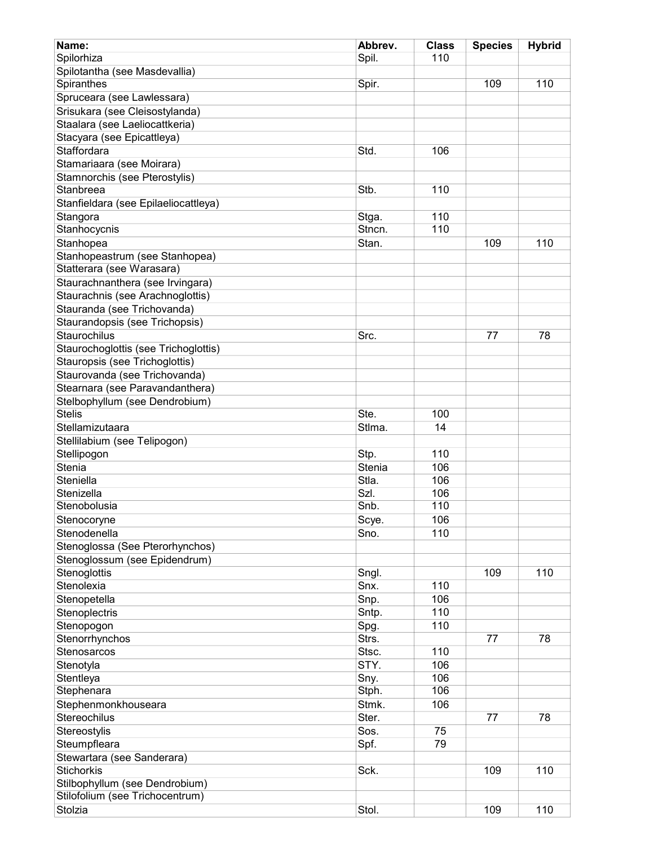| Name:                                                            | Abbrev.       | <b>Class</b> | <b>Species</b> | <b>Hybrid</b> |
|------------------------------------------------------------------|---------------|--------------|----------------|---------------|
| Spilorhiza                                                       | Spil.         | 110          |                |               |
| Spilotantha (see Masdevallia)                                    |               |              |                |               |
| Spiranthes                                                       | Spir.         |              | 109            | 110           |
| Spruceara (see Lawlessara)                                       |               |              |                |               |
| Srisukara (see Cleisostylanda)                                   |               |              |                |               |
| Staalara (see Laeliocattkeria)                                   |               |              |                |               |
| Stacyara (see Epicattleya)                                       |               |              |                |               |
| Staffordara                                                      | Std.          | 106          |                |               |
| Stamariaara (see Moirara)                                        |               |              |                |               |
| Stamnorchis (see Pterostylis)                                    |               |              |                |               |
| Stanbreea                                                        | Stb.          | 110          |                |               |
| Stanfieldara (see Epilaeliocattleya)                             |               |              |                |               |
| Stangora                                                         | Stga.         | 110          |                |               |
| Stanhocycnis                                                     | Stncn.        | 110          |                |               |
| Stanhopea                                                        | Stan.         |              | 109            | 110           |
| Stanhopeastrum (see Stanhopea)                                   |               |              |                |               |
| Statterara (see Warasara)                                        |               |              |                |               |
| Staurachnanthera (see Irvingara)                                 |               |              |                |               |
|                                                                  |               |              |                |               |
| Staurachnis (see Arachnoglottis)                                 |               |              |                |               |
| Stauranda (see Trichovanda)                                      |               |              |                |               |
| Staurandopsis (see Trichopsis)                                   |               |              |                |               |
| Staurochilus                                                     | Src.          |              | 77             | 78            |
| Staurochoglottis (see Trichoglottis)                             |               |              |                |               |
| Stauropsis (see Trichoglottis)                                   |               |              |                |               |
| Staurovanda (see Trichovanda)                                    |               |              |                |               |
| Stearnara (see Paravandanthera)                                  |               |              |                |               |
| Stelbophyllum (see Dendrobium)                                   |               |              |                |               |
| <b>Stelis</b>                                                    | Ste.          | 100          |                |               |
| Stellamizutaara                                                  | Stlma.        | 14           |                |               |
| Stellilabium (see Telipogon)                                     |               |              |                |               |
| Stellipogon                                                      | Stp.          | 110          |                |               |
| Stenia                                                           | Stenia        | 106          |                |               |
| Steniella                                                        | Stla.<br>Szl. | 106          |                |               |
| Stenizella<br>Stenobolusia                                       | Snb.          | 106<br>110   |                |               |
|                                                                  |               |              |                |               |
| Stenocoryne<br>Stenodenella                                      | Scye.         | 106<br>110   |                |               |
|                                                                  | Sno.          |              |                |               |
| Stenoglossa (See Pterorhynchos)<br>Stenoglossum (see Epidendrum) |               |              |                |               |
| Stenoglottis                                                     | Sngl.         |              | 109            | 110           |
| Stenolexia                                                       | Snx.          | 110          |                |               |
| Stenopetella                                                     | Snp.          | 106          |                |               |
| Stenoplectris                                                    | Sntp.         | 110          |                |               |
| Stenopogon                                                       | Spg.          | 110          |                |               |
| Stenorrhynchos                                                   | Strs.         |              | 77             | 78            |
| Stenosarcos                                                      | Stsc.         | 110          |                |               |
| Stenotyla                                                        | STY.          | 106          |                |               |
| Stentleya                                                        | Sny.          | 106          |                |               |
| Stephenara                                                       | Stph.         | 106          |                |               |
|                                                                  | Stmk.         | 106          |                |               |
| Stephenmonkhouseara<br>Stereochilus                              | Ster.         |              | 77             | 78            |
| Stereostylis                                                     | Sos.          | 75           |                |               |
| Steumpfleara                                                     | Spf.          | 79           |                |               |
| Stewartara (see Sanderara)                                       |               |              |                |               |
| <b>Stichorkis</b>                                                | Sck.          |              | 109            | 110           |
| Stilbophyllum (see Dendrobium)                                   |               |              |                |               |
| Stilofolium (see Trichocentrum)                                  |               |              |                |               |
| Stolzia                                                          | Stol.         |              | 109            | 110           |
|                                                                  |               |              |                |               |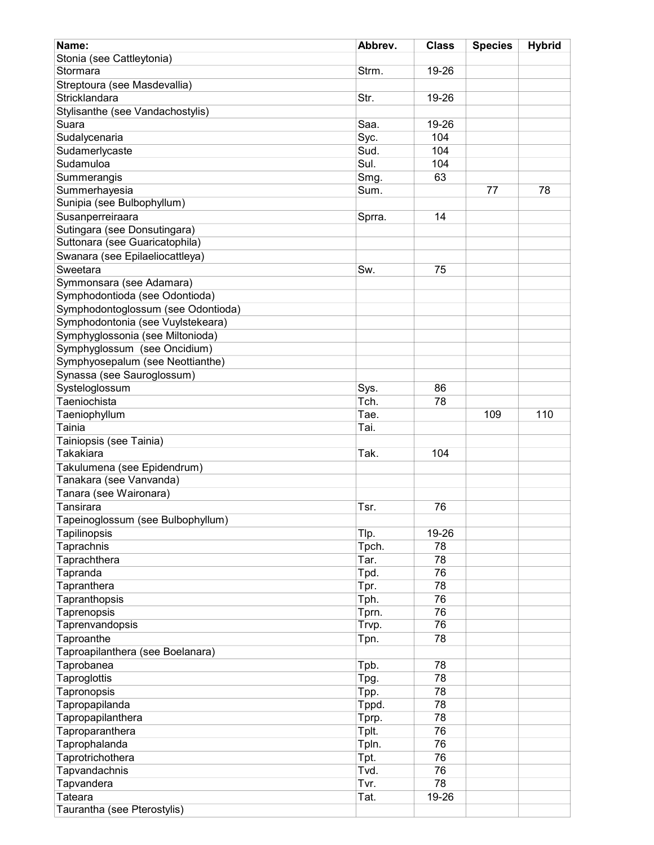| Name:                              | Abbrev. | <b>Class</b> | <b>Species</b> | <b>Hybrid</b> |
|------------------------------------|---------|--------------|----------------|---------------|
| Stonia (see Cattleytonia)          |         |              |                |               |
| Stormara                           | Strm.   | 19-26        |                |               |
| Streptoura (see Masdevallia)       |         |              |                |               |
| Stricklandara                      | Str.    | 19-26        |                |               |
| Stylisanthe (see Vandachostylis)   |         |              |                |               |
| Suara                              | Saa.    | 19-26        |                |               |
| Sudalycenaria                      | Syc.    | 104          |                |               |
| Sudamerlycaste                     | Sud.    | 104          |                |               |
|                                    |         |              |                |               |
| Sudamuloa                          | Sul.    | 104          |                |               |
| Summerangis                        | Smg.    | 63           |                |               |
| Summerhayesia                      | Sum.    |              | 77             | 78            |
| Sunipia (see Bulbophyllum)         |         |              |                |               |
| Susanperreiraara                   | Sprra.  | 14           |                |               |
| Sutingara (see Donsutingara)       |         |              |                |               |
| Suttonara (see Guaricatophila)     |         |              |                |               |
| Swanara (see Epilaeliocattleya)    |         |              |                |               |
| Sweetara                           | Sw.     | 75           |                |               |
| Symmonsara (see Adamara)           |         |              |                |               |
| Symphodontioda (see Odontioda)     |         |              |                |               |
| Symphodontoglossum (see Odontioda) |         |              |                |               |
| Symphodontonia (see Vuylstekeara)  |         |              |                |               |
| Symphyglossonia (see Miltonioda)   |         |              |                |               |
| Symphyglossum (see Oncidium)       |         |              |                |               |
| Symphyosepalum (see Neottianthe)   |         |              |                |               |
| Synassa (see Sauroglossum)         |         |              |                |               |
| Systeloglossum                     | Sys.    | 86           |                |               |
| Taeniochista                       | Tch.    | 78           |                |               |
| Taeniophyllum                      | Tae.    |              | 109            | 110           |
| Tainia                             | Tai.    |              |                |               |
| Tainiopsis (see Tainia)            |         |              |                |               |
| Takakiara                          | Tak.    | 104          |                |               |
| Takulumena (see Epidendrum)        |         |              |                |               |
| Tanakara (see Vanvanda)            |         |              |                |               |
|                                    |         |              |                |               |
| Tanara (see Waironara)             |         |              |                |               |
| Tansirara                          | Tsr.    | 76           |                |               |
| Tapeinoglossum (see Bulbophyllum)  |         |              |                |               |
| Tapilinopsis                       | Tlp.    | 19-26        |                |               |
| Taprachnis                         | Tpch.   | 78           |                |               |
| Taprachthera                       | Tar.    | 78           |                |               |
| Tapranda                           | Tpd.    | 76           |                |               |
| Tapranthera                        | Tpr.    | 78           |                |               |
| Tapranthopsis                      | Tph.    | 76           |                |               |
| Taprenopsis                        | Tprn.   | 76           |                |               |
| Taprenvandopsis                    | Trvp.   | 76           |                |               |
| Taproanthe                         | Tpn.    | 78           |                |               |
| Taproapilanthera (see Boelanara)   |         |              |                |               |
| Taprobanea                         | Tpb.    | 78           |                |               |
| <b>Taproglottis</b>                | Tpg.    | 78           |                |               |
| Tapronopsis                        | Tpp.    | 78           |                |               |
| Tapropapilanda                     | Tppd.   | 78           |                |               |
| Tapropapilanthera                  | Tprp.   | 78           |                |               |
| Taproparanthera                    | Tplt.   | 76           |                |               |
| Taprophalanda                      | Tpln.   | 76           |                |               |
| Taprotrichothera                   | Tpt.    | 76           |                |               |
| Tapvandachnis                      | Tvd.    | 76           |                |               |
| Tapvandera                         | Tvr.    | 78           |                |               |
| Tateara                            | Tat.    | 19-26        |                |               |
| Taurantha (see Pterostylis)        |         |              |                |               |
|                                    |         |              |                |               |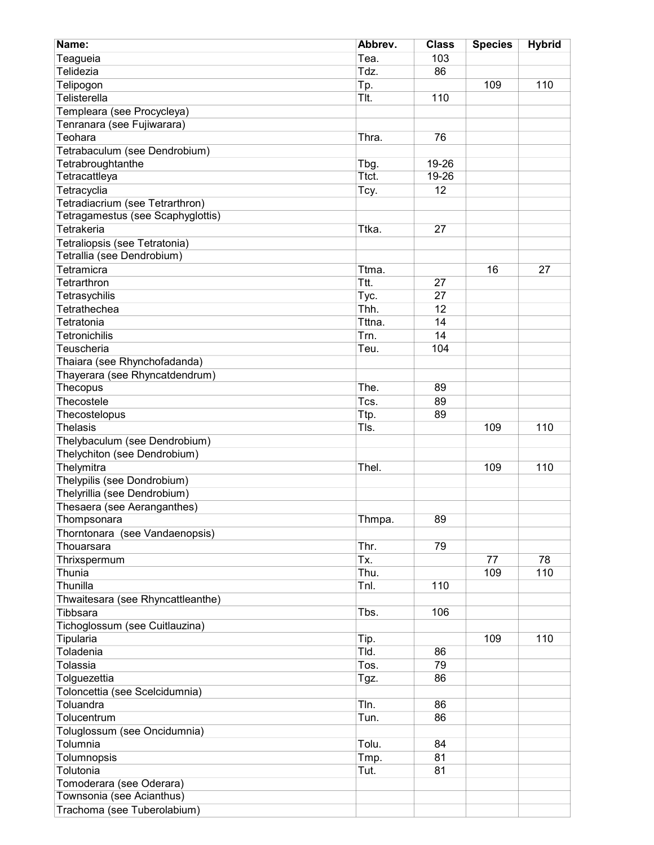| Name:                                       | Abbrev. | <b>Class</b> | <b>Species</b> | <b>Hybrid</b> |
|---------------------------------------------|---------|--------------|----------------|---------------|
| Teagueia                                    | Tea.    | 103          |                |               |
| Telidezia                                   | Tdz.    | 86           |                |               |
| Telipogon                                   | Tp.     |              | 109            | 110           |
| Telisterella                                | TIt.    | 110          |                |               |
| Templeara (see Procycleya)                  |         |              |                |               |
| Tenranara (see Fujiwarara)                  |         |              |                |               |
| Teohara                                     | Thra.   | 76           |                |               |
| Tetrabaculum (see Dendrobium)               |         |              |                |               |
| Tetrabroughtanthe                           | Tbg.    | 19-26        |                |               |
| Tetracattleya                               | Ttct.   | 19-26        |                |               |
| Tetracyclia                                 | Tcy.    | 12           |                |               |
| Tetradiacrium (see Tetrarthron)             |         |              |                |               |
| Tetragamestus (see Scaphyglottis)           |         |              |                |               |
| Tetrakeria                                  | Ttka.   | 27           |                |               |
| Tetraliopsis (see Tetratonia)               |         |              |                |               |
| Tetrallia (see Dendrobium)                  |         |              |                |               |
| Tetramicra                                  | Ttma.   |              | 16             | 27            |
| Tetrarthron                                 | Ttt.    | 27           |                |               |
| Tetrasychilis                               | Tyc.    | 27           |                |               |
| Tetrathechea                                | Thh.    | 12           |                |               |
| Tetratonia                                  | Tttna.  | 14           |                |               |
| <b>Tetronichilis</b>                        | Trn.    | 14           |                |               |
| Teuscheria                                  | Teu.    | 104          |                |               |
| Thaiara (see Rhynchofadanda)                |         |              |                |               |
| Thayerara (see Rhyncatdendrum)              |         |              |                |               |
| Thecopus                                    | The.    | 89           |                |               |
| Thecostele                                  | Tcs.    | 89           |                |               |
| Thecostelopus                               | Ttp.    | 89           |                |               |
| <b>Thelasis</b>                             | TIs.    |              | 109            | 110           |
| Thelybaculum (see Dendrobium)               |         |              |                |               |
| Thelychiton (see Dendrobium)                |         |              |                |               |
| Thelymitra                                  | Thel.   |              | 109            | 110           |
| Thelypilis (see Dondrobium)                 |         |              |                |               |
| Thelyrillia (see Dendrobium)                |         |              |                |               |
| Thesaera (see Aeranganthes)                 |         |              |                |               |
| Thompsonara                                 | Thmpa.  | 89           |                |               |
| Thorntonara (see Vandaenopsis)              |         |              |                |               |
| Thouarsara                                  | Thr.    | 79           |                |               |
| Thrixspermum                                | Tx.     |              | 77             | 78            |
| Thunia                                      | Thu.    |              | 109            | 110           |
| Thunilla                                    | Tnl.    | 110          |                |               |
| Thwaitesara (see Rhyncattleanthe)           |         |              |                |               |
| Tibbsara                                    | Tbs.    | 106          |                |               |
| Tichoglossum (see Cuitlauzina)              |         |              |                |               |
| Tipularia                                   | Tip.    |              | 109            | 110           |
| Toladenia                                   | Tld.    | 86           |                |               |
| Tolassia                                    | Tos.    | 79           |                |               |
|                                             |         | 86           |                |               |
| Tolguezettia                                | Tgz.    |              |                |               |
| Toloncettia (see Scelcidumnia)<br>Toluandra |         | 86           |                |               |
|                                             | Tln.    |              |                |               |
| Tolucentrum                                 | Tun.    | 86           |                |               |
| Toluglossum (see Oncidumnia)                |         |              |                |               |
| Tolumnia                                    | Tolu.   | 84           |                |               |
| Tolumnopsis                                 | Tmp.    | 81           |                |               |
| Tolutonia                                   | Tut.    | 81           |                |               |
| Tomoderara (see Oderara)                    |         |              |                |               |
| Townsonia (see Acianthus)                   |         |              |                |               |
| Trachoma (see Tuberolabium)                 |         |              |                |               |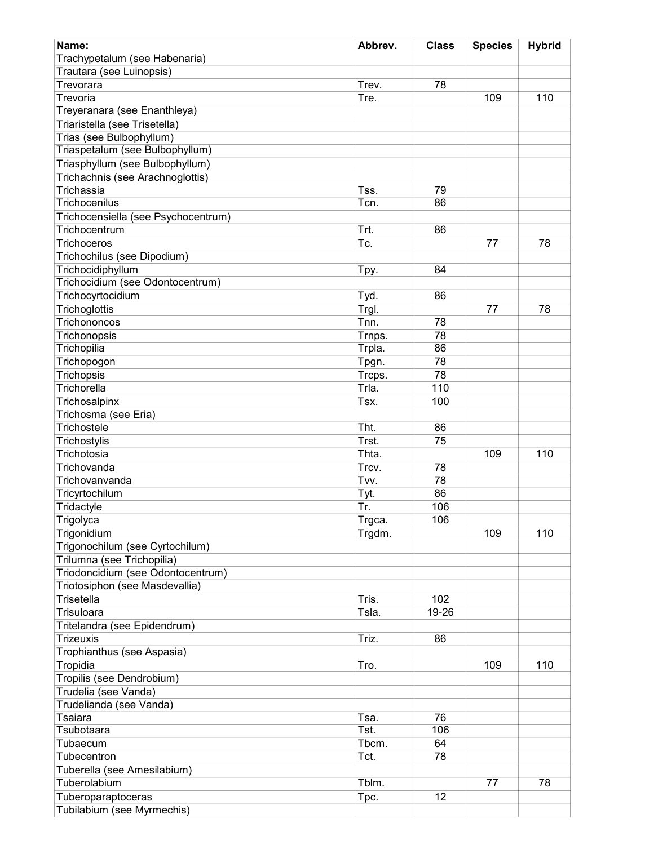| Name:                               | Abbrev. | <b>Class</b> | <b>Species</b> | <b>Hybrid</b> |
|-------------------------------------|---------|--------------|----------------|---------------|
| Trachypetalum (see Habenaria)       |         |              |                |               |
| Trautara (see Luinopsis)            |         |              |                |               |
| Trevorara                           | Trev.   | 78           |                |               |
| Trevoria                            | Tre.    |              | 109            | 110           |
| Treyeranara (see Enanthleya)        |         |              |                |               |
| Triaristella (see Trisetella)       |         |              |                |               |
| Trias (see Bulbophyllum)            |         |              |                |               |
| Triaspetalum (see Bulbophyllum)     |         |              |                |               |
| Triasphyllum (see Bulbophyllum)     |         |              |                |               |
| Trichachnis (see Arachnoglottis)    |         |              |                |               |
| Trichassia                          | Tss.    | 79           |                |               |
| Trichocenilus                       | Tcn.    | 86           |                |               |
| Trichocensiella (see Psychocentrum) |         |              |                |               |
| Trichocentrum                       | Trt.    | 86           |                |               |
| Trichoceros                         | Tc.     |              | 77             | 78            |
| Trichochilus (see Dipodium)         |         |              |                |               |
| Trichocidiphyllum                   | Tpy.    | 84           |                |               |
| Trichocidium (see Odontocentrum)    |         |              |                |               |
| Trichocyrtocidium                   | Tyd.    | 86           |                |               |
|                                     |         |              | 77             | 78            |
| Trichoglottis<br>Trichononcos       | Trgl.   |              |                |               |
|                                     | Tnn.    | 78           |                |               |
| Trichonopsis                        | Trnps.  | 78           |                |               |
| Trichopilia                         | Trpla.  | 86           |                |               |
| Trichopogon                         | Tpgn.   | 78           |                |               |
| Trichopsis                          | Trcps.  | 78           |                |               |
| Trichorella                         | Trla.   | 110          |                |               |
| Trichosalpinx                       | Tsx.    | 100          |                |               |
| Trichosma (see Eria)                |         |              |                |               |
| Trichostele                         | Tht.    | 86           |                |               |
| Trichostylis                        | Trst.   | 75           |                |               |
| Trichotosia                         | Thta.   |              | 109            | 110           |
| Trichovanda                         | Trcv.   | 78           |                |               |
| Trichovanvanda                      | Tvv.    | 78           |                |               |
| Tricyrtochilum                      | Tyt.    | 86           |                |               |
| Tridactyle                          | Tr.     | 106          |                |               |
| Trigolyca                           | Trgca.  | 106          |                |               |
| Trigonidium                         | Trgdm.  |              | 109            | 110           |
| Trigonochilum (see Cyrtochilum)     |         |              |                |               |
| Trilumna (see Trichopilia)          |         |              |                |               |
| Triodoncidium (see Odontocentrum)   |         |              |                |               |
| Triotosiphon (see Masdevallia)      |         |              |                |               |
| Trisetella                          | Tris.   | 102          |                |               |
| Trisuloara                          | Tsla.   | 19-26        |                |               |
|                                     |         |              |                |               |
| Tritelandra (see Epidendrum)        |         |              |                |               |
| <b>Trizeuxis</b>                    | Triz.   | 86           |                |               |
| Trophianthus (see Aspasia)          |         |              |                |               |
| Tropidia                            | Tro.    |              | 109            | 110           |
| Tropilis (see Dendrobium)           |         |              |                |               |
| Trudelia (see Vanda)                |         |              |                |               |
| Trudelianda (see Vanda)             |         |              |                |               |
| Tsaiara                             | Tsa.    | 76           |                |               |
| Tsubotaara                          | Tst.    | 106          |                |               |
| Tubaecum                            | Tbcm.   | 64           |                |               |
| Tubecentron                         | Tct.    | 78           |                |               |
| Tuberella (see Amesilabium)         |         |              |                |               |
| Tuberolabium                        | Tblm.   |              | 77             | 78            |
| Tuberoparaptoceras                  | Tpc.    | 12           |                |               |
| Tubilabium (see Myrmechis)          |         |              |                |               |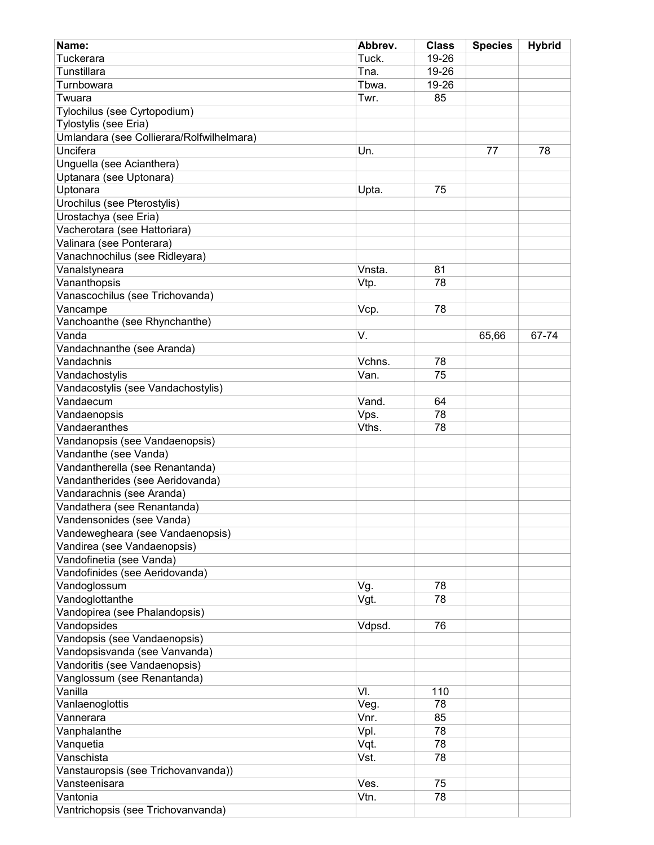| Name:                                     | Abbrev. | <b>Class</b> | <b>Species</b> | <b>Hybrid</b> |
|-------------------------------------------|---------|--------------|----------------|---------------|
| Tuckerara                                 | Tuck.   | 19-26        |                |               |
| Tunstillara                               | Tna.    | 19-26        |                |               |
| Turnbowara                                | Tbwa.   | 19-26        |                |               |
| Twuara                                    | Twr.    | 85           |                |               |
| Tylochilus (see Cyrtopodium)              |         |              |                |               |
| Tylostylis (see Eria)                     |         |              |                |               |
| Umlandara (see Collierara/Rolfwilhelmara) |         |              |                |               |
| Uncifera                                  | Un.     |              | 77             | 78            |
|                                           |         |              |                |               |
| Unguella (see Acianthera)                 |         |              |                |               |
| Uptanara (see Uptonara)                   |         |              |                |               |
| Uptonara                                  | Upta.   | 75           |                |               |
| Urochilus (see Pterostylis)               |         |              |                |               |
| Urostachya (see Eria)                     |         |              |                |               |
| Vacherotara (see Hattoriara)              |         |              |                |               |
| Valinara (see Ponterara)                  |         |              |                |               |
| Vanachnochilus (see Ridleyara)            |         |              |                |               |
| Vanalstyneara                             | Vnsta.  | 81           |                |               |
| Vananthopsis                              | Vtp.    | 78           |                |               |
| Vanascochilus (see Trichovanda)           |         |              |                |               |
| Vancampe                                  | Vcp.    | 78           |                |               |
| Vanchoanthe (see Rhynchanthe)             |         |              |                |               |
| Vanda                                     | V.      |              | 65,66          | 67-74         |
| Vandachnanthe (see Aranda)                |         |              |                |               |
| Vandachnis                                | Vchns.  | 78           |                |               |
| Vandachostylis                            | Van.    | 75           |                |               |
| Vandacostylis (see Vandachostylis)        |         |              |                |               |
| Vandaecum                                 | Vand.   | 64           |                |               |
| Vandaenopsis                              | Vps.    | 78           |                |               |
| Vandaeranthes                             | Vths.   | 78           |                |               |
|                                           |         |              |                |               |
| Vandanopsis (see Vandaenopsis)            |         |              |                |               |
| Vandanthe (see Vanda)                     |         |              |                |               |
| Vandantherella (see Renantanda)           |         |              |                |               |
| Vandantherides (see Aeridovanda)          |         |              |                |               |
| Vandarachnis (see Aranda)                 |         |              |                |               |
| Vandathera (see Renantanda)               |         |              |                |               |
| Vandensonides (see Vanda)                 |         |              |                |               |
| Vandewegheara (see Vandaenopsis)          |         |              |                |               |
| Vandirea (see Vandaenopsis)               |         |              |                |               |
| Vandofinetia (see Vanda)                  |         |              |                |               |
| Vandofinides (see Aeridovanda)            |         |              |                |               |
| Vandoglossum                              | Vg.     | 78           |                |               |
| Vandoglottanthe                           | Vgt.    | 78           |                |               |
| Vandopirea (see Phalandopsis)             |         |              |                |               |
| Vandopsides                               | Vdpsd.  | 76           |                |               |
| Vandopsis (see Vandaenopsis)              |         |              |                |               |
| Vandopsisvanda (see Vanvanda)             |         |              |                |               |
| Vandoritis (see Vandaenopsis)             |         |              |                |               |
| Vanglossum (see Renantanda)               |         |              |                |               |
| Vanilla                                   | VI.     | 110          |                |               |
| Vanlaenoglottis                           | Veg.    | 78           |                |               |
| Vannerara                                 | Vnr.    |              |                |               |
|                                           |         | 85           |                |               |
| Vanphalanthe                              | Vpl.    | 78           |                |               |
| Vanquetia                                 | Vqt.    | 78           |                |               |
| Vanschista                                | Vst.    | 78           |                |               |
| Vanstauropsis (see Trichovanvanda))       |         |              |                |               |
| Vansteenisara                             | Ves.    | 75           |                |               |
| Vantonia                                  | Vtn.    | 78           |                |               |
| Vantrichopsis (see Trichovanvanda)        |         |              |                |               |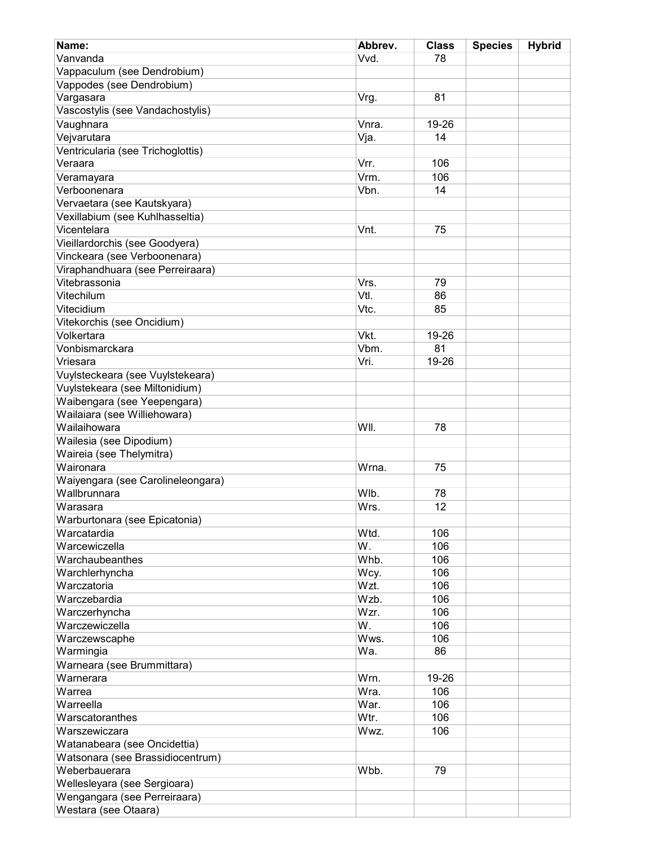| Name:                                          | Abbrev. | <b>Class</b> | <b>Species</b> | <b>Hybrid</b> |
|------------------------------------------------|---------|--------------|----------------|---------------|
| Vanvanda                                       | Vvd.    | 78           |                |               |
| Vappaculum (see Dendrobium)                    |         |              |                |               |
| Vappodes (see Dendrobium)                      |         |              |                |               |
| Vargasara                                      | Vrg.    | 81           |                |               |
| Vascostylis (see Vandachostylis)               |         |              |                |               |
| Vaughnara                                      | Vnra.   | 19-26        |                |               |
| Vejvarutara                                    | Vja.    | 14           |                |               |
| Ventricularia (see Trichoglottis)              |         |              |                |               |
| Veraara                                        | Vrr.    | 106          |                |               |
| Veramayara                                     | Vrm.    | 106          |                |               |
| Verboonenara                                   | Vbn.    | 14           |                |               |
| Vervaetara (see Kautskyara)                    |         |              |                |               |
|                                                |         |              |                |               |
| Vexillabium (see Kuhlhasseltia)<br>Vicentelara | Vnt.    |              |                |               |
|                                                |         | 75           |                |               |
| Vieillardorchis (see Goodyera)                 |         |              |                |               |
| Vinckeara (see Verboonenara)                   |         |              |                |               |
| Viraphandhuara (see Perreiraara)               |         |              |                |               |
| Vitebrassonia                                  | Vrs.    | 79           |                |               |
| Vitechilum                                     | VtI.    | 86           |                |               |
| Vitecidium                                     | Vtc.    | 85           |                |               |
| Vitekorchis (see Oncidium)                     |         |              |                |               |
| Volkertara                                     | Vkt.    | 19-26        |                |               |
| Vonbismarckara                                 | Vbm.    | 81           |                |               |
| Vriesara                                       | Vri.    | 19-26        |                |               |
| Vuylsteckeara (see Vuylstekeara)               |         |              |                |               |
| Vuylstekeara (see Miltonidium)                 |         |              |                |               |
| Waibengara (see Yeepengara)                    |         |              |                |               |
| Wailaiara (see Williehowara)                   |         |              |                |               |
| Wailaihowara                                   | WII.    | 78           |                |               |
| Wailesia (see Dipodium)                        |         |              |                |               |
| Waireia (see Thelymitra)                       |         |              |                |               |
| Waironara                                      | Wrna.   | 75           |                |               |
| Waiyengara (see Carolineleongara)              |         |              |                |               |
| Wallbrunnara                                   | Wlb.    | 78           |                |               |
| Warasara                                       | Wrs.    | 12           |                |               |
| Warburtonara (see Epicatonia)                  |         |              |                |               |
| Warcatardia                                    | Wtd.    | 106          |                |               |
| Warcewiczella                                  | W.      | 106          |                |               |
| Warchaubeanthes                                | Whb.    | 106          |                |               |
| Warchlerhyncha                                 | Wcy.    | 106          |                |               |
| Warczatoria                                    | Wzt.    | 106          |                |               |
| Warczebardia                                   | Wzb.    | 106          |                |               |
| Warczerhyncha                                  | Wzr.    | 106          |                |               |
| Warczewiczella                                 | W.      | 106          |                |               |
| Warczewscaphe                                  | Wws.    | 106          |                |               |
| Warmingia                                      | Wa.     | 86           |                |               |
|                                                |         |              |                |               |
| Warneara (see Brummittara)                     |         |              |                |               |
| Warnerara                                      | Wrn.    | 19-26        |                |               |
| Warrea                                         | Wra.    | 106          |                |               |
| Warreella                                      | War.    | 106          |                |               |
| Warscatoranthes                                | Wtr.    | 106          |                |               |
| Warszewiczara                                  | Wwz.    | 106          |                |               |
| Watanabeara (see Oncidettia)                   |         |              |                |               |
| Watsonara (see Brassidiocentrum)               |         |              |                |               |
| Weberbauerara                                  | Wbb.    | 79           |                |               |
| Wellesleyara (see Sergioara)                   |         |              |                |               |
| Wengangara (see Perreiraara)                   |         |              |                |               |
| Westara (see Otaara)                           |         |              |                |               |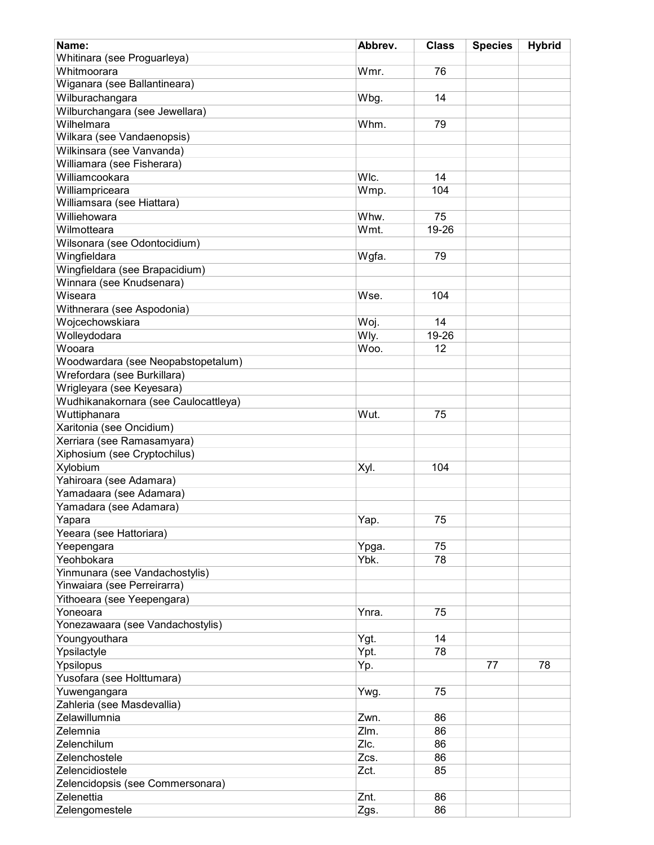| Name:                                | Abbrev. | <b>Class</b> | <b>Species</b> | <b>Hybrid</b> |
|--------------------------------------|---------|--------------|----------------|---------------|
| Whitinara (see Proguarleya)          |         |              |                |               |
| Whitmoorara                          | Wmr.    | 76           |                |               |
| Wiganara (see Ballantineara)         |         |              |                |               |
| Wilburachangara                      | Wbg.    | 14           |                |               |
| Wilburchangara (see Jewellara)       |         |              |                |               |
| Wilhelmara                           | Whm.    | 79           |                |               |
| Wilkara (see Vandaenopsis)           |         |              |                |               |
|                                      |         |              |                |               |
| Wilkinsara (see Vanvanda)            |         |              |                |               |
| Williamara (see Fisherara)           |         |              |                |               |
| Williamcookara                       | WIc.    | 14           |                |               |
| Williampriceara                      | Wmp.    | 104          |                |               |
| Williamsara (see Hiattara)           |         |              |                |               |
| Williehowara                         | Whw.    | 75           |                |               |
| Wilmotteara                          | Wmt.    | 19-26        |                |               |
| Wilsonara (see Odontocidium)         |         |              |                |               |
| Wingfieldara                         | Wgfa.   | 79           |                |               |
| Wingfieldara (see Brapacidium)       |         |              |                |               |
| Winnara (see Knudsenara)             |         |              |                |               |
| Wiseara                              | Wse.    | 104          |                |               |
| Withnerara (see Aspodonia)           |         |              |                |               |
| Wojcechowskiara                      | Woj.    | 14           |                |               |
| Wolleydodara                         | Wly.    | 19-26        |                |               |
| Wooara                               | Woo.    | 12           |                |               |
| Woodwardara (see Neopabstopetalum)   |         |              |                |               |
| Wrefordara (see Burkillara)          |         |              |                |               |
| Wrigleyara (see Keyesara)            |         |              |                |               |
|                                      |         |              |                |               |
| Wudhikanakornara (see Caulocattleya) |         |              |                |               |
| Wuttiphanara                         | Wut.    | 75           |                |               |
| Xaritonia (see Oncidium)             |         |              |                |               |
| Xerriara (see Ramasamyara)           |         |              |                |               |
| Xiphosium (see Cryptochilus)         |         |              |                |               |
| Xylobium                             | Xyl.    | 104          |                |               |
| Yahiroara (see Adamara)              |         |              |                |               |
| Yamadaara (see Adamara)              |         |              |                |               |
| Yamadara (see Adamara)               |         |              |                |               |
| Yapara                               | Yap.    | 75           |                |               |
| Yeeara (see Hattoriara)              |         |              |                |               |
| Yeepengara                           | Ypga.   | 75           |                |               |
| Yeohbokara                           | Ybk.    | 78           |                |               |
| Yinmunara (see Vandachostylis)       |         |              |                |               |
| Yinwaiara (see Perreirarra)          |         |              |                |               |
| Yithoeara (see Yeepengara)           |         |              |                |               |
| Yoneoara                             | Ynra.   | 75           |                |               |
| Yonezawaara (see Vandachostylis)     |         |              |                |               |
| Youngyouthara                        | Ygt.    | 14           |                |               |
| Ypsilactyle                          | Ypt.    | 78           |                |               |
| Ypsilopus                            | Yp.     |              | 77             | 78            |
| Yusofara (see Holttumara)            |         |              |                |               |
|                                      |         |              |                |               |
| Yuwengangara                         | Ywg.    | 75           |                |               |
| Zahleria (see Masdevallia)           |         |              |                |               |
| Zelawillumnia                        | Zwn.    | 86           |                |               |
| Zelemnia                             | Zlm.    | 86           |                |               |
| Zelenchilum                          | ZIc.    | 86           |                |               |
| Zelenchostele                        | Zcs.    | 86           |                |               |
| Zelencidiostele                      | Zct.    | 85           |                |               |
| Zelencidopsis (see Commersonara)     |         |              |                |               |
| Zelenettia                           | Znt.    | 86           |                |               |
| Zelengomestele                       | Zgs.    | 86           |                |               |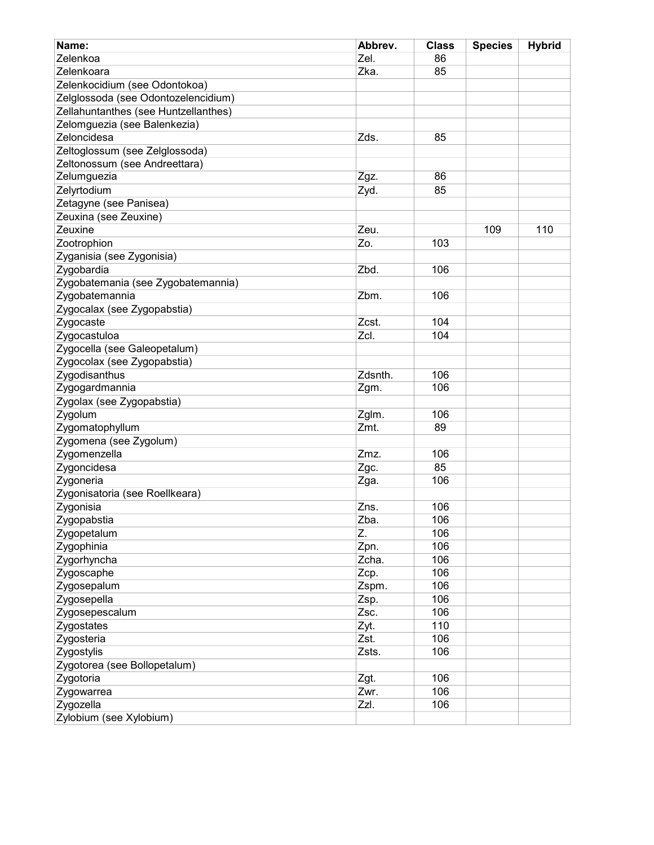| Name:                                | Abbrev.      | <b>Class</b> | <b>Species</b> | <b>Hybrid</b> |
|--------------------------------------|--------------|--------------|----------------|---------------|
| Zelenkoa                             | Zel.         | 86           |                |               |
| Zelenkoara                           | Zka.         | 85           |                |               |
| Zelenkocidium (see Odontokoa)        |              |              |                |               |
| Zelglossoda (see Odontozelencidium)  |              |              |                |               |
| Zellahuntanthes (see Huntzellanthes) |              |              |                |               |
| Zelomguezia (see Balenkezia)         |              |              |                |               |
| Zeloncidesa                          | Zds.         | 85           |                |               |
| Zeltoglossum (see Zelglossoda)       |              |              |                |               |
| Zeltonossum (see Andreettara)        |              |              |                |               |
| Zelumguezia                          | Zgz.         | 86           |                |               |
| Zelyrtodium                          | Zyd.         | 85           |                |               |
| Zetagyne (see Panisea)               |              |              |                |               |
| Zeuxina (see Zeuxine)                |              |              |                |               |
| Zeuxine                              | Zeu.         |              | 109            | 110           |
| Zootrophion                          | Zo.          | 103          |                |               |
| Zyganisia (see Zygonisia)            |              |              |                |               |
| Zygobardia                           | Zbd.         | 106          |                |               |
| Zygobatemania (see Zygobatemannia)   |              |              |                |               |
| Zygobatemannia                       | Zbm.         | 106          |                |               |
| Zygocalax (see Zygopabstia)          |              |              |                |               |
| Zygocaste                            | Zcst.        | 104          |                |               |
| Zygocastuloa                         | Zcl.         | 104          |                |               |
| Zygocella (see Galeopetalum)         |              |              |                |               |
| Zygocolax (see Zygopabstia)          |              |              |                |               |
| Zygodisanthus                        | Zdsnth.      | 106          |                |               |
| Zygogardmannia                       | Zgm.         | 106          |                |               |
| Zygolax (see Zygopabstia)            |              |              |                |               |
| Zygolum                              | Zglm.        | 106          |                |               |
| Zygomatophyllum                      | Zmt.         | 89           |                |               |
| Zygomena (see Zygolum)               |              |              |                |               |
| Zygomenzella                         | Zmz.         | 106          |                |               |
| Zygoncidesa                          | Zgc.         | 85           |                |               |
| Zygoneria                            | Zga.         | 106          |                |               |
| Zygonisatoria (see Roellkeara)       |              |              |                |               |
| Zygonisia                            | Zns.         | 106          |                |               |
| Zygopabstia                          | Zba.         | 106          |                |               |
| Zygopetalum                          | Z.           | 106          |                |               |
| Zygophinia                           | Zpn.         | 106          |                |               |
| Zygorhyncha                          | Zcha.        | 106          |                |               |
| Zygoscaphe                           | Zcp.         | 106          |                |               |
| Zygosepalum                          | Zspm.        | 106          |                |               |
| Zygosepella                          | Zsp.         | 106          |                |               |
| Zygosepescalum                       | Zsc.         | 106          |                |               |
|                                      |              | 110          |                |               |
| Zygostates<br>Zygosteria             | Zyt.<br>Zst. | 106          |                |               |
|                                      |              |              |                |               |
| Zygostylis                           | Zsts.        | 106          |                |               |
| Zygotorea (see Bollopetalum)         |              |              |                |               |
| Zygotoria                            | Zgt.         | 106          |                |               |
| Zygowarrea                           | Zwr.         | 106          |                |               |
| Zygozella                            | Zzl.         | 106          |                |               |
| Zylobium (see Xylobium)              |              |              |                |               |